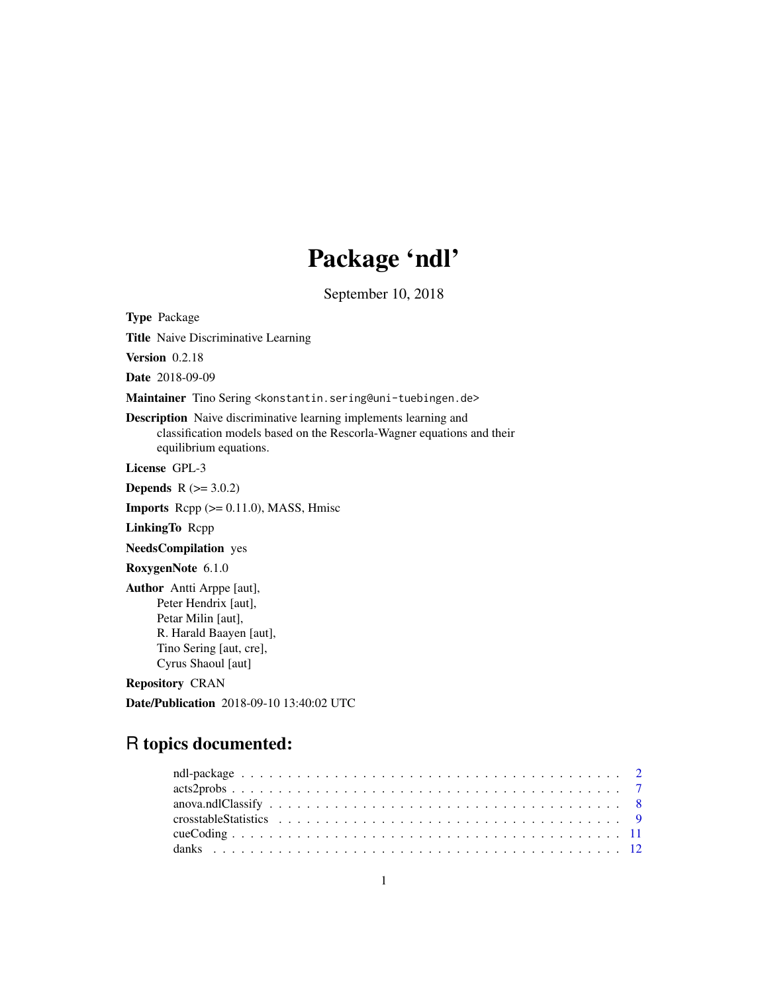# Package 'ndl'

September 10, 2018

<span id="page-0-0"></span>Type Package

Title Naive Discriminative Learning

Version 0.2.18

Date 2018-09-09

Maintainer Tino Sering <konstantin.sering@uni-tuebingen.de>

Description Naive discriminative learning implements learning and classification models based on the Rescorla-Wagner equations and their equilibrium equations.

License GPL-3

**Depends**  $R (= 3.0.2)$ 

**Imports** Rcpp  $(>= 0.11.0)$ , MASS, Hmisc

LinkingTo Rcpp

NeedsCompilation yes

RoxygenNote 6.1.0

Author Antti Arppe [aut], Peter Hendrix [aut], Petar Milin [aut], R. Harald Baayen [aut], Tino Sering [aut, cre], Cyrus Shaoul [aut]

Repository CRAN

Date/Publication 2018-09-10 13:40:02 UTC

# R topics documented: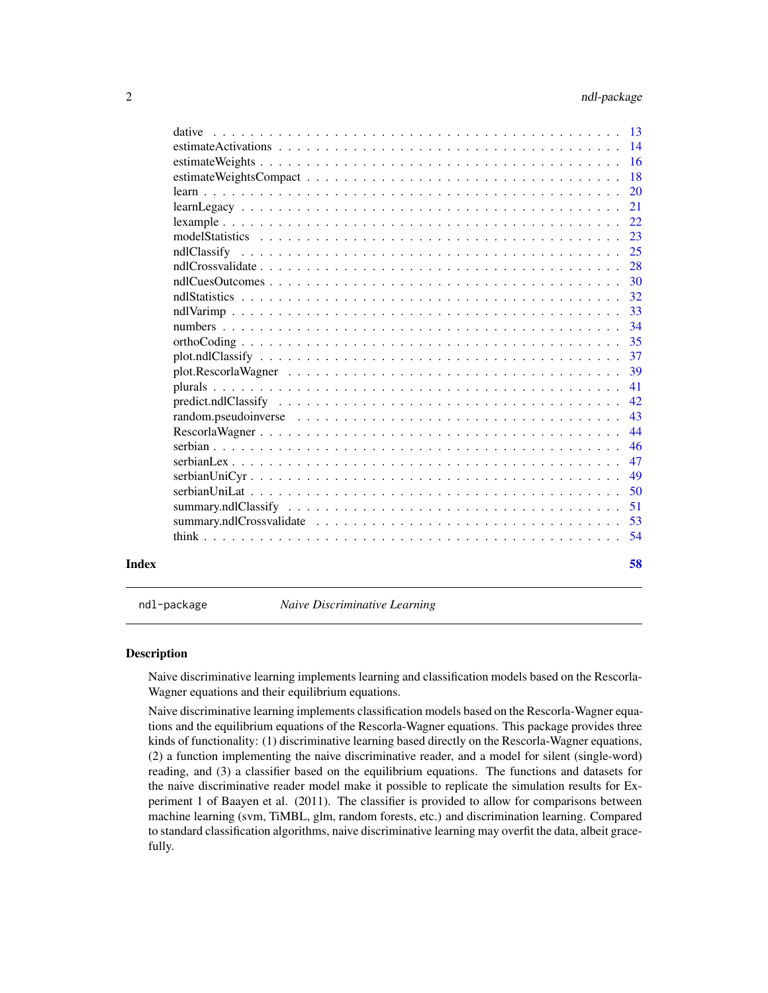<span id="page-1-0"></span>

| estimate Activations $\ldots \ldots \ldots \ldots \ldots \ldots \ldots \ldots \ldots \ldots \ldots \ldots \ldots$<br>33<br>37<br>$plot. ndlClassify                  $<br>$predict. null Classify                   $<br>$random, pseudoinverse \dots \dots \dots \dots \dots \dots \dots \dots \dots \dots \dots \dots \dots \dots$<br>Index | dative |  |  |  |  |  |  |  |  |  |  |  |  |    |
|-----------------------------------------------------------------------------------------------------------------------------------------------------------------------------------------------------------------------------------------------------------------------------------------------------------------------------------------------|--------|--|--|--|--|--|--|--|--|--|--|--|--|----|
|                                                                                                                                                                                                                                                                                                                                               |        |  |  |  |  |  |  |  |  |  |  |  |  |    |
|                                                                                                                                                                                                                                                                                                                                               |        |  |  |  |  |  |  |  |  |  |  |  |  |    |
|                                                                                                                                                                                                                                                                                                                                               |        |  |  |  |  |  |  |  |  |  |  |  |  |    |
|                                                                                                                                                                                                                                                                                                                                               |        |  |  |  |  |  |  |  |  |  |  |  |  |    |
|                                                                                                                                                                                                                                                                                                                                               |        |  |  |  |  |  |  |  |  |  |  |  |  |    |
|                                                                                                                                                                                                                                                                                                                                               |        |  |  |  |  |  |  |  |  |  |  |  |  |    |
|                                                                                                                                                                                                                                                                                                                                               |        |  |  |  |  |  |  |  |  |  |  |  |  |    |
|                                                                                                                                                                                                                                                                                                                                               |        |  |  |  |  |  |  |  |  |  |  |  |  |    |
|                                                                                                                                                                                                                                                                                                                                               |        |  |  |  |  |  |  |  |  |  |  |  |  |    |
|                                                                                                                                                                                                                                                                                                                                               |        |  |  |  |  |  |  |  |  |  |  |  |  |    |
|                                                                                                                                                                                                                                                                                                                                               |        |  |  |  |  |  |  |  |  |  |  |  |  |    |
|                                                                                                                                                                                                                                                                                                                                               |        |  |  |  |  |  |  |  |  |  |  |  |  |    |
|                                                                                                                                                                                                                                                                                                                                               |        |  |  |  |  |  |  |  |  |  |  |  |  |    |
|                                                                                                                                                                                                                                                                                                                                               |        |  |  |  |  |  |  |  |  |  |  |  |  | 35 |
|                                                                                                                                                                                                                                                                                                                                               |        |  |  |  |  |  |  |  |  |  |  |  |  |    |
|                                                                                                                                                                                                                                                                                                                                               |        |  |  |  |  |  |  |  |  |  |  |  |  | 39 |
|                                                                                                                                                                                                                                                                                                                                               |        |  |  |  |  |  |  |  |  |  |  |  |  | 41 |
|                                                                                                                                                                                                                                                                                                                                               |        |  |  |  |  |  |  |  |  |  |  |  |  | 42 |
|                                                                                                                                                                                                                                                                                                                                               |        |  |  |  |  |  |  |  |  |  |  |  |  | 43 |
|                                                                                                                                                                                                                                                                                                                                               |        |  |  |  |  |  |  |  |  |  |  |  |  | 44 |
|                                                                                                                                                                                                                                                                                                                                               |        |  |  |  |  |  |  |  |  |  |  |  |  | 46 |
|                                                                                                                                                                                                                                                                                                                                               |        |  |  |  |  |  |  |  |  |  |  |  |  | 47 |
|                                                                                                                                                                                                                                                                                                                                               |        |  |  |  |  |  |  |  |  |  |  |  |  | 49 |
|                                                                                                                                                                                                                                                                                                                                               |        |  |  |  |  |  |  |  |  |  |  |  |  | 50 |
|                                                                                                                                                                                                                                                                                                                                               |        |  |  |  |  |  |  |  |  |  |  |  |  | 51 |
|                                                                                                                                                                                                                                                                                                                                               |        |  |  |  |  |  |  |  |  |  |  |  |  | 53 |
|                                                                                                                                                                                                                                                                                                                                               |        |  |  |  |  |  |  |  |  |  |  |  |  | 54 |
|                                                                                                                                                                                                                                                                                                                                               |        |  |  |  |  |  |  |  |  |  |  |  |  | 58 |

ndl-package *Naive Discriminative Learning*

#### Description

Naive discriminative learning implements learning and classification models based on the Rescorla-Wagner equations and their equilibrium equations.

Naive discriminative learning implements classification models based on the Rescorla-Wagner equations and the equilibrium equations of the Rescorla-Wagner equations. This package provides three kinds of functionality: (1) discriminative learning based directly on the Rescorla-Wagner equations, (2) a function implementing the naive discriminative reader, and a model for silent (single-word) reading, and (3) a classifier based on the equilibrium equations. The functions and datasets for the naive discriminative reader model make it possible to replicate the simulation results for Experiment 1 of Baayen et al. (2011). The classifier is provided to allow for comparisons between machine learning (svm, TiMBL, glm, random forests, etc.) and discrimination learning. Compared to standard classification algorithms, naive discriminative learning may overfit the data, albeit gracefully.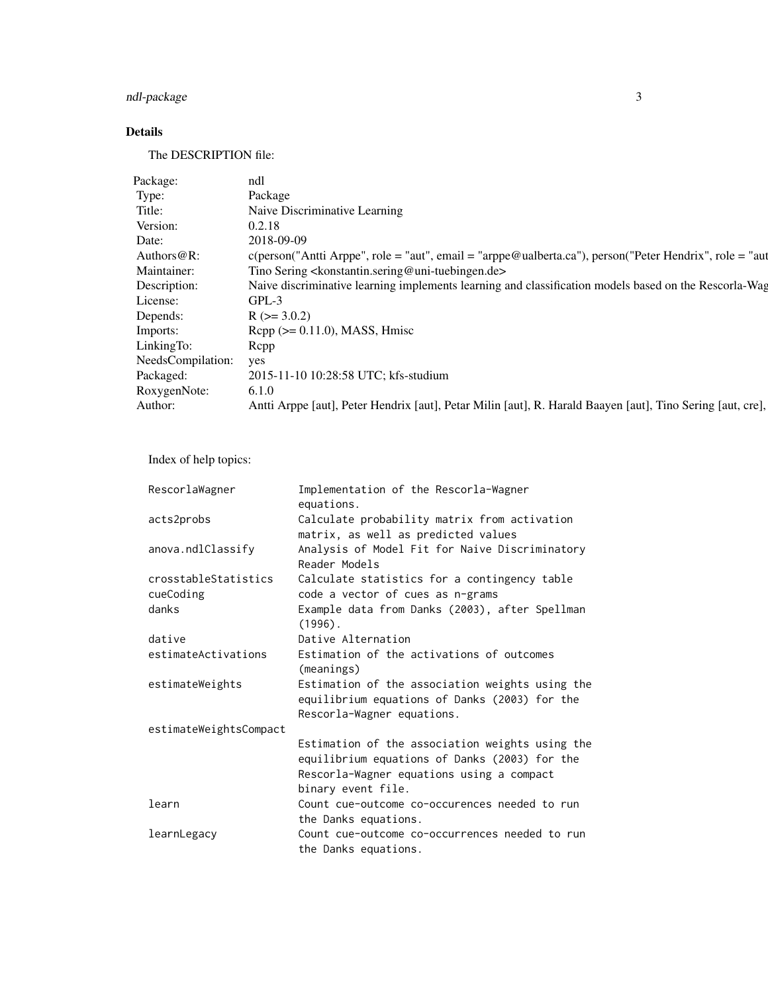## ndl-package 3

### Details

The DESCRIPTION file:

| Package:              | ndl                                                                                                        |
|-----------------------|------------------------------------------------------------------------------------------------------------|
| Type:                 | Package                                                                                                    |
| Title:                | Naive Discriminative Learning                                                                              |
| Version:              | 0.2.18                                                                                                     |
| Date:                 | 2018-09-09                                                                                                 |
| Authors@R:            | c(person("Antti Arppe", role = "aut", email = "arppe@ualberta.ca"), person("Peter Hendrix", role = "aut    |
| Maintainer:           | Tino Sering <konstantin.sering@uni-tuebingen.de></konstantin.sering@uni-tuebingen.de>                      |
| Description:          | Naive discriminative learning implements learning and classification models based on the Rescorla-Wag      |
| License:              | GPL-3                                                                                                      |
| Depends:              | $R$ ( $> = 3.0.2$ )                                                                                        |
| Imports:              | $\text{Rcpp} (> = 0.11.0)$ , MASS, Hmisc                                                                   |
| LinkingTo:            | Repp                                                                                                       |
| NeedsCompilation: yes |                                                                                                            |
| Packaged:             | 2015-11-10 10:28:58 UTC; kfs-studium                                                                       |
| RoxygenNote:          | 6.1.0                                                                                                      |
| Author:               | Antti Arppe [aut], Peter Hendrix [aut], Petar Milin [aut], R. Harald Baayen [aut], Tino Sering [aut, cre], |

Index of help topics:

| RescorlaWagner         | Implementation of the Rescorla-Wagner<br>equations.                                                                                                                 |
|------------------------|---------------------------------------------------------------------------------------------------------------------------------------------------------------------|
| acts2probs             | Calculate probability matrix from activation<br>matrix, as well as predicted values                                                                                 |
| anova.ndlClassify      | Analysis of Model Fit for Naive Discriminatory<br>Reader Models                                                                                                     |
| crosstableStatistics   | Calculate statistics for a contingency table                                                                                                                        |
| cueCoding              | code a vector of cues as n-grams                                                                                                                                    |
| danks                  | Example data from Danks (2003), after Spellman<br>$(1996)$ .                                                                                                        |
| dative                 | Dative Alternation                                                                                                                                                  |
| estimateActivations    | Estimation of the activations of outcomes<br>(meanings)                                                                                                             |
| estimateWeights        | Estimation of the association weights using the<br>equilibrium equations of Danks (2003) for the<br>Rescorla-Wagner equations.                                      |
| estimateWeightsCompact |                                                                                                                                                                     |
|                        | Estimation of the association weights using the<br>equilibrium equations of Danks (2003) for the<br>Rescorla-Wagner equations using a compact<br>binary event file. |
| learn                  | Count cue-outcome co-occurences needed to run                                                                                                                       |
|                        | the Danks equations.                                                                                                                                                |
| learnLegacy            | Count cue-outcome co-occurrences needed to run<br>the Danks equations.                                                                                              |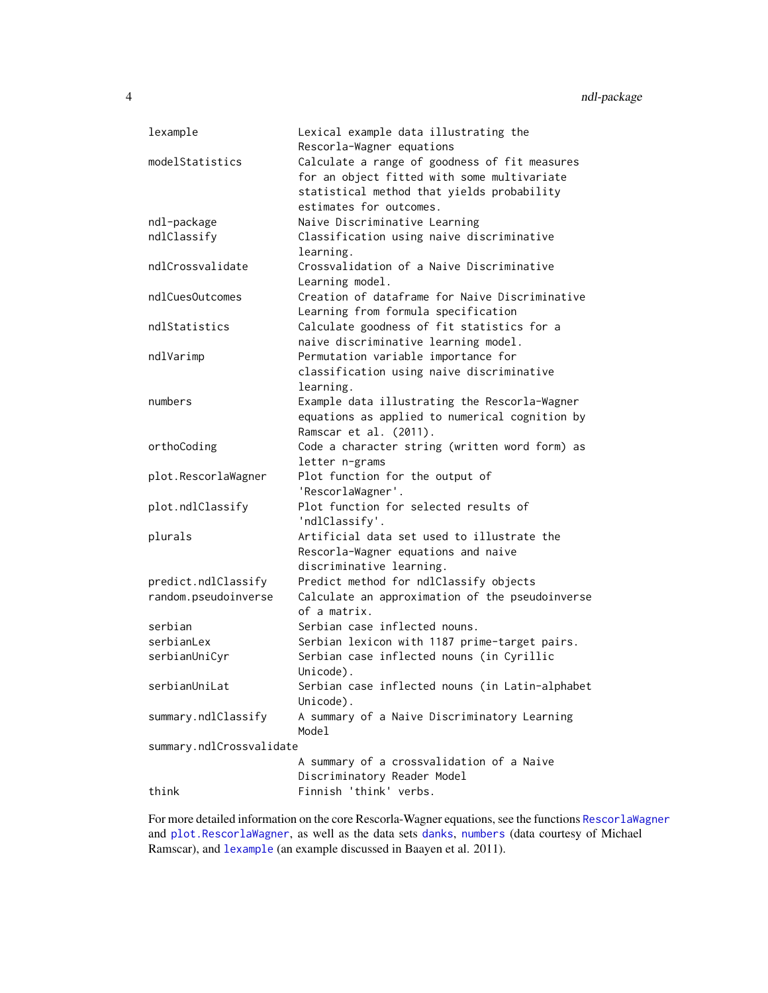| lexample                 | Lexical example data illustrating the<br>Rescorla-Wagner equations                                                                         |
|--------------------------|--------------------------------------------------------------------------------------------------------------------------------------------|
| modelStatistics          | Calculate a range of goodness of fit measures<br>for an object fitted with some multivariate<br>statistical method that yields probability |
|                          | estimates for outcomes.                                                                                                                    |
| ndl-package              | Naive Discriminative Learning                                                                                                              |
| ndlClassify              | Classification using naive discriminative                                                                                                  |
|                          | learning.                                                                                                                                  |
| ndlCrossvalidate         | Crossvalidation of a Naive Discriminative                                                                                                  |
|                          | Learning model.                                                                                                                            |
| ndlCuesOutcomes          | Creation of dataframe for Naive Discriminative                                                                                             |
|                          | Learning from formula specification                                                                                                        |
| ndlStatistics            | Calculate goodness of fit statistics for a                                                                                                 |
|                          | naive discriminative learning model.                                                                                                       |
| ndlVarimp                | Permutation variable importance for                                                                                                        |
|                          | classification using naive discriminative                                                                                                  |
|                          | learning.                                                                                                                                  |
| numbers                  | Example data illustrating the Rescorla-Wagner                                                                                              |
|                          | equations as applied to numerical cognition by                                                                                             |
|                          | Ramscar et al. (2011).                                                                                                                     |
| orthoCoding              | Code a character string (written word form) as                                                                                             |
|                          | letter n-grams                                                                                                                             |
| plot.RescorlaWagner      | Plot function for the output of                                                                                                            |
|                          | 'RescorlaWagner'.                                                                                                                          |
| plot.ndlClassify         | Plot function for selected results of                                                                                                      |
|                          | 'ndlClassify'.                                                                                                                             |
| plurals                  | Artificial data set used to illustrate the                                                                                                 |
|                          | Rescorla-Wagner equations and naive                                                                                                        |
|                          | discriminative learning.                                                                                                                   |
| predict.ndlClassify      | Predict method for ndlClassify objects                                                                                                     |
| random.pseudoinverse     | Calculate an approximation of the pseudoinverse                                                                                            |
|                          | of a matrix.                                                                                                                               |
| serbian                  | Serbian case inflected nouns.                                                                                                              |
| serbianLex               | Serbian lexicon with 1187 prime-target pairs.                                                                                              |
| serbianUniCyr            | Serbian case inflected nouns (in Cyrillic                                                                                                  |
|                          | Unicode).                                                                                                                                  |
| serbianUniLat            | Serbian case inflected nouns (in Latin-alphabet                                                                                            |
|                          |                                                                                                                                            |
|                          | Unicode).                                                                                                                                  |
| summary.ndlClassify      | A summary of a Naive Discriminatory Learning                                                                                               |
|                          | Model                                                                                                                                      |
| summary.ndlCrossvalidate |                                                                                                                                            |
|                          | A summary of a crossvalidation of a Naive                                                                                                  |
|                          | Discriminatory Reader Model                                                                                                                |
| think                    | Finnish 'think' verbs.                                                                                                                     |

For more detailed information on the core Rescorla-Wagner equations, see the functions [RescorlaWagner](#page-43-1) and [plot.RescorlaWagner](#page-38-1), as well as the data sets [danks](#page-11-1), [numbers](#page-33-1) (data courtesy of Michael Ramscar), and [lexample](#page-21-1) (an example discussed in Baayen et al. 2011).

<span id="page-3-0"></span>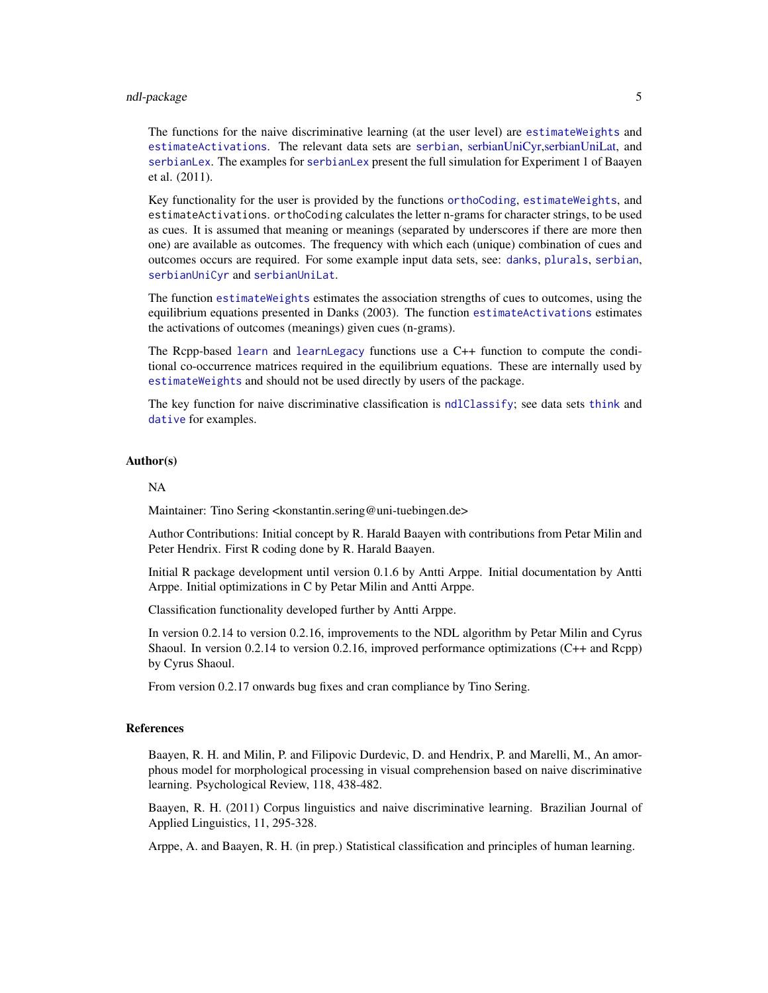#### <span id="page-4-0"></span>ndl-package 5

The functions for the naive discriminative learning (at the user level) are [estimateWeights](#page-15-1) and [estimateActivations](#page-13-1). The relevant data sets are [serbian](#page-45-1), [serbianUniCyr,](#page-48-1) [serbianUniLat,](#page-49-1) and [serbianLex](#page-46-1). The examples for [serbianLex](#page-46-1) present the full simulation for Experiment 1 of Baayen et al. (2011).

Key functionality for the user is provided by the functions [orthoCoding](#page-34-1), [estimateWeights](#page-15-1), and estimateActivations. orthoCoding calculates the letter n-grams for character strings, to be used as cues. It is assumed that meaning or meanings (separated by underscores if there are more then one) are available as outcomes. The frequency with which each (unique) combination of cues and outcomes occurs are required. For some example input data sets, see: [danks](#page-11-1), [plurals](#page-40-1), [serbian](#page-45-1), [serbianUniCyr](#page-48-1) and [serbianUniLat](#page-49-1).

The function [estimateWeights](#page-15-1) estimates the association strengths of cues to outcomes, using the equilibrium equations presented in Danks (2003). The function [estimateActivations](#page-13-1) estimates the activations of outcomes (meanings) given cues (n-grams).

The Rcpp-based [learn](#page-19-1) and [learnLegacy](#page-20-1) functions use a C++ function to compute the conditional co-occurrence matrices required in the equilibrium equations. These are internally used by [estimateWeights](#page-15-1) and should not be used directly by users of the package.

The key function for naive discriminative classification is [ndlClassify](#page-24-1); see data sets [think](#page-53-1) and [dative](#page-12-1) for examples.

#### Author(s)

#### NA

Maintainer: Tino Sering <konstantin.sering@uni-tuebingen.de>

Author Contributions: Initial concept by R. Harald Baayen with contributions from Petar Milin and Peter Hendrix. First R coding done by R. Harald Baayen.

Initial R package development until version 0.1.6 by Antti Arppe. Initial documentation by Antti Arppe. Initial optimizations in C by Petar Milin and Antti Arppe.

Classification functionality developed further by Antti Arppe.

In version 0.2.14 to version 0.2.16, improvements to the NDL algorithm by Petar Milin and Cyrus Shaoul. In version 0.2.14 to version 0.2.16, improved performance optimizations (C++ and Rcpp) by Cyrus Shaoul.

From version 0.2.17 onwards bug fixes and cran compliance by Tino Sering.

#### References

Baayen, R. H. and Milin, P. and Filipovic Durdevic, D. and Hendrix, P. and Marelli, M., An amorphous model for morphological processing in visual comprehension based on naive discriminative learning. Psychological Review, 118, 438-482.

Baayen, R. H. (2011) Corpus linguistics and naive discriminative learning. Brazilian Journal of Applied Linguistics, 11, 295-328.

Arppe, A. and Baayen, R. H. (in prep.) Statistical classification and principles of human learning.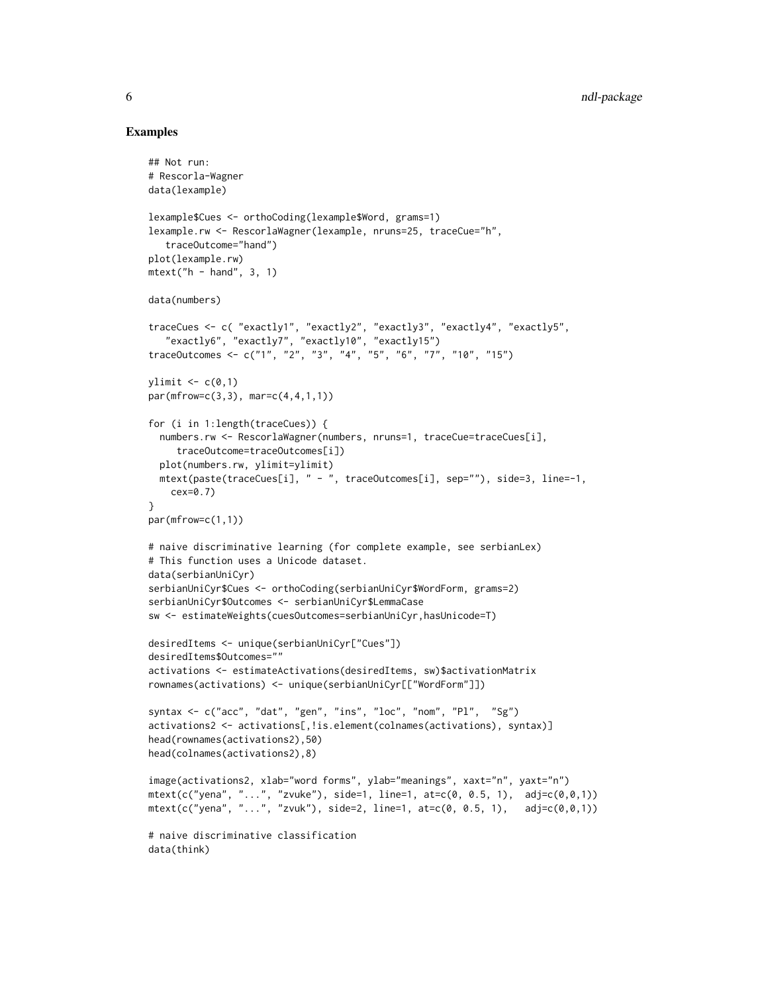```
## Not run:
# Rescorla-Wagner
data(lexample)
lexample$Cues <- orthoCoding(lexample$Word, grams=1)
lexample.rw <- RescorlaWagner(lexample, nruns=25, traceCue="h",
   traceOutcome="hand")
plot(lexample.rw)
mtext{text('h - hand'', 3, 1)}data(numbers)
traceCues <- c( "exactly1", "exactly2", "exactly3", "exactly4", "exactly5",
   "exactly6", "exactly7", "exactly10", "exactly15")
traceOutcomes <- c("1", "2", "3", "4", "5", "6", "7", "10", "15")
ylimit \leq c(0,1)par(mfrow=c(3,3), mar=c(4,4,1,1))for (i in 1:length(traceCues)) {
  numbers.rw <- RescorlaWagner(numbers, nruns=1, traceCue=traceCues[i],
     traceOutcome=traceOutcomes[i])
  plot(numbers.rw, ylimit=ylimit)
  mtext(paste(traceCues[i], " - ", traceOutcomes[i], sep=""), side=3, line=-1,
   cex=0.7)
}
par(mfrow=c(1,1))
# naive discriminative learning (for complete example, see serbianLex)
# This function uses a Unicode dataset.
data(serbianUniCyr)
serbianUniCyr$Cues <- orthoCoding(serbianUniCyr$WordForm, grams=2)
serbianUniCyr$Outcomes <- serbianUniCyr$LemmaCase
sw <- estimateWeights(cuesOutcomes=serbianUniCyr,hasUnicode=T)
desiredItems <- unique(serbianUniCyr["Cues"])
desiredItems$Outcomes=""
activations <- estimateActivations(desiredItems, sw)$activationMatrix
rownames(activations) <- unique(serbianUniCyr[["WordForm"]])
syntax <- c("acc", "dat", "gen", "ins", "loc", "nom", "Pl", "Sg")
activations2 <- activations[,!is.element(colnames(activations), syntax)]
head(rownames(activations2),50)
head(colnames(activations2),8)
image(activations2, xlab="word forms", ylab="meanings", xaxt="n", yaxt="n")
mtext{text}(c("yena", "...", "zvuke"), side=1, line=1, at=c(0, 0.5, 1), adj=c(0, 0, 1))mtext(c("yena", "...", "zvuk"), side=2, line=1, at=c(0, 0.5, 1), adj=c(0, 0, 1))# naive discriminative classification
data(think)
```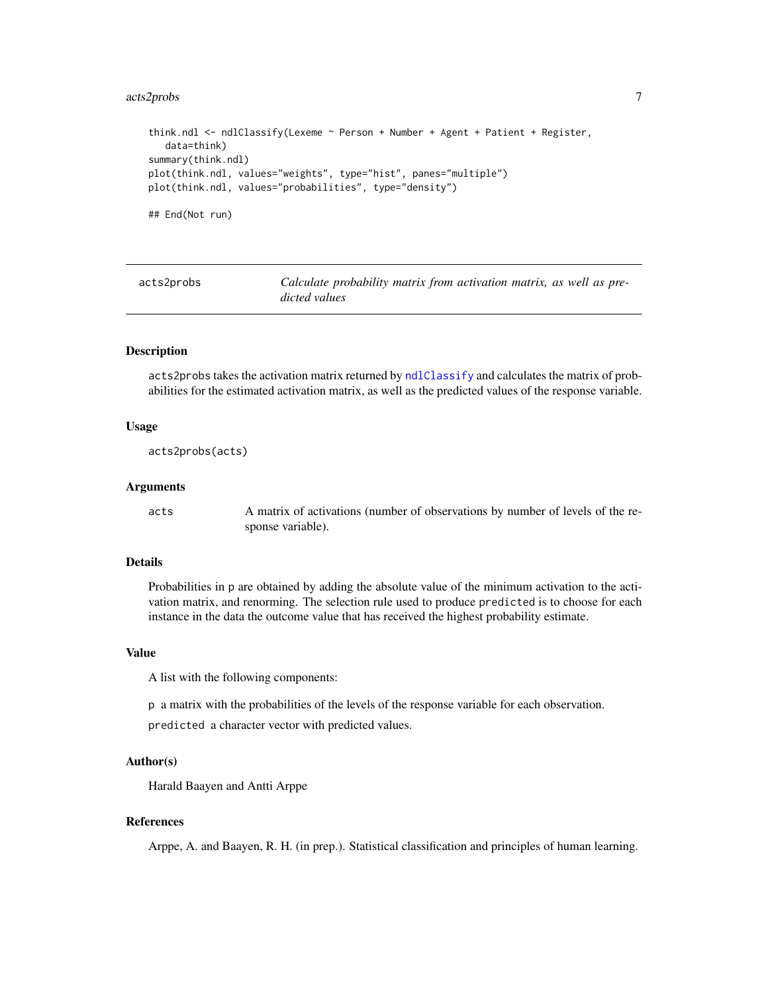#### <span id="page-6-0"></span>acts2probs 7 and 2012 1 and 2013 1 and 2013 1 and 2013 1 and 2013 1 and 2013 1 and 2013 1 and 2013 1 and 2013

```
think.ndl <- ndlClassify(Lexeme ~ Person + Number + Agent + Patient + Register,
  data=think)
summary(think.ndl)
plot(think.ndl, values="weights", type="hist", panes="multiple")
plot(think.ndl, values="probabilities", type="density")
## End(Not run)
```
<span id="page-6-1"></span>acts2probs *Calculate probability matrix from activation matrix, as well as predicted values*

#### Description

acts2probs takes the activation matrix returned by [ndlClassify](#page-24-1) and calculates the matrix of probabilities for the estimated activation matrix, as well as the predicted values of the response variable.

#### Usage

acts2probs(acts)

#### Arguments

acts A matrix of activations (number of observations by number of levels of the response variable).

#### Details

Probabilities in p are obtained by adding the absolute value of the minimum activation to the activation matrix, and renorming. The selection rule used to produce predicted is to choose for each instance in the data the outcome value that has received the highest probability estimate.

#### Value

A list with the following components:

p a matrix with the probabilities of the levels of the response variable for each observation.

predicted a character vector with predicted values.

#### Author(s)

Harald Baayen and Antti Arppe

#### References

Arppe, A. and Baayen, R. H. (in prep.). Statistical classification and principles of human learning.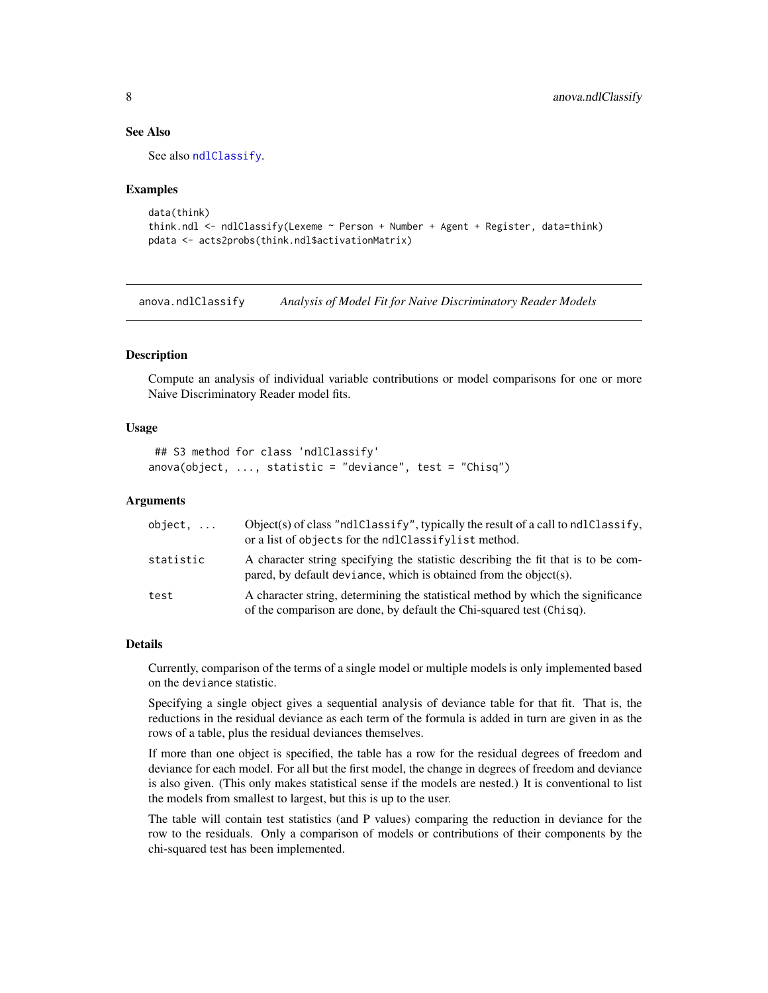#### See Also

See also [ndlClassify](#page-24-1).

#### Examples

```
data(think)
think.ndl <- ndlClassify(Lexeme ~ Person + Number + Agent + Register, data=think)
pdata <- acts2probs(think.ndl$activationMatrix)
```
<span id="page-7-1"></span>anova.ndlClassify *Analysis of Model Fit for Naive Discriminatory Reader Models*

#### Description

Compute an analysis of individual variable contributions or model comparisons for one or more Naive Discriminatory Reader model fits.

#### Usage

```
## S3 method for class 'ndlClassify'
anova(object, ..., statistic = "deviance", test = "Chisq")
```
#### Arguments

| $object, \ldots$ | Object(s) of class "ndlClassify", typically the result of a call to ndlClassify,<br>or a list of objects for the ndlClassifylist method.                 |
|------------------|----------------------------------------------------------------------------------------------------------------------------------------------------------|
| statistic        | A character string specifying the statistic describing the fit that is to be com-<br>pared, by default deviance, which is obtained from the object(s).   |
| test             | A character string, determining the statistical method by which the significance<br>of the comparison are done, by default the Chi-squared test (Chisq). |

#### Details

Currently, comparison of the terms of a single model or multiple models is only implemented based on the deviance statistic.

Specifying a single object gives a sequential analysis of deviance table for that fit. That is, the reductions in the residual deviance as each term of the formula is added in turn are given in as the rows of a table, plus the residual deviances themselves.

If more than one object is specified, the table has a row for the residual degrees of freedom and deviance for each model. For all but the first model, the change in degrees of freedom and deviance is also given. (This only makes statistical sense if the models are nested.) It is conventional to list the models from smallest to largest, but this is up to the user.

The table will contain test statistics (and P values) comparing the reduction in deviance for the row to the residuals. Only a comparison of models or contributions of their components by the chi-squared test has been implemented.

<span id="page-7-0"></span>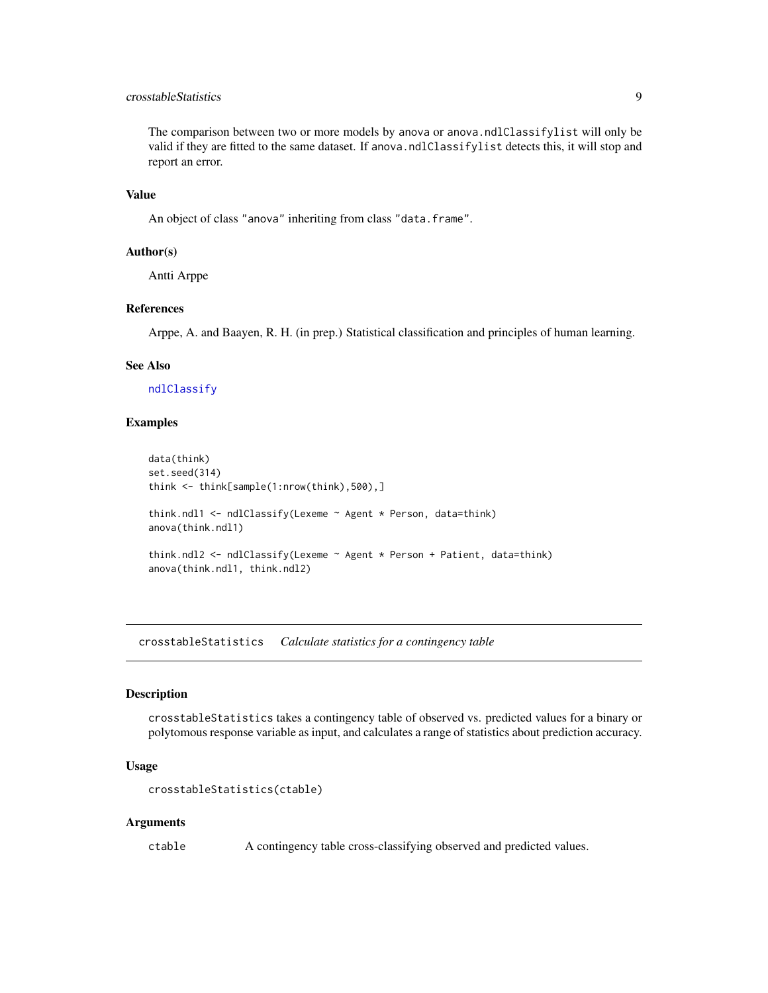#### <span id="page-8-0"></span>crosstableStatistics 9

The comparison between two or more models by anova or anova.ndlClassifylist will only be valid if they are fitted to the same dataset. If anova.ndlClassifylist detects this, it will stop and report an error.

#### Value

An object of class "anova" inheriting from class "data.frame".

#### Author(s)

Antti Arppe

#### References

Arppe, A. and Baayen, R. H. (in prep.) Statistical classification and principles of human learning.

#### See Also

[ndlClassify](#page-24-1)

#### Examples

```
data(think)
set.seed(314)
think <- think[sample(1:nrow(think),500),]
think.ndl1 <- ndlClassify(Lexeme ~ Agent * Person, data=think)
anova(think.ndl1)
think.ndl2 <- ndlClassify(Lexeme ~ Agent * Person + Patient, data=think)
anova(think.ndl1, think.ndl2)
```
<span id="page-8-1"></span>crosstableStatistics *Calculate statistics for a contingency table*

#### Description

crosstableStatistics takes a contingency table of observed vs. predicted values for a binary or polytomous response variable as input, and calculates a range of statistics about prediction accuracy.

#### Usage

```
crosstableStatistics(ctable)
```
#### Arguments

ctable A contingency table cross-classifying observed and predicted values.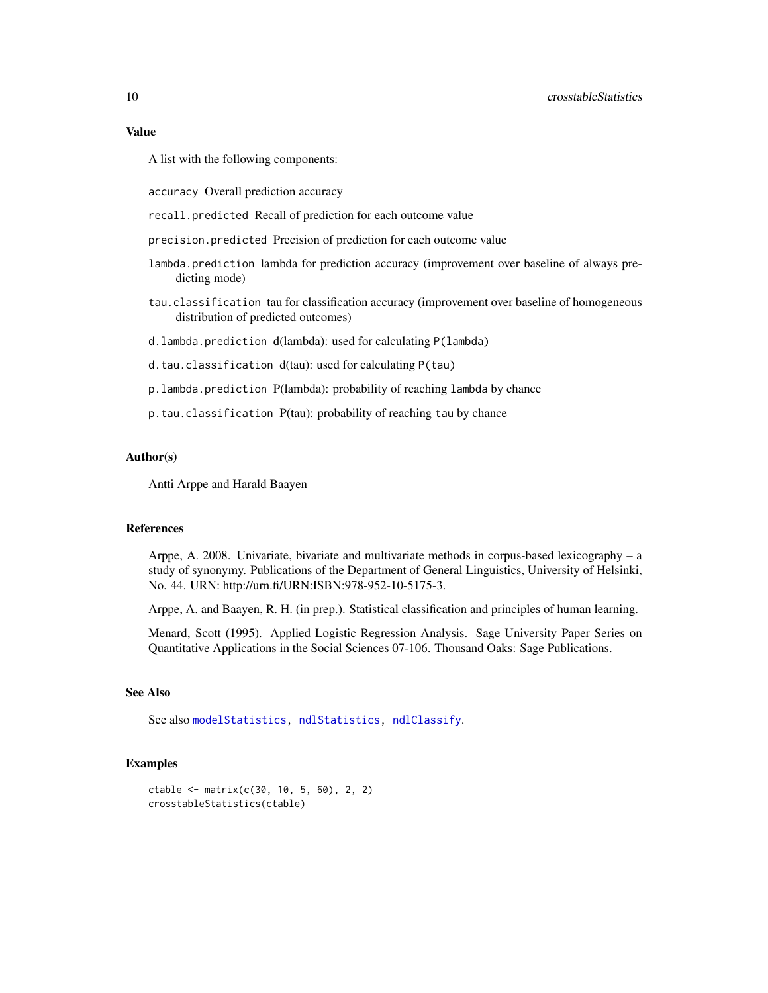#### <span id="page-9-0"></span>10 crosstableStatistics control of the crosstableStatistics control of the crosstableStatistics control of the crosstableStatistics control of the crosstableStatistics control of the crosstableStatistics control of the cro

#### Value

A list with the following components:

accuracy Overall prediction accuracy

recall.predicted Recall of prediction for each outcome value

precision.predicted Precision of prediction for each outcome value

- lambda.prediction lambda for prediction accuracy (improvement over baseline of always predicting mode)
- tau.classification tau for classification accuracy (improvement over baseline of homogeneous distribution of predicted outcomes)
- d.lambda.prediction d(lambda): used for calculating P(lambda)
- d.tau.classification d(tau): used for calculating P(tau)
- p.lambda.prediction P(lambda): probability of reaching lambda by chance
- p.tau.classification P(tau): probability of reaching tau by chance

#### Author(s)

Antti Arppe and Harald Baayen

#### References

Arppe, A. 2008. Univariate, bivariate and multivariate methods in corpus-based lexicography – a study of synonymy. Publications of the Department of General Linguistics, University of Helsinki, No. 44. URN: http://urn.fi/URN:ISBN:978-952-10-5175-3.

Arppe, A. and Baayen, R. H. (in prep.). Statistical classification and principles of human learning.

Menard, Scott (1995). Applied Logistic Regression Analysis. Sage University Paper Series on Quantitative Applications in the Social Sciences 07-106. Thousand Oaks: Sage Publications.

#### See Also

See also [modelStatistics,](#page-22-1) [ndlStatistics,](#page-31-1) [ndlClassify](#page-24-1).

```
ctable <- matrix(c(30, 10, 5, 60), 2, 2)
crosstableStatistics(ctable)
```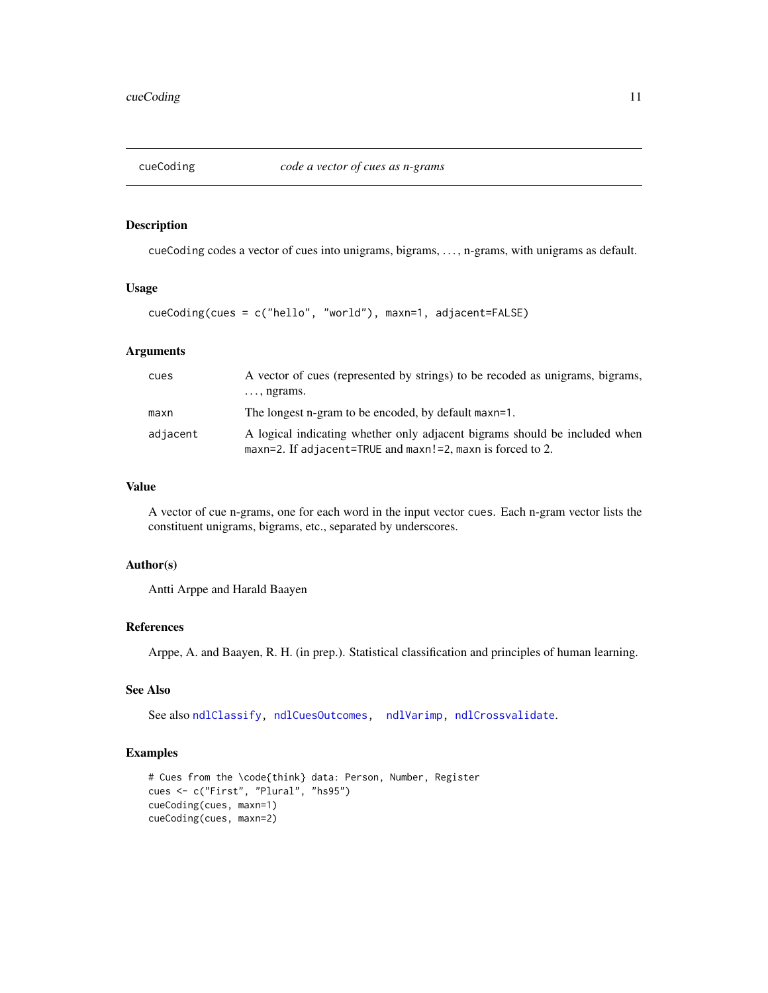<span id="page-10-1"></span><span id="page-10-0"></span>

cueCoding codes a vector of cues into unigrams, bigrams, . . . , n-grams, with unigrams as default.

#### Usage

```
cueCoding(cues = c("hello", "world"), maxn=1, adjacent=FALSE)
```
#### Arguments

| cues     | A vector of cues (represented by strings) to be recoded as unigrams, bigrams,<br>$\ldots$ , ngrams.                                      |
|----------|------------------------------------------------------------------------------------------------------------------------------------------|
| maxn     | The longest n-gram to be encoded, by default maxn=1.                                                                                     |
| adjacent | A logical indicating whether only adjacent bigrams should be included when<br>maxn=2. If adjacent=TRUE and maxn!=2, maxn is forced to 2. |

#### Value

A vector of cue n-grams, one for each word in the input vector cues. Each n-gram vector lists the constituent unigrams, bigrams, etc., separated by underscores.

#### Author(s)

Antti Arppe and Harald Baayen

#### References

Arppe, A. and Baayen, R. H. (in prep.). Statistical classification and principles of human learning.

### See Also

See also [ndlClassify,](#page-24-1) [ndlCuesOutcomes,](#page-29-1) [ndlVarimp,](#page-32-1) [ndlCrossvalidate](#page-27-1).

```
# Cues from the \code{think} data: Person, Number, Register
cues <- c("First", "Plural", "hs95")
cueCoding(cues, maxn=1)
cueCoding(cues, maxn=2)
```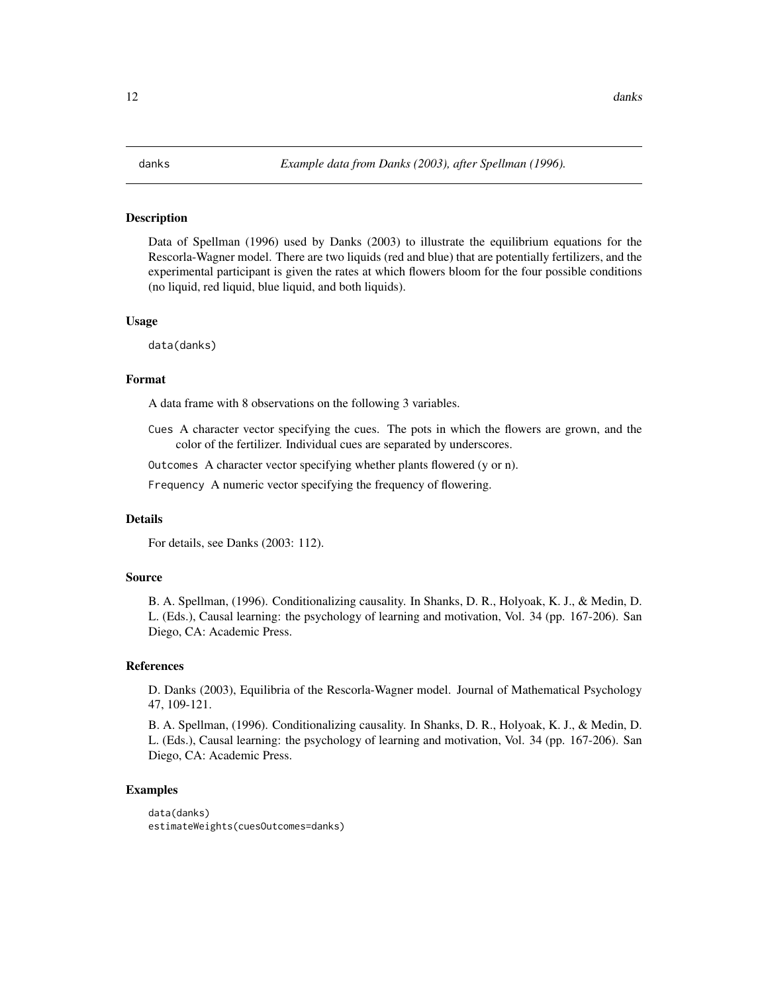<span id="page-11-1"></span><span id="page-11-0"></span>Data of Spellman (1996) used by Danks (2003) to illustrate the equilibrium equations for the Rescorla-Wagner model. There are two liquids (red and blue) that are potentially fertilizers, and the experimental participant is given the rates at which flowers bloom for the four possible conditions (no liquid, red liquid, blue liquid, and both liquids).

#### Usage

data(danks)

#### Format

A data frame with 8 observations on the following 3 variables.

Cues A character vector specifying the cues. The pots in which the flowers are grown, and the color of the fertilizer. Individual cues are separated by underscores.

Outcomes A character vector specifying whether plants flowered (y or n).

Frequency A numeric vector specifying the frequency of flowering.

#### Details

For details, see Danks (2003: 112).

#### Source

B. A. Spellman, (1996). Conditionalizing causality. In Shanks, D. R., Holyoak, K. J., & Medin, D. L. (Eds.), Causal learning: the psychology of learning and motivation, Vol. 34 (pp. 167-206). San Diego, CA: Academic Press.

#### References

D. Danks (2003), Equilibria of the Rescorla-Wagner model. Journal of Mathematical Psychology 47, 109-121.

B. A. Spellman, (1996). Conditionalizing causality. In Shanks, D. R., Holyoak, K. J., & Medin, D. L. (Eds.), Causal learning: the psychology of learning and motivation, Vol. 34 (pp. 167-206). San Diego, CA: Academic Press.

```
data(danks)
estimateWeights(cuesOutcomes=danks)
```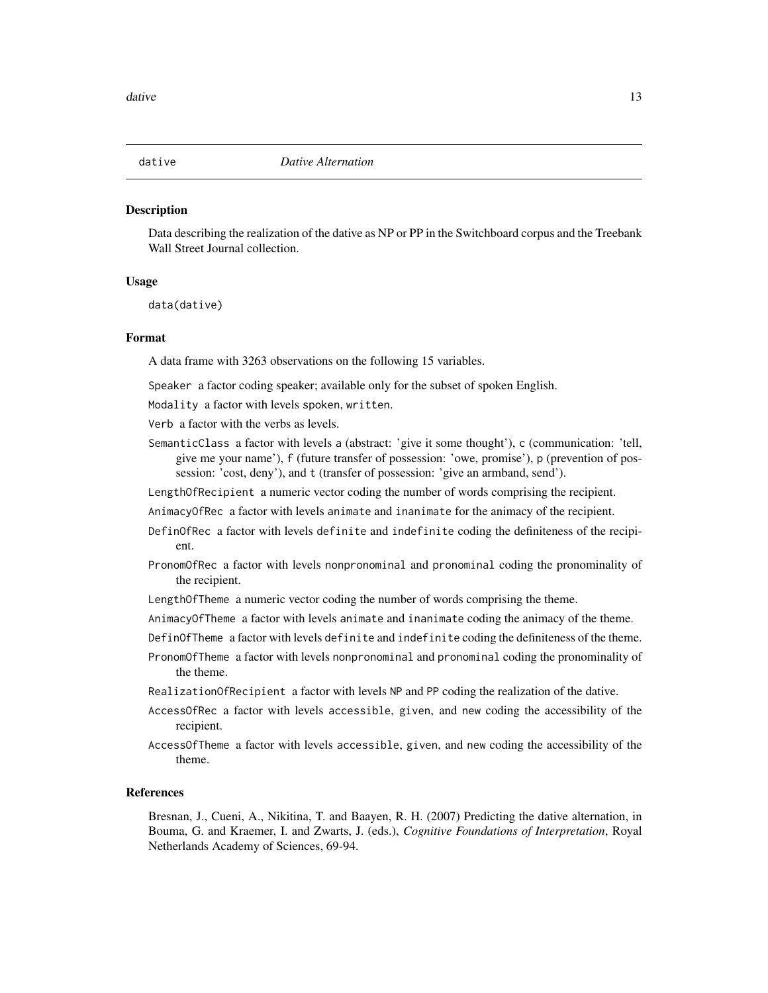<span id="page-12-1"></span><span id="page-12-0"></span>

Data describing the realization of the dative as NP or PP in the Switchboard corpus and the Treebank Wall Street Journal collection.

#### Usage

data(dative)

#### Format

A data frame with 3263 observations on the following 15 variables.

Speaker a factor coding speaker; available only for the subset of spoken English.

Modality a factor with levels spoken, written.

Verb a factor with the verbs as levels.

SemanticClass a factor with levels a (abstract: 'give it some thought'), c (communication: 'tell, give me your name'), f (future transfer of possession: 'owe, promise'), p (prevention of possession: 'cost, deny'), and t (transfer of possession: 'give an armband, send').

LengthOfRecipient a numeric vector coding the number of words comprising the recipient.

AnimacyOfRec a factor with levels animate and inanimate for the animacy of the recipient.

- DefinOfRec a factor with levels definite and indefinite coding the definiteness of the recipient.
- PronomOfRec a factor with levels nonpronominal and pronominal coding the pronominality of the recipient.
- LengthOfTheme a numeric vector coding the number of words comprising the theme.
- AnimacyOfTheme a factor with levels animate and inanimate coding the animacy of the theme.

DefinOfTheme a factor with levels definite and indefinite coding the definiteness of the theme.

PronomOfTheme a factor with levels nonpronominal and pronominal coding the pronominality of the theme.

RealizationOfRecipient a factor with levels NP and PP coding the realization of the dative.

- AccessOfRec a factor with levels accessible, given, and new coding the accessibility of the recipient.
- AccessOfTheme a factor with levels accessible, given, and new coding the accessibility of the theme.

#### References

Bresnan, J., Cueni, A., Nikitina, T. and Baayen, R. H. (2007) Predicting the dative alternation, in Bouma, G. and Kraemer, I. and Zwarts, J. (eds.), *Cognitive Foundations of Interpretation*, Royal Netherlands Academy of Sciences, 69-94.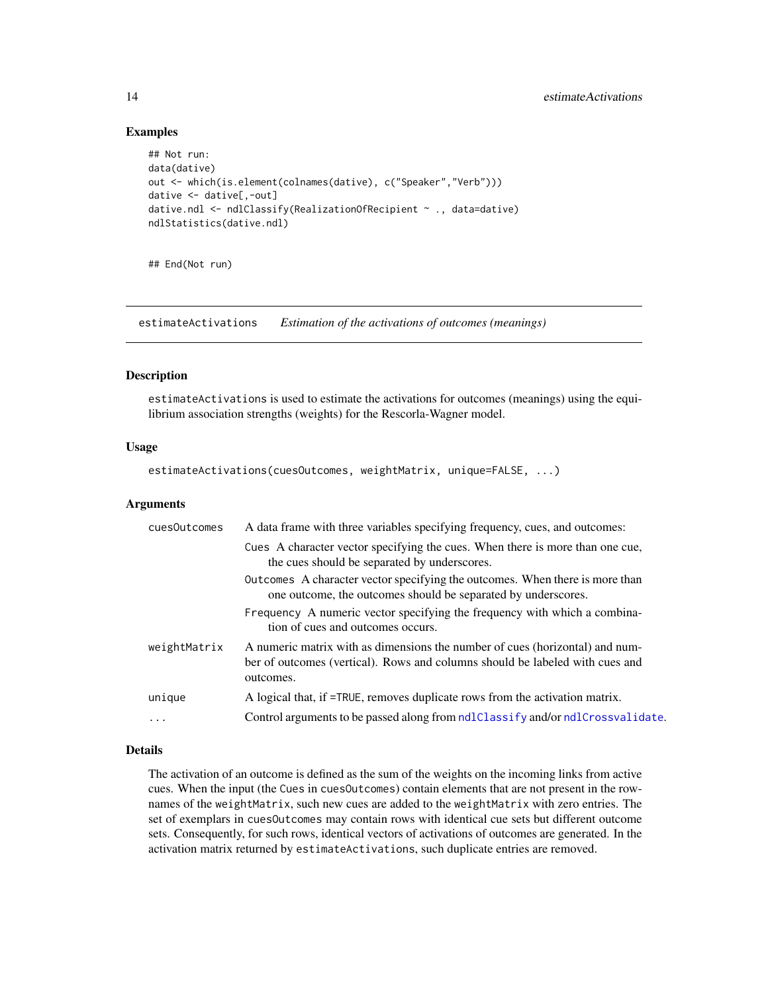#### Examples

```
## Not run:
data(dative)
out <- which(is.element(colnames(dative), c("Speaker","Verb")))
dative <- dative[,-out]
dative.ndl <- ndlClassify(RealizationOfRecipient ~ ., data=dative)
ndlStatistics(dative.ndl)
```
## End(Not run)

<span id="page-13-1"></span>estimateActivations *Estimation of the activations of outcomes (meanings)*

#### Description

estimateActivations is used to estimate the activations for outcomes (meanings) using the equilibrium association strengths (weights) for the Rescorla-Wagner model.

#### Usage

```
estimateActivations(cuesOutcomes, weightMatrix, unique=FALSE, ...)
```
#### Arguments

| cuesOutcomes | A data frame with three variables specifying frequency, cues, and outcomes:                                                                                               |
|--------------|---------------------------------------------------------------------------------------------------------------------------------------------------------------------------|
|              | Cues A character vector specifying the cues. When there is more than one cue,<br>the cues should be separated by underscores.                                             |
|              | Outcomes A character vector specifying the outcomes. When there is more than<br>one outcome, the outcomes should be separated by underscores.                             |
|              | Frequency A numeric vector specifying the frequency with which a combina-<br>tion of cues and outcomes occurs.                                                            |
| weightMatrix | A numeric matrix with as dimensions the number of cues (horizontal) and num-<br>ber of outcomes (vertical). Rows and columns should be labeled with cues and<br>outcomes. |
| unique       | A logical that, if =TRUE, removes duplicate rows from the activation matrix.                                                                                              |
| .            | Control arguments to be passed along from ndlClassify and/or ndlCrossvalidate.                                                                                            |
|              |                                                                                                                                                                           |

#### Details

The activation of an outcome is defined as the sum of the weights on the incoming links from active cues. When the input (the Cues in cuesOutcomes) contain elements that are not present in the rownames of the weightMatrix, such new cues are added to the weightMatrix with zero entries. The set of exemplars in cuesOutcomes may contain rows with identical cue sets but different outcome sets. Consequently, for such rows, identical vectors of activations of outcomes are generated. In the activation matrix returned by estimateActivations, such duplicate entries are removed.

<span id="page-13-0"></span>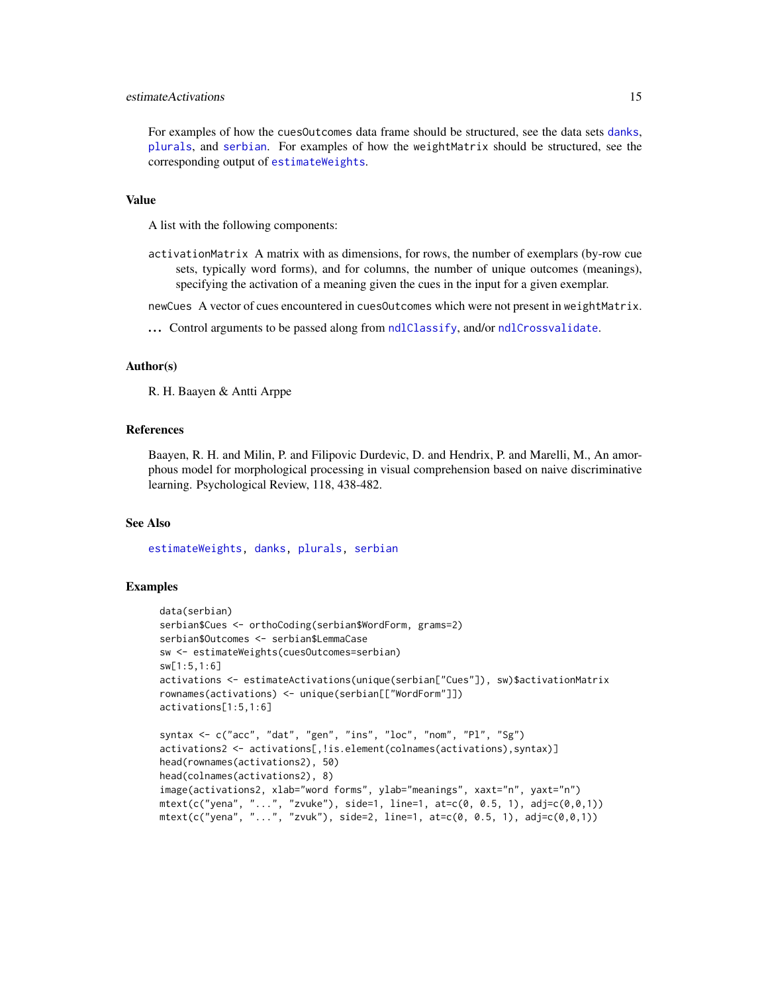#### <span id="page-14-0"></span>estimateActivations 15

For examples of how the cuesOutcomes data frame should be structured, see the data sets [danks](#page-11-1), [plurals](#page-40-1), and [serbian](#page-45-1). For examples of how the weightMatrix should be structured, see the corresponding output of [estimateWeights](#page-15-1).

#### Value

A list with the following components:

activationMatrix A matrix with as dimensions, for rows, the number of exemplars (by-row cue sets, typically word forms), and for columns, the number of unique outcomes (meanings), specifying the activation of a meaning given the cues in the input for a given exemplar.

newCues A vector of cues encountered in cuesOutcomes which were not present in weightMatrix.

... Control arguments to be passed along from [ndlClassify](#page-24-1), and/or [ndlCrossvalidate](#page-27-1).

#### Author(s)

R. H. Baayen & Antti Arppe

#### References

Baayen, R. H. and Milin, P. and Filipovic Durdevic, D. and Hendrix, P. and Marelli, M., An amorphous model for morphological processing in visual comprehension based on naive discriminative learning. Psychological Review, 118, 438-482.

#### See Also

[estimateWeights,](#page-15-1) [danks,](#page-11-1) [plurals,](#page-40-1) [serbian](#page-45-1)

```
data(serbian)
serbian$Cues <- orthoCoding(serbian$WordForm, grams=2)
serbian$Outcomes <- serbian$LemmaCase
sw <- estimateWeights(cuesOutcomes=serbian)
sw[1:5,1:6]
activations <- estimateActivations(unique(serbian["Cues"]), sw)$activationMatrix
rownames(activations) <- unique(serbian[["WordForm"]])
activations[1:5,1:6]
syntax <- c("acc", "dat", "gen", "ins", "loc", "nom", "Pl", "Sg")
activations2 <- activations[,!is.element(colnames(activations),syntax)]
head(rownames(activations2), 50)
head(colnames(activations2), 8)
image(activations2, xlab="word forms", ylab="meanings", xaxt="n", yaxt="n")
mtext{text}(c("yena", "...", "zvuke"), side=1, line=1, at=c(0, 0.5, 1), ad=(c(0, 0, 1))mtext(c("yena", "...", "zvuk"), side=2, line=1, at=c(0, 0.5, 1), ad=(c(0, 0, 1))
```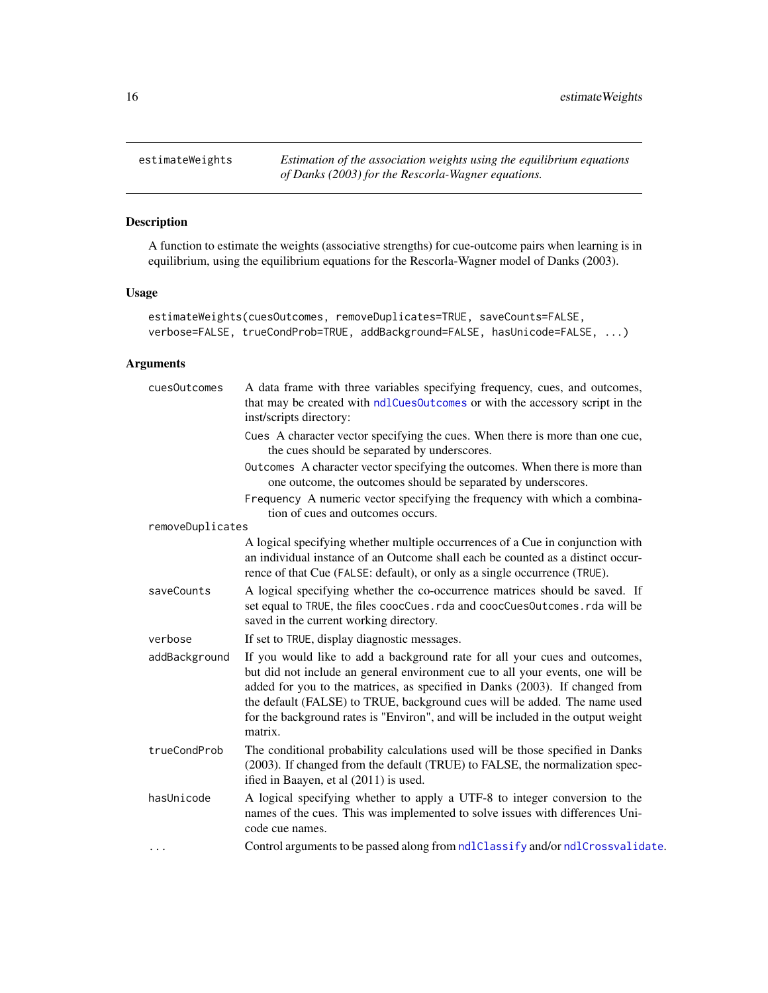<span id="page-15-1"></span><span id="page-15-0"></span>

A function to estimate the weights (associative strengths) for cue-outcome pairs when learning is in equilibrium, using the equilibrium equations for the Rescorla-Wagner model of Danks (2003).

#### Usage

```
estimateWeights(cuesOutcomes, removeDuplicates=TRUE, saveCounts=FALSE,
verbose=FALSE, trueCondProb=TRUE, addBackground=FALSE, hasUnicode=FALSE, ...)
```
#### Arguments

| cues0utcomes     | A data frame with three variables specifying frequency, cues, and outcomes,<br>that may be created with ndlCuesOutcomes or with the accessory script in the<br>inst/scripts directory:                                                                                                                                                                                                                                   |
|------------------|--------------------------------------------------------------------------------------------------------------------------------------------------------------------------------------------------------------------------------------------------------------------------------------------------------------------------------------------------------------------------------------------------------------------------|
|                  | Cues A character vector specifying the cues. When there is more than one cue,<br>the cues should be separated by underscores.                                                                                                                                                                                                                                                                                            |
|                  | Outcomes A character vector specifying the outcomes. When there is more than<br>one outcome, the outcomes should be separated by underscores.                                                                                                                                                                                                                                                                            |
|                  | Frequency A numeric vector specifying the frequency with which a combina-<br>tion of cues and outcomes occurs.                                                                                                                                                                                                                                                                                                           |
| removeDuplicates |                                                                                                                                                                                                                                                                                                                                                                                                                          |
|                  | A logical specifying whether multiple occurrences of a Cue in conjunction with<br>an individual instance of an Outcome shall each be counted as a distinct occur-<br>rence of that Cue (FALSE: default), or only as a single occurrence (TRUE).                                                                                                                                                                          |
| saveCounts       | A logical specifying whether the co-occurrence matrices should be saved. If<br>set equal to TRUE, the files coocCues.rda and coocCuesOutcomes.rda will be<br>saved in the current working directory.                                                                                                                                                                                                                     |
| verbose          | If set to TRUE, display diagnostic messages.                                                                                                                                                                                                                                                                                                                                                                             |
| addBackground    | If you would like to add a background rate for all your cues and outcomes,<br>but did not include an general environment cue to all your events, one will be<br>added for you to the matrices, as specified in Danks (2003). If changed from<br>the default (FALSE) to TRUE, background cues will be added. The name used<br>for the background rates is "Environ", and will be included in the output weight<br>matrix. |
| trueCondProb     | The conditional probability calculations used will be those specified in Danks<br>(2003). If changed from the default (TRUE) to FALSE, the normalization spec-<br>ified in Baayen, et al (2011) is used.                                                                                                                                                                                                                 |
| hasUnicode       | A logical specifying whether to apply a UTF-8 to integer conversion to the<br>names of the cues. This was implemented to solve issues with differences Uni-<br>code cue names.                                                                                                                                                                                                                                           |
| $\cdots$         | Control arguments to be passed along from ndlClassify and/or ndlCrossvalidate.                                                                                                                                                                                                                                                                                                                                           |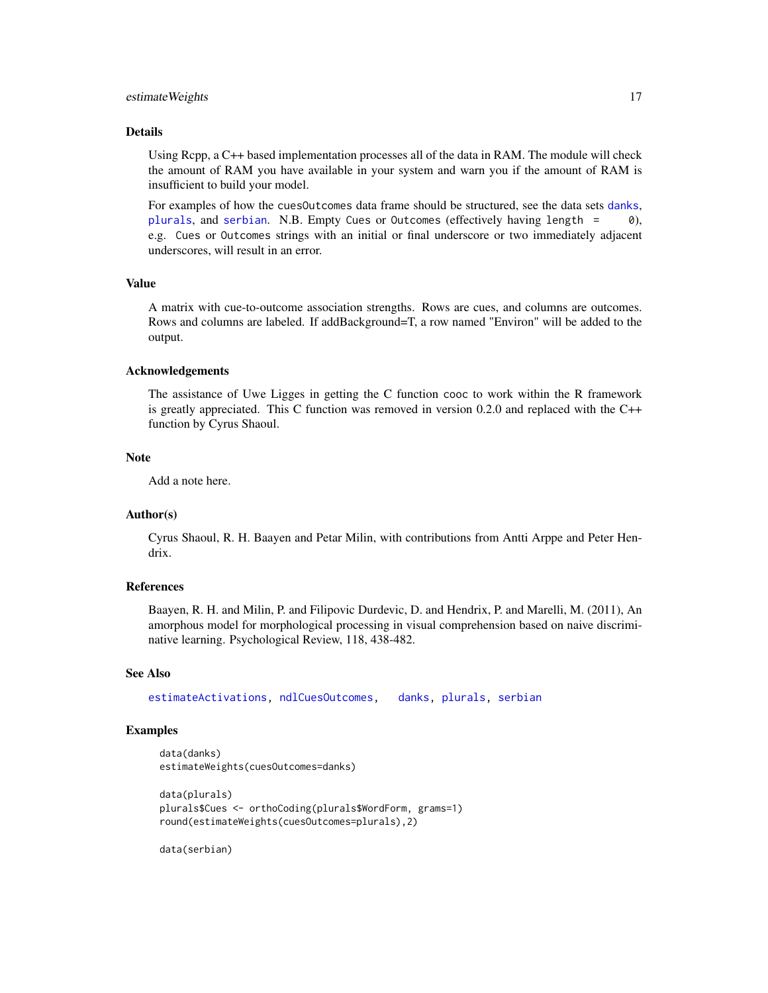#### <span id="page-16-0"></span>estimateWeights 17

#### Details

Using Rcpp, a C++ based implementation processes all of the data in RAM. The module will check the amount of RAM you have available in your system and warn you if the amount of RAM is insufficient to build your model.

For examples of how the cuesOutcomes data frame should be structured, see the data sets [danks](#page-11-1), [plurals](#page-40-1), and [serbian](#page-45-1). N.B. Empty Cues or Outcomes (effectively having length = 0), e.g. Cues or Outcomes strings with an initial or final underscore or two immediately adjacent underscores, will result in an error.

#### Value

A matrix with cue-to-outcome association strengths. Rows are cues, and columns are outcomes. Rows and columns are labeled. If addBackground=T, a row named "Environ" will be added to the output.

#### Acknowledgements

The assistance of Uwe Ligges in getting the C function cooc to work within the R framework is greatly appreciated. This C function was removed in version 0.2.0 and replaced with the C++ function by Cyrus Shaoul.

#### Note

Add a note here.

#### Author(s)

Cyrus Shaoul, R. H. Baayen and Petar Milin, with contributions from Antti Arppe and Peter Hendrix.

#### References

Baayen, R. H. and Milin, P. and Filipovic Durdevic, D. and Hendrix, P. and Marelli, M. (2011), An amorphous model for morphological processing in visual comprehension based on naive discriminative learning. Psychological Review, 118, 438-482.

#### See Also

[estimateActivations,](#page-13-1) [ndlCuesOutcomes,](#page-29-1) [danks,](#page-11-1) [plurals,](#page-40-1) [serbian](#page-45-1)

#### Examples

```
data(danks)
estimateWeights(cuesOutcomes=danks)
```

```
data(plurals)
plurals$Cues <- orthoCoding(plurals$WordForm, grams=1)
round(estimateWeights(cuesOutcomes=plurals),2)
```
data(serbian)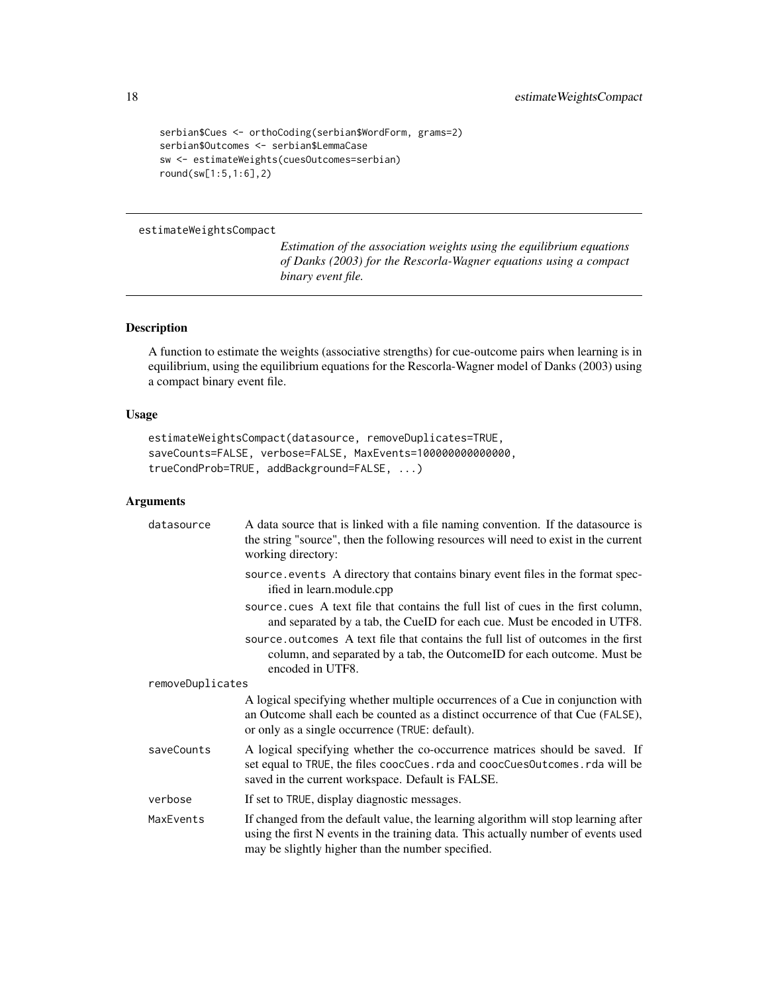```
serbian$Cues <- orthoCoding(serbian$WordForm, grams=2)
serbian$Outcomes <- serbian$LemmaCase
sw <- estimateWeights(cuesOutcomes=serbian)
round(sw[1:5,1:6],2)
```
#### <span id="page-17-1"></span>estimateWeightsCompact

*Estimation of the association weights using the equilibrium equations of Danks (2003) for the Rescorla-Wagner equations using a compact binary event file.*

#### Description

A function to estimate the weights (associative strengths) for cue-outcome pairs when learning is in equilibrium, using the equilibrium equations for the Rescorla-Wagner model of Danks (2003) using a compact binary event file.

#### Usage

```
estimateWeightsCompact(datasource, removeDuplicates=TRUE,
saveCounts=FALSE, verbose=FALSE, MaxEvents=100000000000000,
trueCondProb=TRUE, addBackground=FALSE, ...)
```
#### Arguments

| datasource       | A data source that is linked with a file naming convention. If the datasource is<br>the string "source", then the following resources will need to exist in the current<br>working directory:                                 |
|------------------|-------------------------------------------------------------------------------------------------------------------------------------------------------------------------------------------------------------------------------|
|                  | source, events A directory that contains binary event files in the format spec-<br>ified in learn.module.cpp                                                                                                                  |
|                  | source, cues A text file that contains the full list of cues in the first column,<br>and separated by a tab, the CueID for each cue. Must be encoded in UTF8.                                                                 |
|                  | source, outcomes A text file that contains the full list of outcomes in the first<br>column, and separated by a tab, the OutcomeID for each outcome. Must be<br>encoded in UTF8.                                              |
| removeDuplicates |                                                                                                                                                                                                                               |
|                  | A logical specifying whether multiple occurrences of a Cue in conjunction with<br>an Outcome shall each be counted as a distinct occurrence of that Cue (FALSE),<br>or only as a single occurrence (TRUE: default).           |
| saveCounts       | A logical specifying whether the co-occurrence matrices should be saved. If<br>set equal to TRUE, the files coocCues. rda and coocCuesOutcomes. rda will be<br>saved in the current workspace. Default is FALSE.              |
| verbose          | If set to TRUE, display diagnostic messages.                                                                                                                                                                                  |
| MaxEvents        | If changed from the default value, the learning algorithm will stop learning after<br>using the first N events in the training data. This actually number of events used<br>may be slightly higher than the number specified. |

<span id="page-17-0"></span>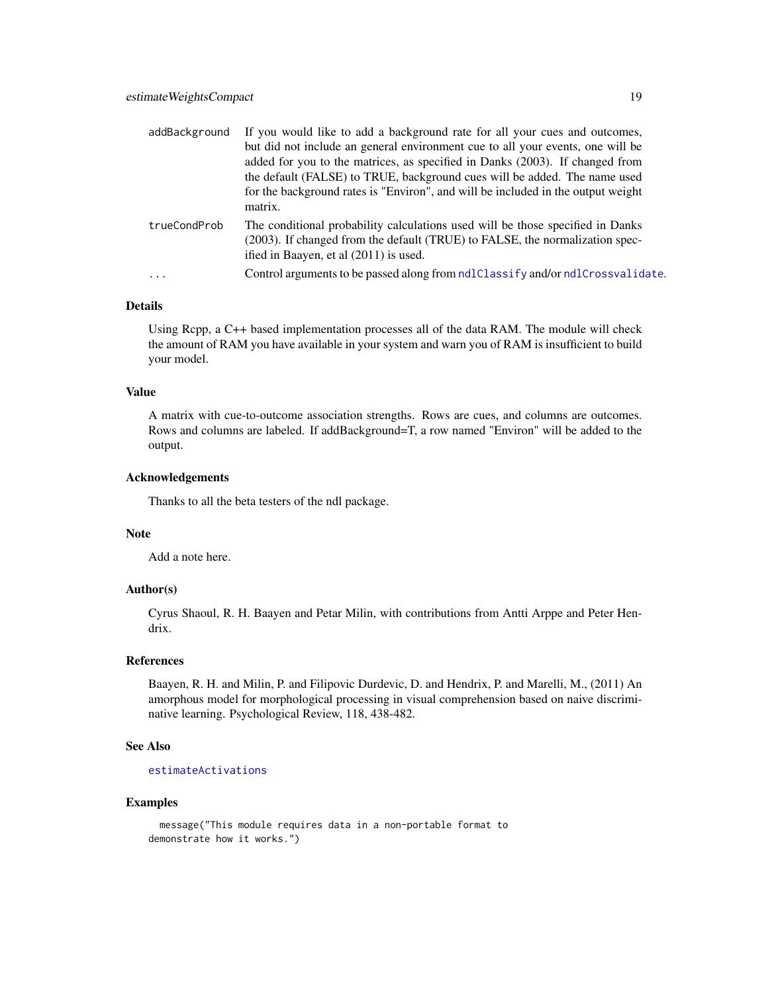<span id="page-18-0"></span>

| addBackground | If you would like to add a background rate for all your cues and outcomes,<br>but did not include an general environment cue to all your events, one will be<br>added for you to the matrices, as specified in Danks (2003). If changed from<br>the default (FALSE) to TRUE, background cues will be added. The name used<br>for the background rates is "Environ", and will be included in the output weight<br>matrix. |
|---------------|--------------------------------------------------------------------------------------------------------------------------------------------------------------------------------------------------------------------------------------------------------------------------------------------------------------------------------------------------------------------------------------------------------------------------|
| trueCondProb  | The conditional probability calculations used will be those specified in Danks<br>(2003). If changed from the default (TRUE) to FALSE, the normalization spec-<br>ified in Baayen, et al (2011) is used.                                                                                                                                                                                                                 |
| $\ddots$      | Control arguments to be passed along from ndlClassify and/or ndlCrossvalidate.                                                                                                                                                                                                                                                                                                                                           |

#### Details

Using Rcpp, a C++ based implementation processes all of the data RAM. The module will check the amount of RAM you have available in your system and warn you of RAM is insufficient to build your model.

#### Value

A matrix with cue-to-outcome association strengths. Rows are cues, and columns are outcomes. Rows and columns are labeled. If addBackground=T, a row named "Environ" will be added to the output.

#### Acknowledgements

Thanks to all the beta testers of the ndl package.

#### Note

Add a note here.

#### Author(s)

Cyrus Shaoul, R. H. Baayen and Petar Milin, with contributions from Antti Arppe and Peter Hendrix.

#### References

Baayen, R. H. and Milin, P. and Filipovic Durdevic, D. and Hendrix, P. and Marelli, M., (2011) An amorphous model for morphological processing in visual comprehension based on naive discriminative learning. Psychological Review, 118, 438-482.

#### See Also

#### [estimateActivations](#page-13-1)

#### Examples

message("This module requires data in a non-portable format to demonstrate how it works.")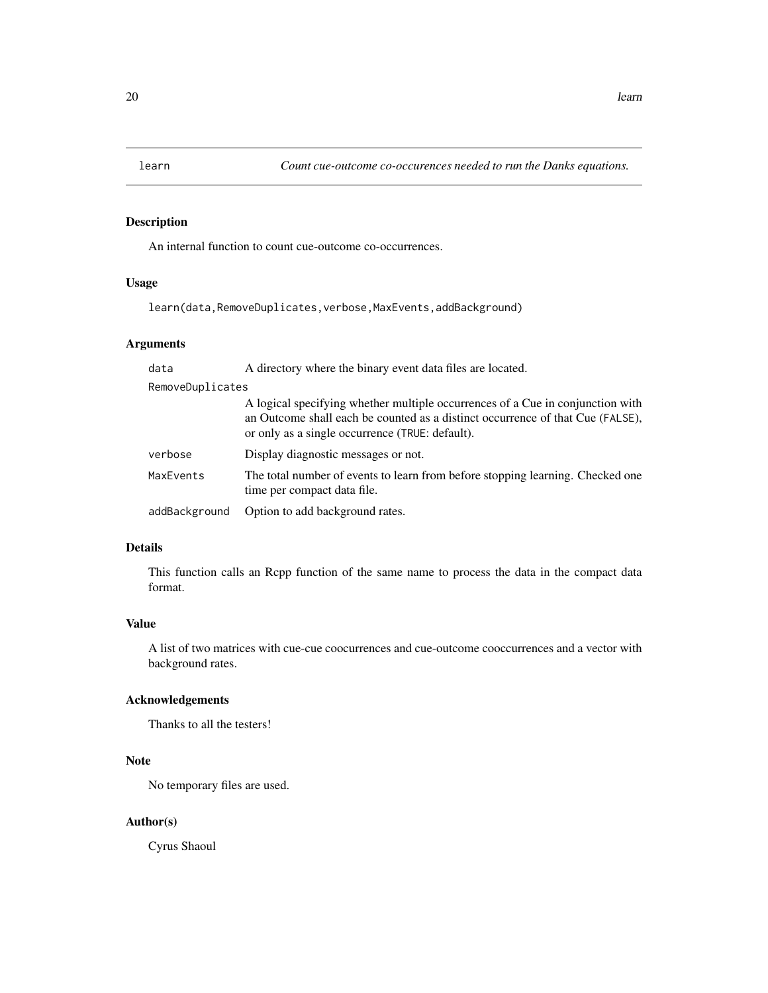<span id="page-19-1"></span><span id="page-19-0"></span>

An internal function to count cue-outcome co-occurrences.

#### Usage

learn(data,RemoveDuplicates,verbose,MaxEvents,addBackground)

#### Arguments

| data             | A directory where the binary event data files are located.                                                                                                                                                          |
|------------------|---------------------------------------------------------------------------------------------------------------------------------------------------------------------------------------------------------------------|
| RemoveDuplicates |                                                                                                                                                                                                                     |
|                  | A logical specifying whether multiple occurrences of a Cue in conjunction with<br>an Outcome shall each be counted as a distinct occurrence of that Cue (FALSE),<br>or only as a single occurrence (TRUE: default). |
| verbose          | Display diagnostic messages or not.                                                                                                                                                                                 |
| MaxEvents        | The total number of events to learn from before stopping learning. Checked one<br>time per compact data file.                                                                                                       |
| addBackground    | Option to add background rates.                                                                                                                                                                                     |

#### Details

This function calls an Rcpp function of the same name to process the data in the compact data format.

#### Value

A list of two matrices with cue-cue coocurrences and cue-outcome cooccurrences and a vector with background rates.

#### Acknowledgements

Thanks to all the testers!

#### Note

No temporary files are used.

#### Author(s)

Cyrus Shaoul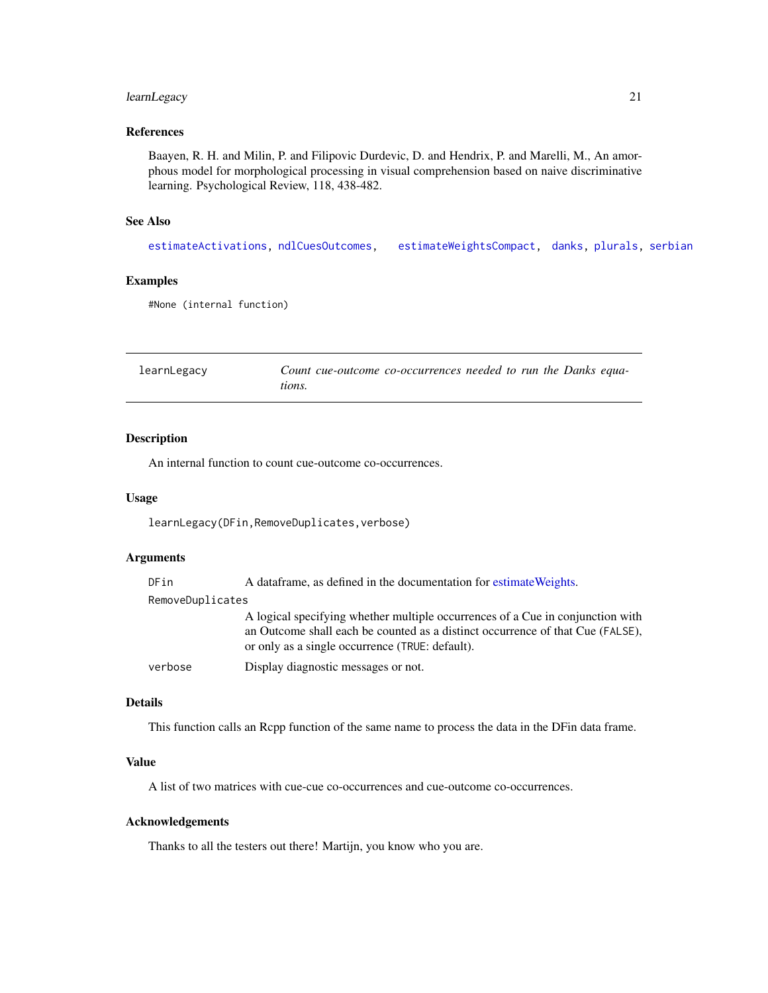#### <span id="page-20-0"></span>learnLegacy 21

#### References

Baayen, R. H. and Milin, P. and Filipovic Durdevic, D. and Hendrix, P. and Marelli, M., An amorphous model for morphological processing in visual comprehension based on naive discriminative learning. Psychological Review, 118, 438-482.

#### See Also

[estimateActivations,](#page-13-1) [ndlCuesOutcomes,](#page-29-1) [estimateWeightsCompact,](#page-17-1) [danks,](#page-11-1) [plurals,](#page-40-1) [serbian](#page-45-1)

#### Examples

```
#None (internal function)
```
<span id="page-20-1"></span>learnLegacy *Count cue-outcome co-occurrences needed to run the Danks equations.*

#### Description

An internal function to count cue-outcome co-occurrences.

#### Usage

learnLegacy(DFin,RemoveDuplicates,verbose)

#### Arguments

| DFin             | A data frame, as defined in the documentation for estimate Weights.                                                                                                                                                 |
|------------------|---------------------------------------------------------------------------------------------------------------------------------------------------------------------------------------------------------------------|
| RemoveDuplicates |                                                                                                                                                                                                                     |
|                  | A logical specifying whether multiple occurrences of a Cue in conjunction with<br>an Outcome shall each be counted as a distinct occurrence of that Cue (FALSE),<br>or only as a single occurrence (TRUE: default). |
| verbose          | Display diagnostic messages or not.                                                                                                                                                                                 |

#### Details

This function calls an Rcpp function of the same name to process the data in the DFin data frame.

#### Value

A list of two matrices with cue-cue co-occurrences and cue-outcome co-occurrences.

#### Acknowledgements

Thanks to all the testers out there! Martijn, you know who you are.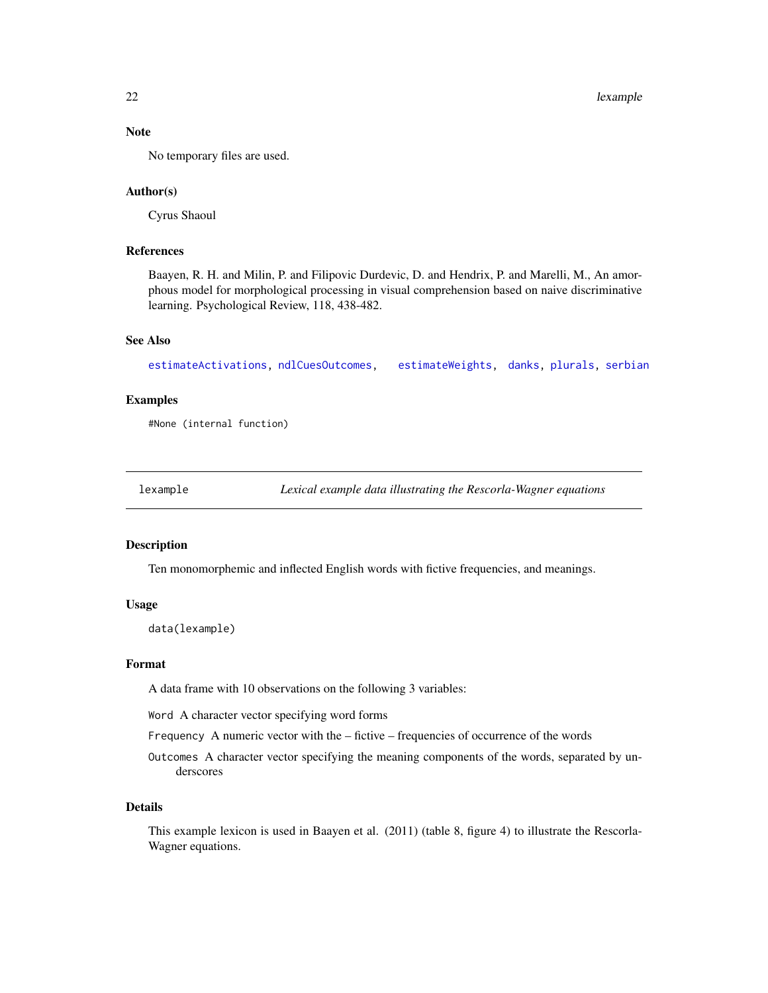#### <span id="page-21-0"></span>Note

No temporary files are used.

#### Author(s)

Cyrus Shaoul

#### References

Baayen, R. H. and Milin, P. and Filipovic Durdevic, D. and Hendrix, P. and Marelli, M., An amorphous model for morphological processing in visual comprehension based on naive discriminative learning. Psychological Review, 118, 438-482.

#### See Also

[estimateActivations,](#page-13-1) [ndlCuesOutcomes,](#page-29-1) [estimateWeights,](#page-15-1) [danks,](#page-11-1) [plurals,](#page-40-1) [serbian](#page-45-1)

#### Examples

#None (internal function)

<span id="page-21-1"></span>lexample *Lexical example data illustrating the Rescorla-Wagner equations*

#### Description

Ten monomorphemic and inflected English words with fictive frequencies, and meanings.

#### Usage

data(lexample)

#### Format

A data frame with 10 observations on the following 3 variables:

Word A character vector specifying word forms

Frequency A numeric vector with the – fictive – frequencies of occurrence of the words

Outcomes A character vector specifying the meaning components of the words, separated by underscores

#### Details

This example lexicon is used in Baayen et al. (2011) (table 8, figure 4) to illustrate the Rescorla-Wagner equations.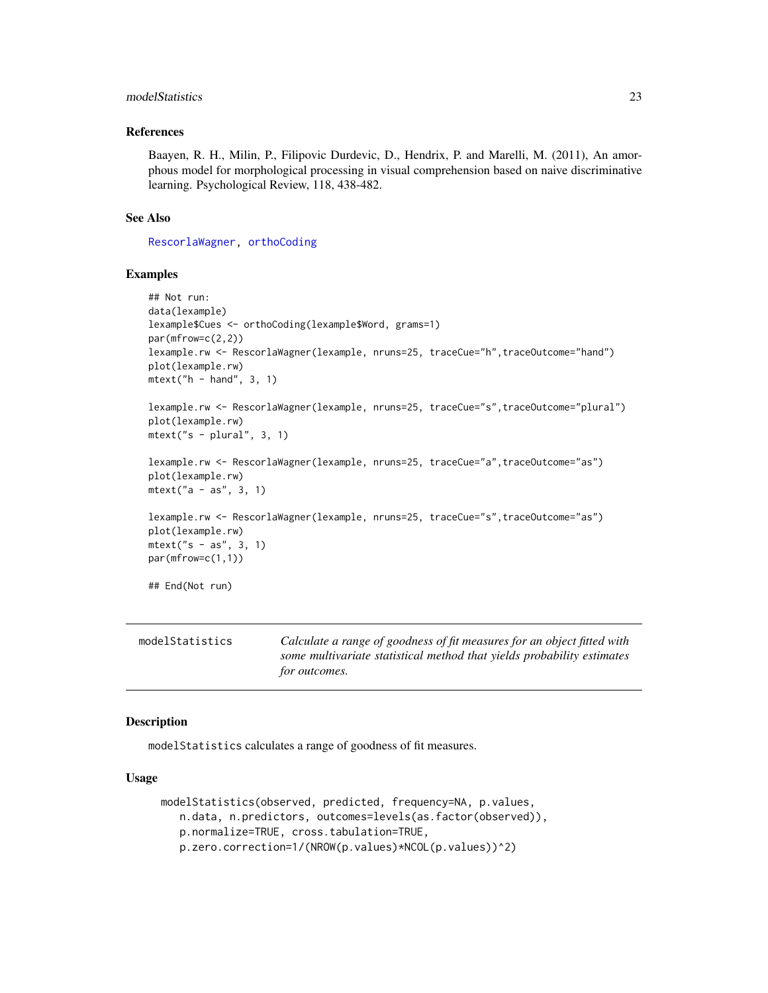#### <span id="page-22-0"></span>modelStatistics 23

#### References

Baayen, R. H., Milin, P., Filipovic Durdevic, D., Hendrix, P. and Marelli, M. (2011), An amorphous model for morphological processing in visual comprehension based on naive discriminative learning. Psychological Review, 118, 438-482.

#### See Also

[RescorlaWagner,](#page-43-1) [orthoCoding](#page-34-1)

#### Examples

```
## Not run:
data(lexample)
lexample$Cues <- orthoCoding(lexample$Word, grams=1)
par(mfrow=c(2,2))
lexample.rw <- RescorlaWagner(lexample, nruns=25, traceCue="h",traceOutcome="hand")
plot(lexample.rw)
mtext{text('h - hand'', 3, 1)}lexample.rw <- RescorlaWagner(lexample, nruns=25, traceCue="s",traceOutcome="plural")
plot(lexample.rw)
mtext("s - plural", 3, 1)
lexample.rw <- RescorlaWagner(lexample, nruns=25, traceCue="a",traceOutcome="as")
plot(lexample.rw)
mtext("a - as", 3, 1)
lexample.rw <- RescorlaWagner(lexample, nruns=25, traceCue="s",traceOutcome="as")
plot(lexample.rw)
mtext("s - as", 3, 1)
par(mfrow=c(1,1))
## End(Not run)
```
<span id="page-22-1"></span>

| modelStatistics | Calculate a range of goodness of fit measures for an object fitted with |
|-----------------|-------------------------------------------------------------------------|
|                 | some multivariate statistical method that yields probability estimates  |
|                 | <i>for outcomes.</i>                                                    |

#### Description

modelStatistics calculates a range of goodness of fit measures.

#### Usage

```
modelStatistics(observed, predicted, frequency=NA, p.values,
   n.data, n.predictors, outcomes=levels(as.factor(observed)),
   p.normalize=TRUE, cross.tabulation=TRUE,
   p.zero.correction=1/(NROW(p.values)*NCOL(p.values))^2)
```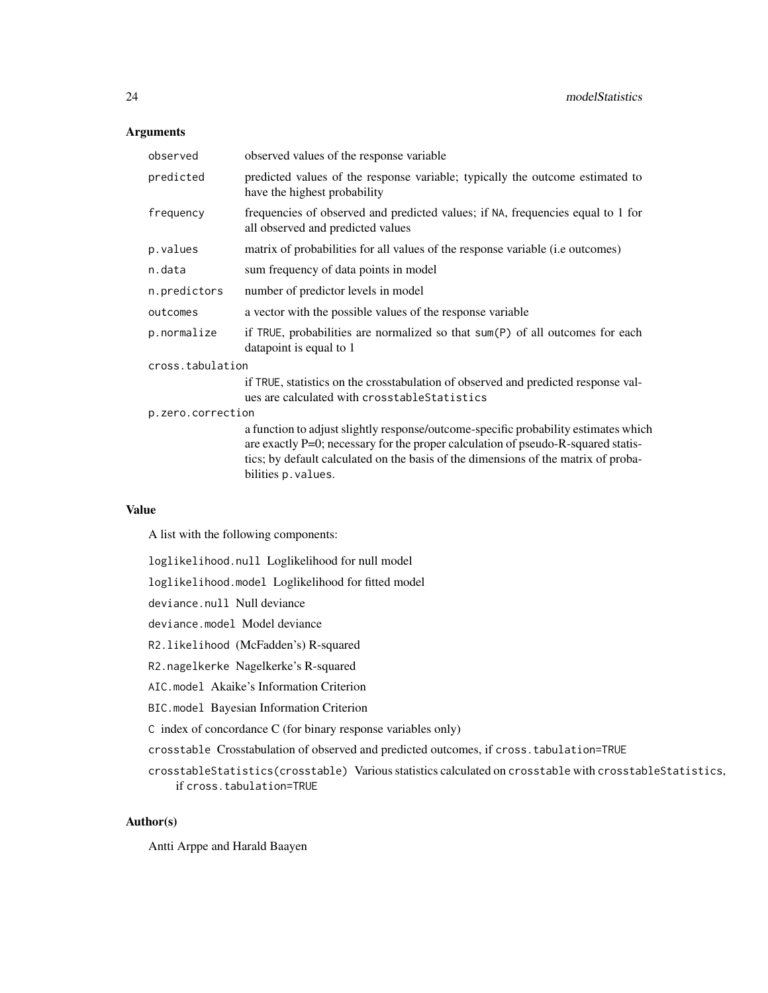#### Arguments

| observed          | observed values of the response variable                                                                                                                                                                                                                       |
|-------------------|----------------------------------------------------------------------------------------------------------------------------------------------------------------------------------------------------------------------------------------------------------------|
| predicted         | predicted values of the response variable; typically the outcome estimated to<br>have the highest probability                                                                                                                                                  |
| frequency         | frequencies of observed and predicted values; if NA, frequencies equal to 1 for<br>all observed and predicted values                                                                                                                                           |
| p.values          | matrix of probabilities for all values of the response variable ( <i>i.e outcomes</i> )                                                                                                                                                                        |
| n.data            | sum frequency of data points in model                                                                                                                                                                                                                          |
| n.predictors      | number of predictor levels in model                                                                                                                                                                                                                            |
| outcomes          | a vector with the possible values of the response variable                                                                                                                                                                                                     |
| p.normalize       | if TRUE, probabilities are normalized so that sum(P) of all outcomes for each<br>datapoint is equal to 1                                                                                                                                                       |
| cross.tabulation  |                                                                                                                                                                                                                                                                |
|                   | if TRUE, statistics on the crosstabulation of observed and predicted response val-<br>ues are calculated with crosstable Statistics                                                                                                                            |
| p.zero.correction |                                                                                                                                                                                                                                                                |
|                   | a function to adjust slightly response/outcome-specific probability estimates which<br>are exactly P=0; necessary for the proper calculation of pseudo-R-squared statis-<br>tics; by default calculated on the basis of the dimensions of the matrix of proba- |

#### Value

A list with the following components:

loglikelihood.null Loglikelihood for null model

loglikelihood.model Loglikelihood for fitted model

bilities p.values.

deviance.null Null deviance

deviance.model Model deviance

R2.likelihood (McFadden's) R-squared

R2.nagelkerke Nagelkerke's R-squared

AIC.model Akaike's Information Criterion

BIC.model Bayesian Information Criterion

C index of concordance C (for binary response variables only)

crosstable Crosstabulation of observed and predicted outcomes, if cross.tabulation=TRUE

crosstableStatistics(crosstable) Various statistics calculated on crosstable with crosstableStatistics, if cross.tabulation=TRUE

#### Author(s)

Antti Arppe and Harald Baayen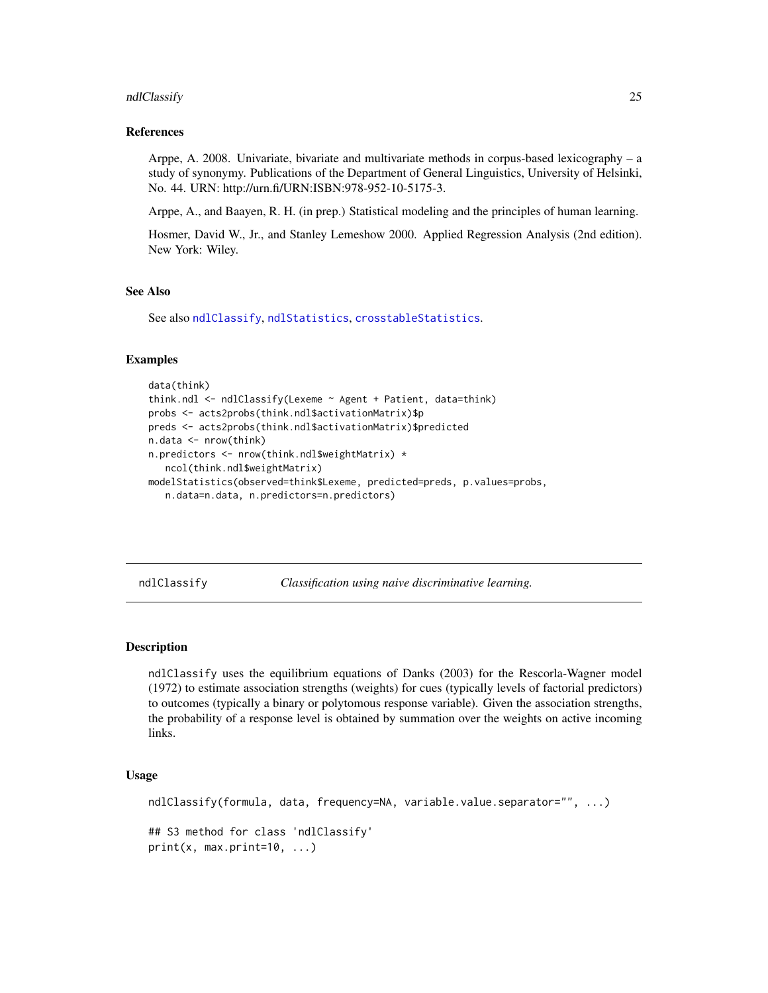#### <span id="page-24-0"></span>ndlClassify 25

#### References

Arppe, A. 2008. Univariate, bivariate and multivariate methods in corpus-based lexicography – a study of synonymy. Publications of the Department of General Linguistics, University of Helsinki, No. 44. URN: http://urn.fi/URN:ISBN:978-952-10-5175-3.

Arppe, A., and Baayen, R. H. (in prep.) Statistical modeling and the principles of human learning.

Hosmer, David W., Jr., and Stanley Lemeshow 2000. Applied Regression Analysis (2nd edition). New York: Wiley.

#### See Also

See also [ndlClassify](#page-24-1), [ndlStatistics](#page-31-1), [crosstableStatistics](#page-8-1).

#### Examples

```
data(think)
think.ndl <- ndlClassify(Lexeme ~ Agent + Patient, data=think)
probs <- acts2probs(think.ndl$activationMatrix)$p
preds <- acts2probs(think.ndl$activationMatrix)$predicted
n.data <- nrow(think)
n.predictors <- nrow(think.ndl$weightMatrix) *
   ncol(think.ndl$weightMatrix)
modelStatistics(observed=think$Lexeme, predicted=preds, p.values=probs,
   n.data=n.data, n.predictors=n.predictors)
```
<span id="page-24-1"></span>ndlClassify *Classification using naive discriminative learning.*

#### <span id="page-24-2"></span>Description

ndlClassify uses the equilibrium equations of Danks (2003) for the Rescorla-Wagner model (1972) to estimate association strengths (weights) for cues (typically levels of factorial predictors) to outcomes (typically a binary or polytomous response variable). Given the association strengths, the probability of a response level is obtained by summation over the weights on active incoming links.

#### Usage

```
ndlClassify(formula, data, frequency=NA, variable.value.separator="", ...)
## S3 method for class 'ndlClassify'
print(x, max.print=10, ...)
```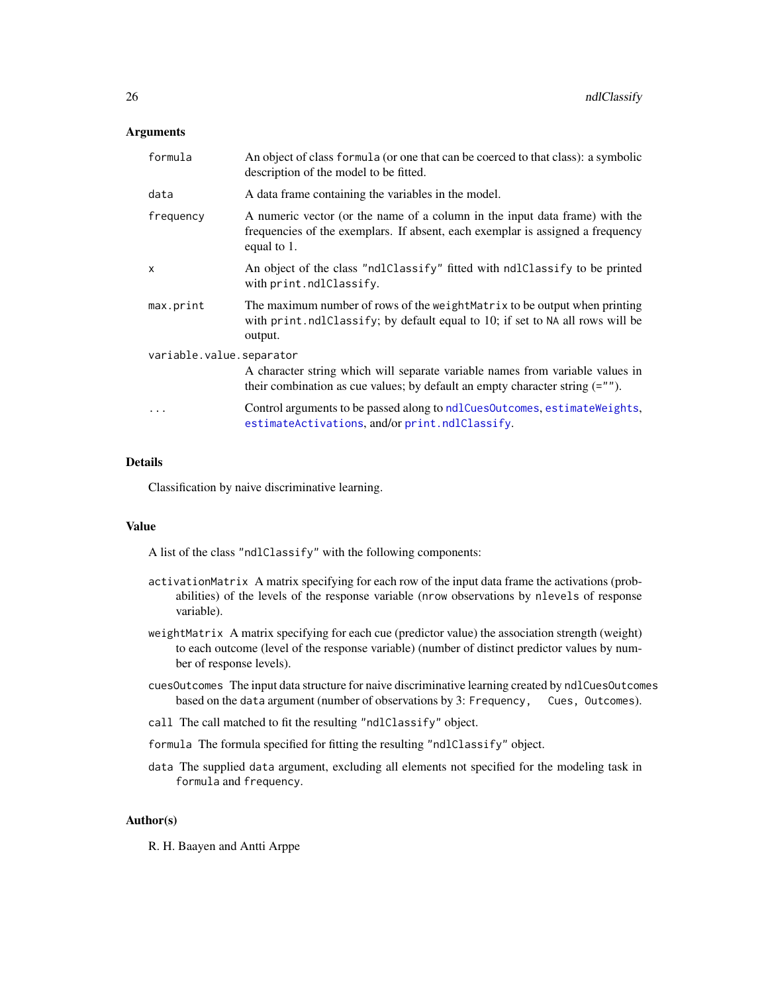#### <span id="page-25-0"></span>**Arguments**

| formula                  | An object of class formula (or one that can be coerced to that class): a symbolic<br>description of the model to be fitted.                                                  |  |
|--------------------------|------------------------------------------------------------------------------------------------------------------------------------------------------------------------------|--|
| data                     | A data frame containing the variables in the model.                                                                                                                          |  |
| frequency                | A numeric vector (or the name of a column in the input data frame) with the<br>frequencies of the exemplars. If absent, each exemplar is assigned a frequency<br>equal to 1. |  |
| $\mathsf{x}$             | An object of the class "ndlClassify" fitted with ndlClassify to be printed<br>with print.ndlClassify.                                                                        |  |
| max.print                | The maximum number of rows of the weight Matrix to be output when printing<br>with print.ndlClassify; by default equal to 10; if set to NA all rows will be<br>output.       |  |
| variable.value.separator |                                                                                                                                                                              |  |
|                          | A character string which will separate variable names from variable values in<br>their combination as cue values; by default an empty character string $(=^n)$ .             |  |
| .                        | Control arguments to be passed along to ndlCuesOutcomes, estimateWeights,<br>estimateActivations, and/or print.ndlClassify.                                                  |  |

### Details

Classification by naive discriminative learning.

#### Value

A list of the class "ndlClassify" with the following components:

- activationMatrix A matrix specifying for each row of the input data frame the activations (probabilities) of the levels of the response variable (nrow observations by nlevels of response variable).
- weightMatrix A matrix specifying for each cue (predictor value) the association strength (weight) to each outcome (level of the response variable) (number of distinct predictor values by number of response levels).
- cuesOutcomes The input data structure for naive discriminative learning created by ndlCuesOutcomes based on the data argument (number of observations by 3: Frequency, Cues, Outcomes).
- call The call matched to fit the resulting "ndlClassify" object.
- formula The formula specified for fitting the resulting "ndlClassify" object.
- data The supplied data argument, excluding all elements not specified for the modeling task in formula and frequency.

#### Author(s)

R. H. Baayen and Antti Arppe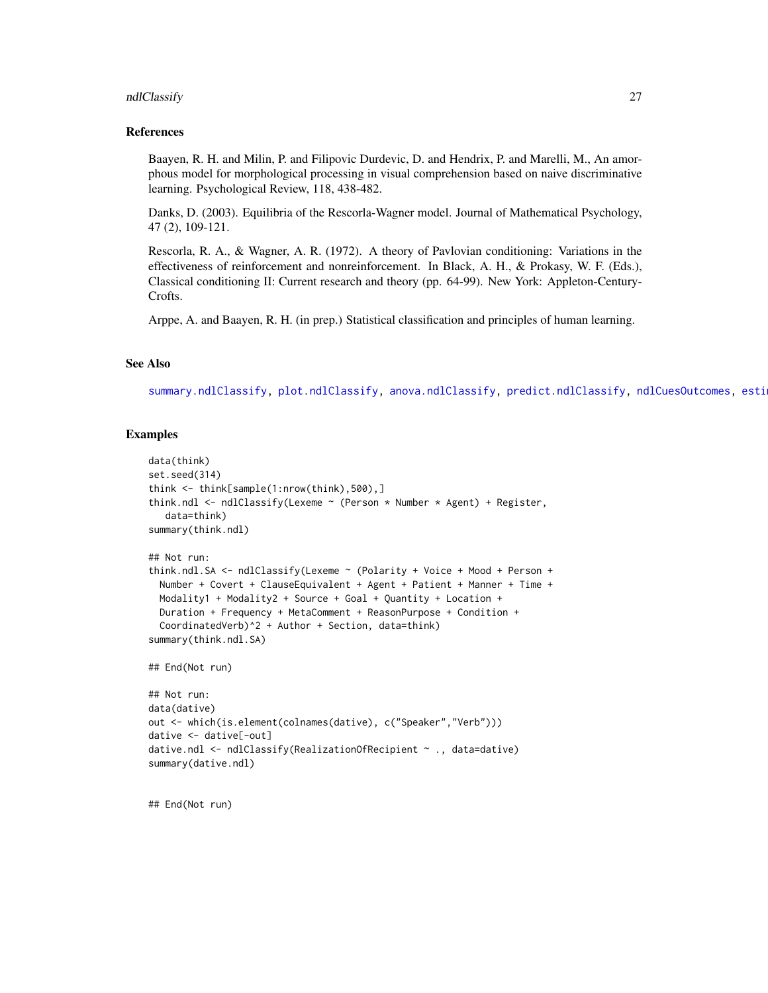#### <span id="page-26-0"></span>ndlClassify 27

#### References

Baayen, R. H. and Milin, P. and Filipovic Durdevic, D. and Hendrix, P. and Marelli, M., An amorphous model for morphological processing in visual comprehension based on naive discriminative learning. Psychological Review, 118, 438-482.

Danks, D. (2003). Equilibria of the Rescorla-Wagner model. Journal of Mathematical Psychology, 47 (2), 109-121.

Rescorla, R. A., & Wagner, A. R. (1972). A theory of Pavlovian conditioning: Variations in the effectiveness of reinforcement and nonreinforcement. In Black, A. H., & Prokasy, W. F. (Eds.), Classical conditioning II: Current research and theory (pp. 64-99). New York: Appleton-Century-Crofts.

Arppe, A. and Baayen, R. H. (in prep.) Statistical classification and principles of human learning.

#### See Also

[summary.ndlClassify,](#page-50-1) [plot.ndlClassify,](#page-36-1) [anova.ndlClassify,](#page-7-1) [predict.ndlClassify,](#page-41-1) [ndlCuesOutcomes,](#page-29-1) esti

#### Examples

```
data(think)
set.seed(314)
think <- think[sample(1:nrow(think),500),]
think.ndl <- ndlClassify(Lexeme ~ (Person * Number * Agent) + Register,
  data=think)
summary(think.ndl)
## Not run:
think.ndl.SA <- ndlClassify(Lexeme ~ (Polarity + Voice + Mood + Person +
 Number + Covert + ClauseEquivalent + Agent + Patient + Manner + Time +
 Modality1 + Modality2 + Source + Goal + Quantity + Location +
 Duration + Frequency + MetaComment + ReasonPurpose + Condition +
 CoordinatedVerb)^2 + Author + Section, data=think)
summary(think.ndl.SA)
## End(Not run)
## Not run:
data(dative)
out <- which(is.element(colnames(dative), c("Speaker","Verb")))
dative <- dative[-out]
dative.ndl <- ndlClassify(RealizationOfRecipient ~ ., data=dative)
summary(dative.ndl)
```
## End(Not run)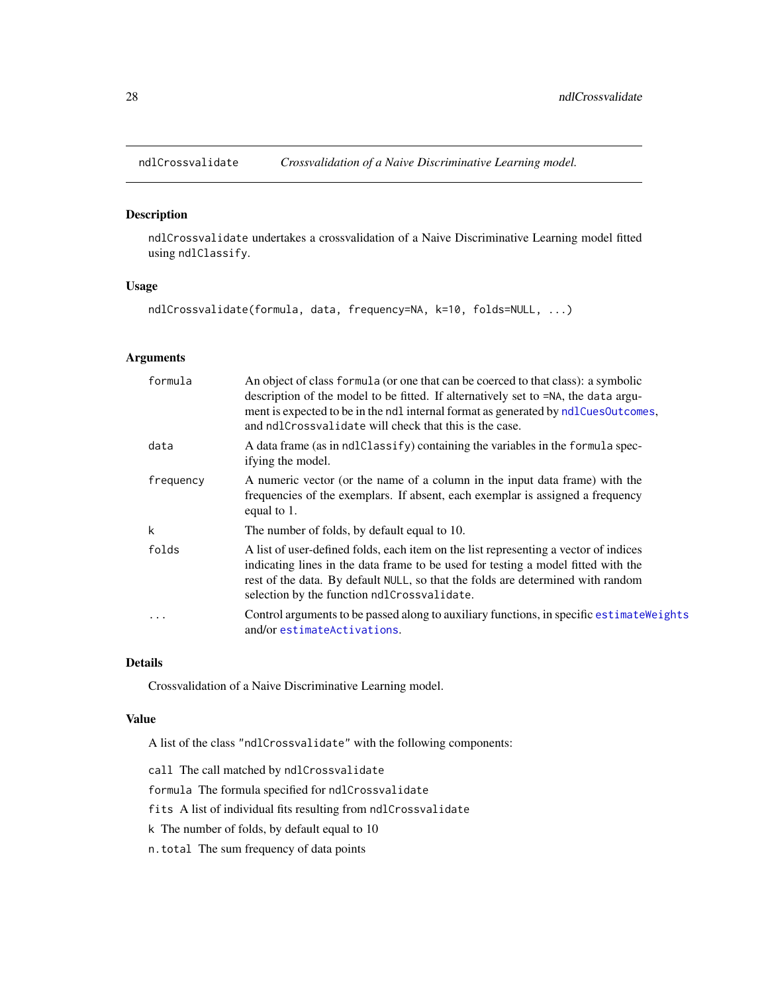<span id="page-27-1"></span><span id="page-27-0"></span>

ndlCrossvalidate undertakes a crossvalidation of a Naive Discriminative Learning model fitted using ndlClassify.

#### Usage

ndlCrossvalidate(formula, data, frequency=NA, k=10, folds=NULL, ...)

#### Arguments

| formula   | An object of class formula (or one that can be coerced to that class): a symbolic<br>description of the model to be fitted. If alternatively set to =NA, the data argu-<br>ment is expected to be in the ndl internal format as generated by ndlCuesOutcomes,<br>and ndlCrossvalidate will check that this is the case. |
|-----------|-------------------------------------------------------------------------------------------------------------------------------------------------------------------------------------------------------------------------------------------------------------------------------------------------------------------------|
| data      | A data frame (as in ndlClassify) containing the variables in the formula spec-<br>ifying the model.                                                                                                                                                                                                                     |
| frequency | A numeric vector (or the name of a column in the input data frame) with the<br>frequencies of the exemplars. If absent, each exemplar is assigned a frequency<br>equal to 1.                                                                                                                                            |
| k         | The number of folds, by default equal to 10.                                                                                                                                                                                                                                                                            |
| folds     | A list of user-defined folds, each item on the list representing a vector of indices<br>indicating lines in the data frame to be used for testing a model fitted with the<br>rest of the data. By default NULL, so that the folds are determined with random<br>selection by the function ndlCrossvalidate.             |
| $\ddotsc$ | Control arguments to be passed along to auxiliary functions, in specific estimate Weights<br>and/or estimateActivations.                                                                                                                                                                                                |

#### Details

Crossvalidation of a Naive Discriminative Learning model.

#### Value

A list of the class "ndlCrossvalidate" with the following components:

- call The call matched by ndlCrossvalidate
- formula The formula specified for ndlCrossvalidate
- fits A list of individual fits resulting from ndlCrossvalidate
- k The number of folds, by default equal to 10
- n.total The sum frequency of data points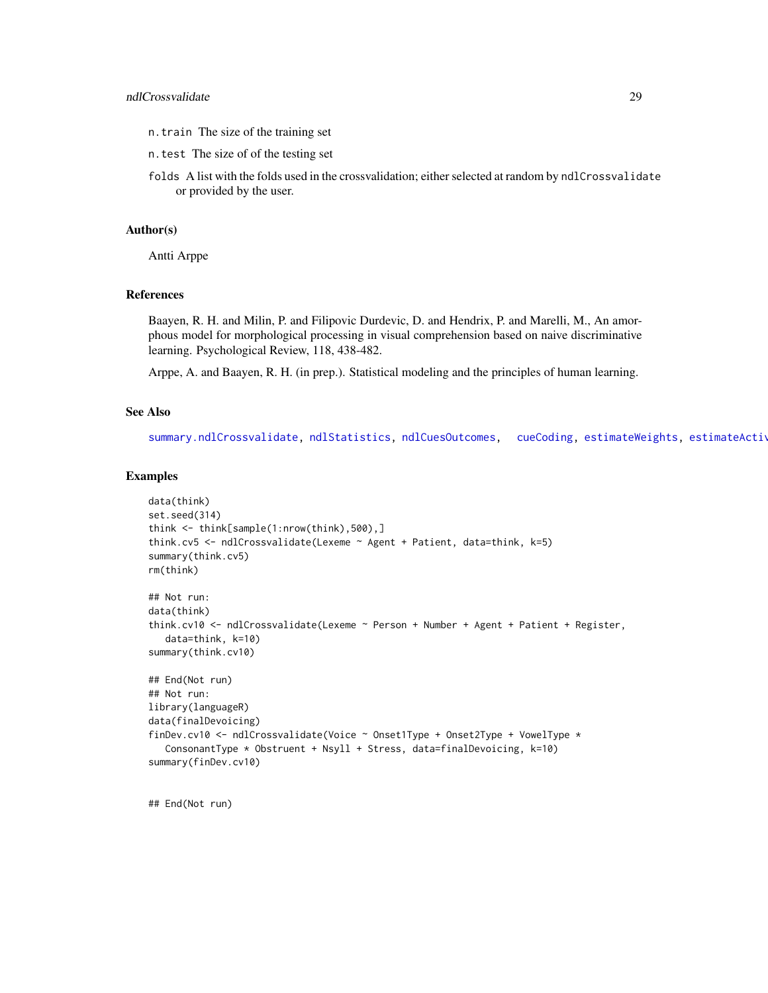#### <span id="page-28-0"></span>ndlCrossvalidate 29

- n.train The size of the training set
- n.test The size of of the testing set
- folds A list with the folds used in the crossvalidation; either selected at random by ndlCrossvalidate or provided by the user.

#### Author(s)

Antti Arppe

#### References

Baayen, R. H. and Milin, P. and Filipovic Durdevic, D. and Hendrix, P. and Marelli, M., An amorphous model for morphological processing in visual comprehension based on naive discriminative learning. Psychological Review, 118, 438-482.

Arppe, A. and Baayen, R. H. (in prep.). Statistical modeling and the principles of human learning.

#### See Also

[summary.ndlCrossvalidate,](#page-52-1) [ndlStatistics,](#page-31-1) [ndlCuesOutcomes,](#page-29-1) [cueCoding,](#page-10-1) [estimateWeights,](#page-15-1) estimateActiv

#### Examples

```
data(think)
set.seed(314)
think <- think[sample(1:nrow(think),500),]
think.cv5 <- ndlCrossvalidate(Lexeme ~ Agent + Patient, data=think, k=5)
summary(think.cv5)
rm(think)
## Not run:
data(think)
think.cv10 <- ndlCrossvalidate(Lexeme ~ Person + Number + Agent + Patient + Register,
   data=think, k=10)
summary(think.cv10)
## End(Not run)
## Not run:
library(languageR)
data(finalDevoicing)
finDev.cv10 <- ndlCrossvalidate(Voice ~ Onset1Type + Onset2Type + VowelType *
   ConsonantType * Obstruent + Nsyll + Stress, data=finalDevoicing, k=10)
summary(finDev.cv10)
```
## End(Not run)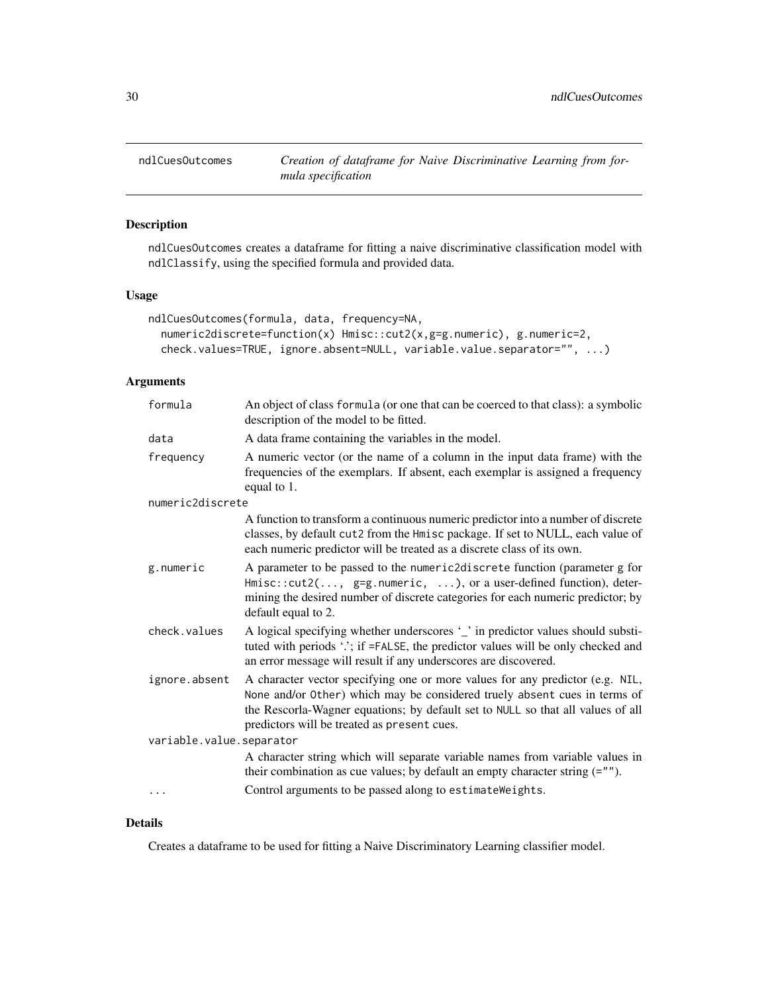<span id="page-29-1"></span><span id="page-29-0"></span>

ndlCuesOutcomes creates a dataframe for fitting a naive discriminative classification model with ndlClassify, using the specified formula and provided data.

#### Usage

```
ndlCuesOutcomes(formula, data, frequency=NA,
 numeric2discrete=function(x) Hmisc::cut2(x,g=g.numeric), g.numeric=2,
 check.values=TRUE, ignore.absent=NULL, variable.value.separator="", ...)
```
#### Arguments

| formula                  | An object of class formula (or one that can be coerced to that class): a symbolic<br>description of the model to be fitted.                                                                                                                                                                  |
|--------------------------|----------------------------------------------------------------------------------------------------------------------------------------------------------------------------------------------------------------------------------------------------------------------------------------------|
| data                     | A data frame containing the variables in the model.                                                                                                                                                                                                                                          |
| frequency                | A numeric vector (or the name of a column in the input data frame) with the<br>frequencies of the exemplars. If absent, each exemplar is assigned a frequency<br>equal to 1.                                                                                                                 |
| numeric2discrete         |                                                                                                                                                                                                                                                                                              |
|                          | A function to transform a continuous numeric predictor into a number of discrete<br>classes, by default cut2 from the Hmisc package. If set to NULL, each value of<br>each numeric predictor will be treated as a discrete class of its own.                                                 |
| g.numeric                | A parameter to be passed to the numeric2discrete function (parameter g for<br>Hmisc::cut2(, g=g.numeric, ), or a user-defined function), deter-<br>mining the desired number of discrete categories for each numeric predictor; by<br>default equal to 2.                                    |
| check.values             | A logical specifying whether underscores '_' in predictor values should substi-<br>tuted with periods '.'; if =FALSE, the predictor values will be only checked and<br>an error message will result if any underscores are discovered.                                                       |
| ignore.absent            | A character vector specifying one or more values for any predictor (e.g. NIL,<br>None and/or Other) which may be considered truely absent cues in terms of<br>the Rescorla-Wagner equations; by default set to NULL so that all values of all<br>predictors will be treated as present cues. |
| variable.value.separator |                                                                                                                                                                                                                                                                                              |
|                          | A character string which will separate variable names from variable values in<br>their combination as cue values; by default an empty character string $(= "")$ .                                                                                                                            |
|                          | Control arguments to be passed along to estimate Weights.                                                                                                                                                                                                                                    |

### Details

Creates a dataframe to be used for fitting a Naive Discriminatory Learning classifier model.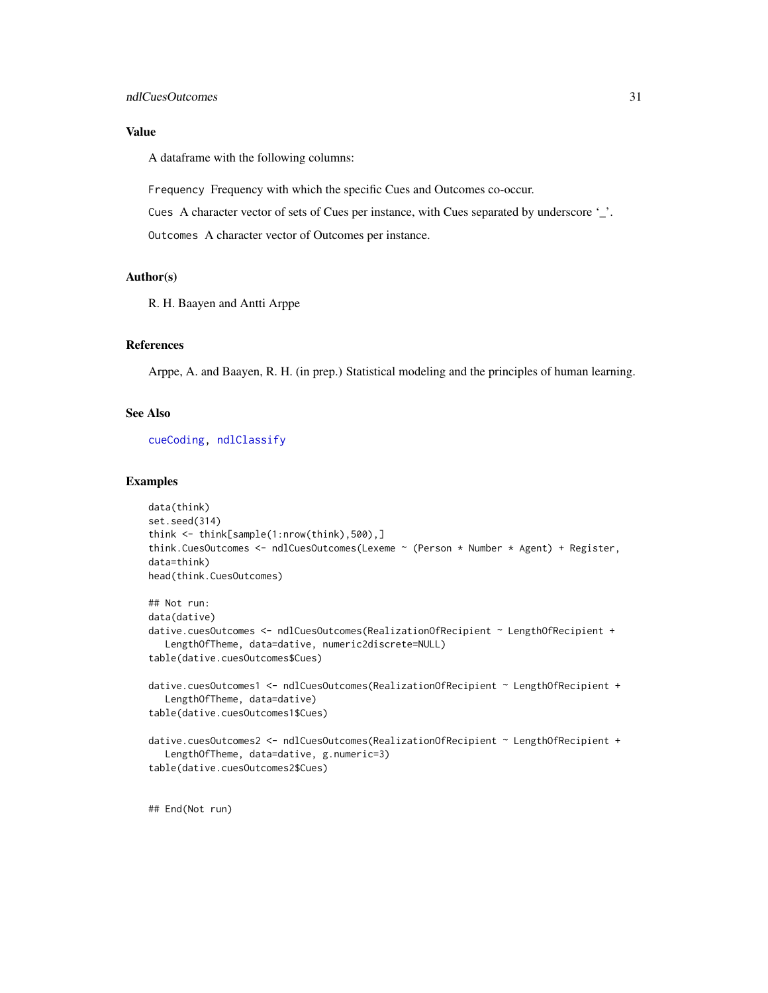#### <span id="page-30-0"></span>Value

A dataframe with the following columns:

Frequency Frequency with which the specific Cues and Outcomes co-occur.

Cues A character vector of sets of Cues per instance, with Cues separated by underscore '\_'.

Outcomes A character vector of Outcomes per instance.

#### Author(s)

R. H. Baayen and Antti Arppe

#### References

Arppe, A. and Baayen, R. H. (in prep.) Statistical modeling and the principles of human learning.

#### See Also

[cueCoding,](#page-10-1) [ndlClassify](#page-24-1)

```
data(think)
set.seed(314)
think <- think[sample(1:nrow(think),500),]
think.CuesOutcomes <- ndlCuesOutcomes(Lexeme ~ (Person * Number * Agent) + Register,
data=think)
head(think.CuesOutcomes)
## Not run:
data(dative)
dative.cuesOutcomes <- ndlCuesOutcomes(RealizationOfRecipient ~ LengthOfRecipient +
   LengthOfTheme, data=dative, numeric2discrete=NULL)
table(dative.cuesOutcomes$Cues)
dative.cuesOutcomes1 <- ndlCuesOutcomes(RealizationOfRecipient ~ LengthOfRecipient +
   LengthOfTheme, data=dative)
table(dative.cuesOutcomes1$Cues)
dative.cuesOutcomes2 <- ndlCuesOutcomes(RealizationOfRecipient ~ LengthOfRecipient +
   LengthOfTheme, data=dative, g.numeric=3)
table(dative.cuesOutcomes2$Cues)
```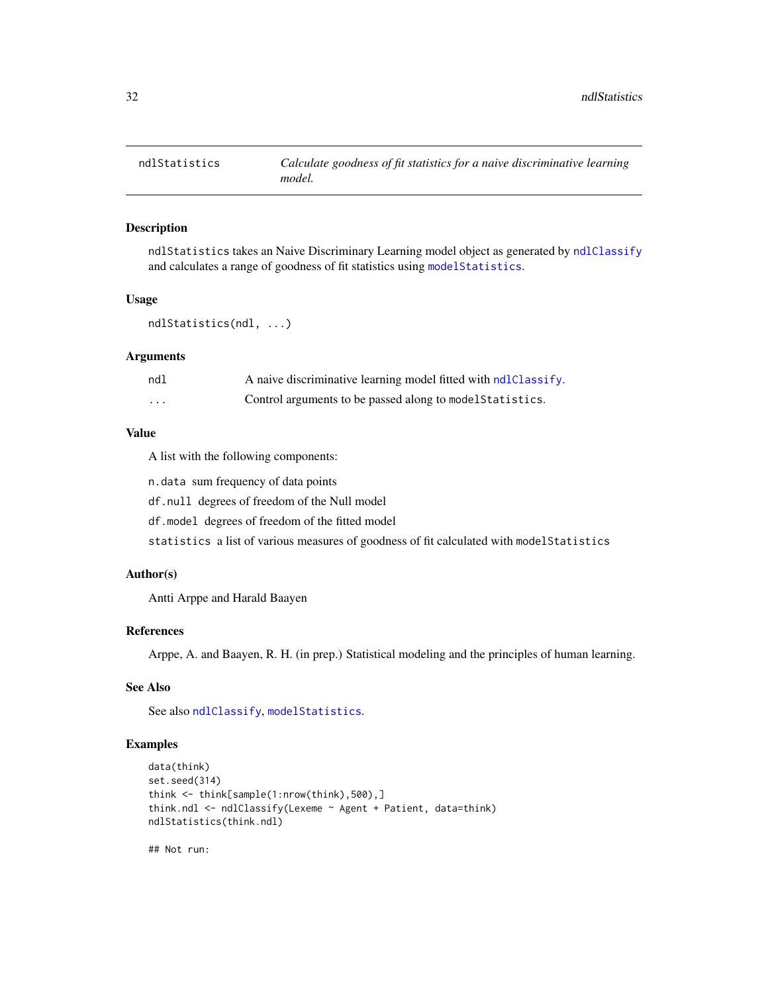<span id="page-31-1"></span><span id="page-31-0"></span>

ndlStatistics takes an Naive Discriminary Learning model object as generated by [ndlClassify](#page-24-1) and calculates a range of goodness of fit statistics using [modelStatistics](#page-22-1).

#### Usage

```
ndlStatistics(ndl, ...)
```
#### Arguments

| ndl      | A naive discriminative learning model fitted with ndlClassify. |
|----------|----------------------------------------------------------------|
| $\cdots$ | Control arguments to be passed along to model Statistics.      |

#### Value

A list with the following components:

n.data sum frequency of data points

df.null degrees of freedom of the Null model

df.model degrees of freedom of the fitted model

statistics a list of various measures of goodness of fit calculated with modelStatistics

#### Author(s)

Antti Arppe and Harald Baayen

#### References

Arppe, A. and Baayen, R. H. (in prep.) Statistical modeling and the principles of human learning.

#### See Also

See also [ndlClassify](#page-24-1), [modelStatistics](#page-22-1).

#### Examples

```
data(think)
set.seed(314)
think <- think[sample(1:nrow(think),500),]
think.ndl <- ndlClassify(Lexeme ~ Agent + Patient, data=think)
ndlStatistics(think.ndl)
```
## Not run: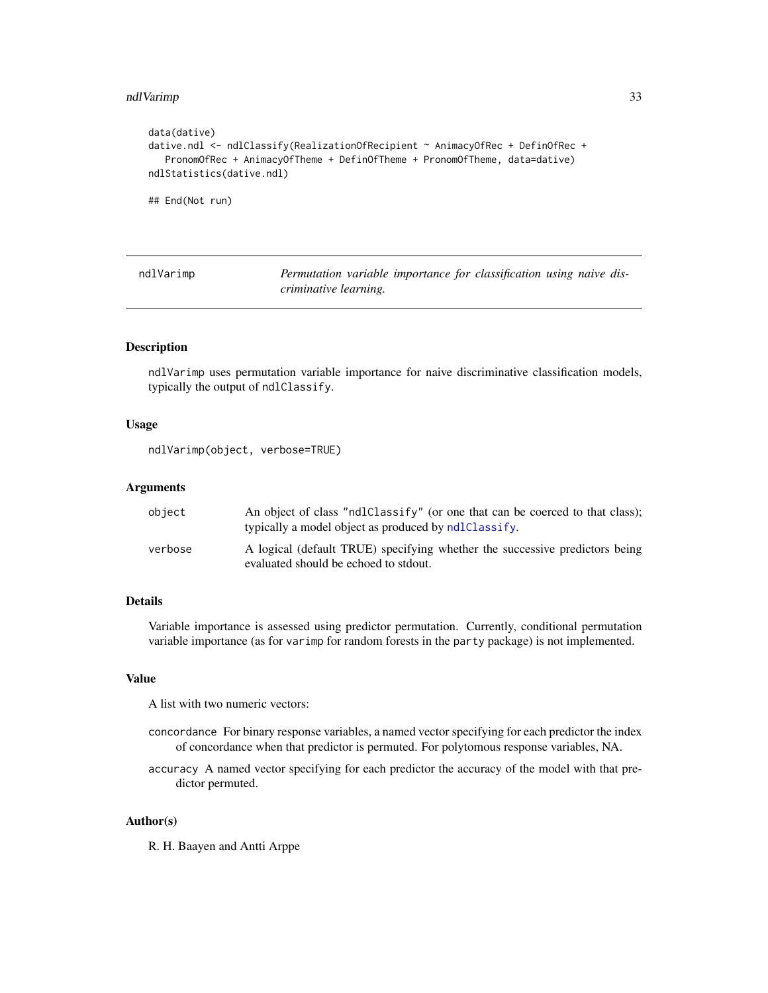#### <span id="page-32-0"></span>ndlVarimp 33

```
data(dative)
dative.ndl <- ndlClassify(RealizationOfRecipient ~ AnimacyOfRec + DefinOfRec +
   PronomOfRec + AnimacyOfTheme + DefinOfTheme + PronomOfTheme, data=dative)
ndlStatistics(dative.ndl)
```
## End(Not run)

<span id="page-32-1"></span>

| ndlVarimp |                       |  | Permutation variable importance for classification using naive dis- |  |  |
|-----------|-----------------------|--|---------------------------------------------------------------------|--|--|
|           | criminative learning. |  |                                                                     |  |  |

#### Description

ndlVarimp uses permutation variable importance for naive discriminative classification models, typically the output of ndlClassify.

#### Usage

```
ndlVarimp(object, verbose=TRUE)
```
#### Arguments

| object  | An object of class "ndlClassify" (or one that can be coerced to that class);<br>typically a model object as produced by ndlClassify. |
|---------|--------------------------------------------------------------------------------------------------------------------------------------|
| verbose | A logical (default TRUE) specifying whether the successive predictors being<br>evaluated should be echoed to stdout.                 |

#### Details

Variable importance is assessed using predictor permutation. Currently, conditional permutation variable importance (as for varimp for random forests in the party package) is not implemented.

#### Value

A list with two numeric vectors:

- concordance For binary response variables, a named vector specifying for each predictor the index of concordance when that predictor is permuted. For polytomous response variables, NA.
- accuracy A named vector specifying for each predictor the accuracy of the model with that predictor permuted.

#### Author(s)

R. H. Baayen and Antti Arppe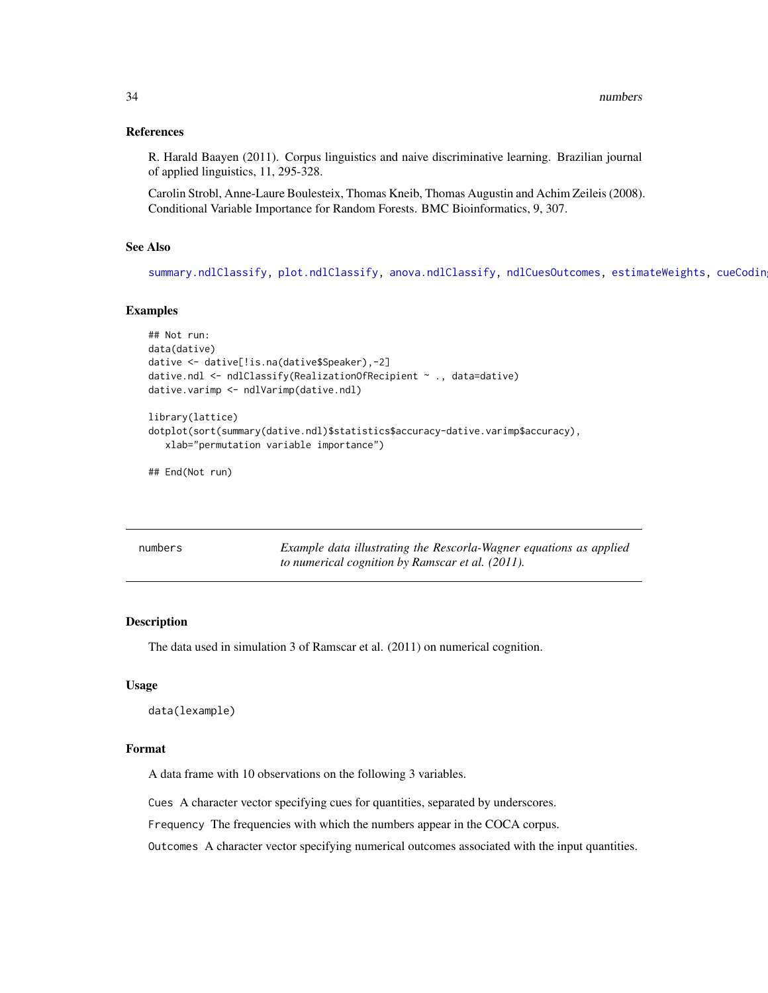#### <span id="page-33-0"></span>References

R. Harald Baayen (2011). Corpus linguistics and naive discriminative learning. Brazilian journal of applied linguistics, 11, 295-328.

Carolin Strobl, Anne-Laure Boulesteix, Thomas Kneib, Thomas Augustin and Achim Zeileis (2008). Conditional Variable Importance for Random Forests. BMC Bioinformatics, 9, 307.

#### See Also

[summary.ndlClassify,](#page-50-1) [plot.ndlClassify,](#page-36-1) [anova.ndlClassify,](#page-7-1) [ndlCuesOutcomes,](#page-29-1) [estimateWeights,](#page-15-1) [cueCoding](#page-10-1)

#### Examples

```
## Not run:
data(dative)
dative <- dative[!is.na(dative$Speaker),-2]
dative.ndl <- ndlClassify(RealizationOfRecipient ~ ., data=dative)
dative.varimp <- ndlVarimp(dative.ndl)
library(lattice)
dotplot(sort(summary(dative.ndl)$statistics$accuracy-dative.varimp$accuracy),
  xlab="permutation variable importance")
```
## End(Not run)

<span id="page-33-1"></span>

| numbers | Example data illustrating the Rescorla-Wagner equations as applied |
|---------|--------------------------------------------------------------------|
|         | to numerical cognition by Ramscar et al. (2011).                   |

#### Description

The data used in simulation 3 of Ramscar et al. (2011) on numerical cognition.

#### Usage

```
data(lexample)
```
#### Format

A data frame with 10 observations on the following 3 variables.

Cues A character vector specifying cues for quantities, separated by underscores.

Frequency The frequencies with which the numbers appear in the COCA corpus.

Outcomes A character vector specifying numerical outcomes associated with the input quantities.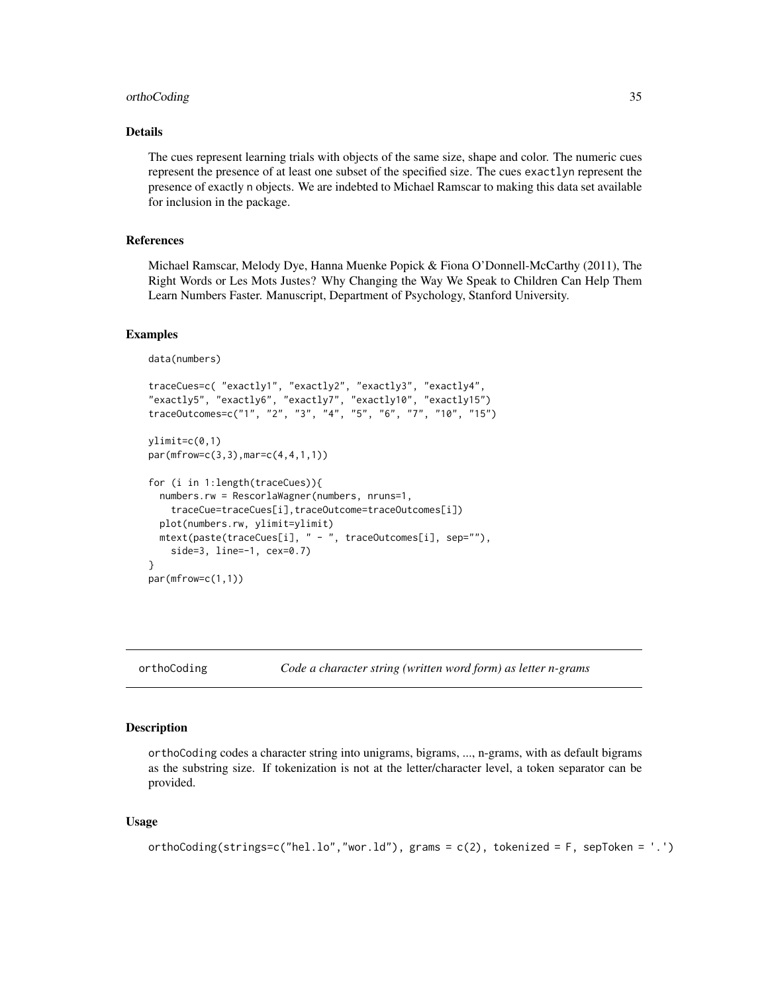#### <span id="page-34-0"></span>orthoCoding 35

#### Details

The cues represent learning trials with objects of the same size, shape and color. The numeric cues represent the presence of at least one subset of the specified size. The cues exactlyn represent the presence of exactly n objects. We are indebted to Michael Ramscar to making this data set available for inclusion in the package.

#### References

Michael Ramscar, Melody Dye, Hanna Muenke Popick & Fiona O'Donnell-McCarthy (2011), The Right Words or Les Mots Justes? Why Changing the Way We Speak to Children Can Help Them Learn Numbers Faster. Manuscript, Department of Psychology, Stanford University.

#### Examples

```
data(numbers)
```

```
traceCues=c( "exactly1", "exactly2", "exactly3", "exactly4",
"exactly5", "exactly6", "exactly7", "exactly10", "exactly15")
traceOutcomes=c("1", "2", "3", "4", "5", "6", "7", "10", "15")
ylimit=c(0,1)
par(mfrow=c(3,3),mar=c(4,4,1,1))
for (i in 1:length(traceCues)){
 numbers.rw = RescorlaWagner(numbers, nruns=1,
    traceCue=traceCues[i],traceOutcome=traceOutcomes[i])
 plot(numbers.rw, ylimit=ylimit)
 mtext(paste(traceCues[i], " - ", traceOutcomes[i], sep=""),
    side=3, line=-1, cex=0.7)
}
par(mfrow=c(1,1))
```
<span id="page-34-1"></span>

orthoCoding *Code a character string (written word form) as letter n-grams*

#### **Description**

orthoCoding codes a character string into unigrams, bigrams, ..., n-grams, with as default bigrams as the substring size. If tokenization is not at the letter/character level, a token separator can be provided.

#### Usage

```
orthoCoding(strings=c("hel.lo","wor.ld"), grams = c(2), tokenized = F, sepToken = '.')
```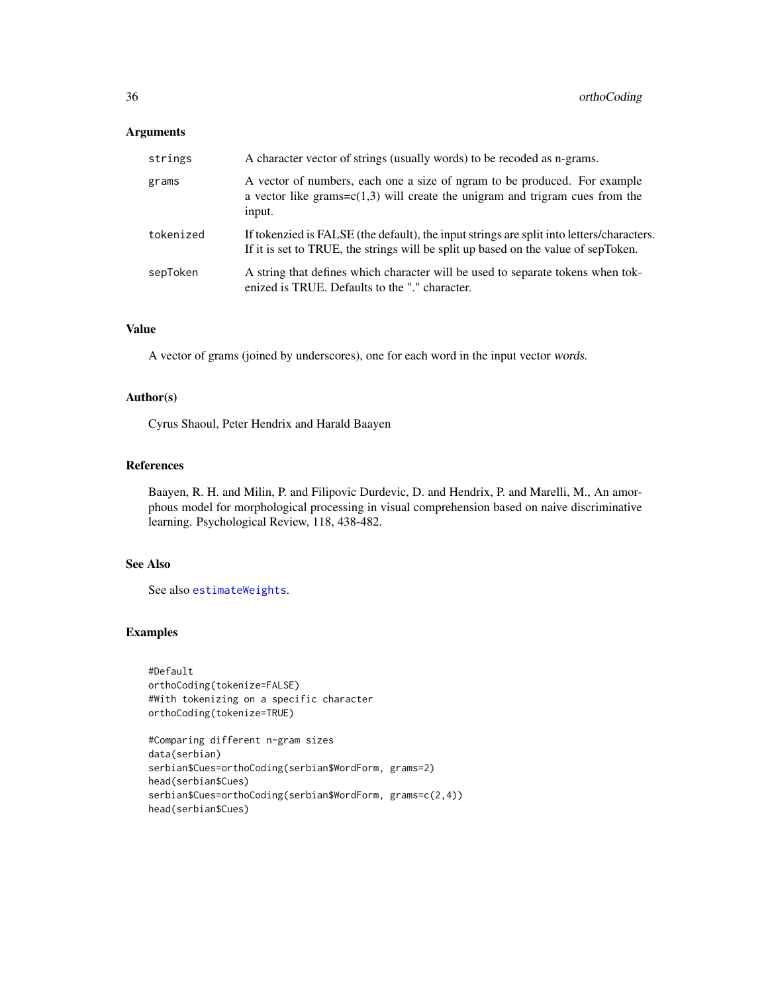#### <span id="page-35-0"></span>Arguments

| strings   | A character vector of strings (usually words) to be recoded as n-grams.                                                                                                         |
|-----------|---------------------------------------------------------------------------------------------------------------------------------------------------------------------------------|
| grams     | A vector of numbers, each one a size of ngram to be produced. For example<br>a vector like grams= $c(1,3)$ will create the unigram and trigram cues from the<br>input.          |
| tokenized | If tokenzied is FALSE (the default), the input strings are split into letters/characters.<br>If it is set to TRUE, the strings will be split up based on the value of sepToken. |
| sepToken  | A string that defines which character will be used to separate tokens when to k-<br>enized is TRUE. Defaults to the "." character.                                              |

#### Value

A vector of grams (joined by underscores), one for each word in the input vector words.

#### Author(s)

Cyrus Shaoul, Peter Hendrix and Harald Baayen

#### References

Baayen, R. H. and Milin, P. and Filipovic Durdevic, D. and Hendrix, P. and Marelli, M., An amorphous model for morphological processing in visual comprehension based on naive discriminative learning. Psychological Review, 118, 438-482.

#### See Also

See also [estimateWeights](#page-15-1).

```
#Default
orthoCoding(tokenize=FALSE)
#With tokenizing on a specific character
orthoCoding(tokenize=TRUE)
```

```
#Comparing different n-gram sizes
data(serbian)
serbian$Cues=orthoCoding(serbian$WordForm, grams=2)
head(serbian$Cues)
serbian$Cues=orthoCoding(serbian$WordForm, grams=c(2,4))
head(serbian$Cues)
```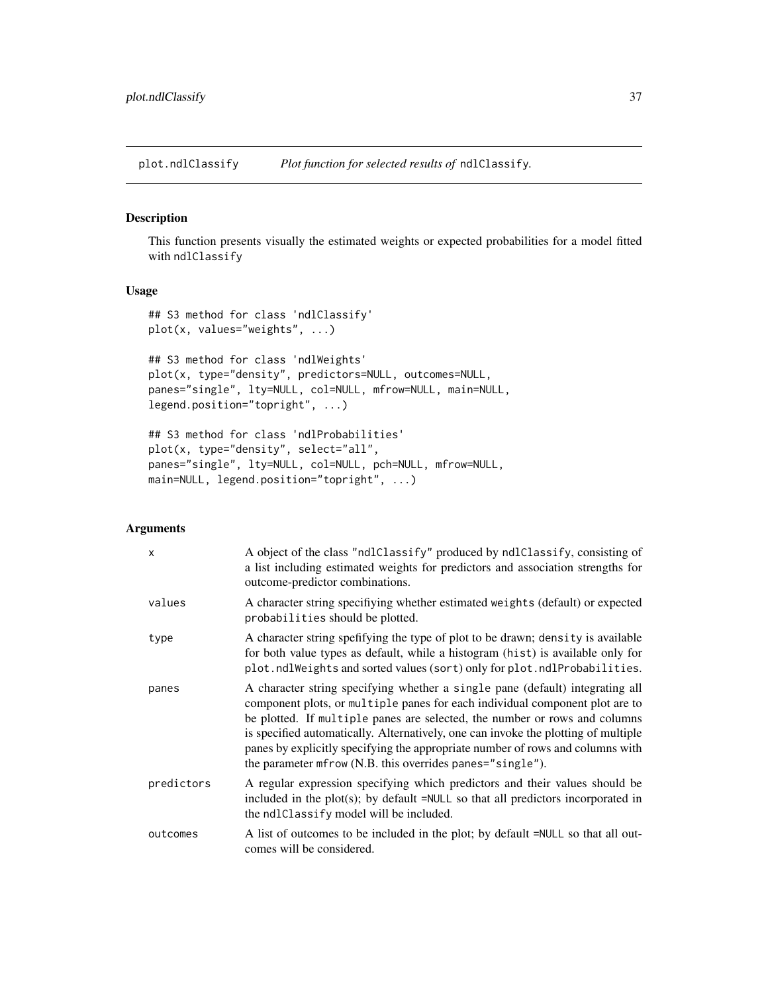<span id="page-36-1"></span><span id="page-36-0"></span>plot.ndlClassify *Plot function for selected results of* ndlClassify*.*

#### Description

This function presents visually the estimated weights or expected probabilities for a model fitted with ndlClassify

#### Usage

```
## S3 method for class 'ndlClassify'
plot(x, values="weights", ...)
## S3 method for class 'ndlWeights'
plot(x, type="density", predictors=NULL, outcomes=NULL,
panes="single", lty=NULL, col=NULL, mfrow=NULL, main=NULL,
legend.position="topright", ...)
## S3 method for class 'ndlProbabilities'
```

```
plot(x, type="density", select="all",
panes="single", lty=NULL, col=NULL, pch=NULL, mfrow=NULL,
main=NULL, legend.position="topright", ...)
```
#### Arguments

| $\boldsymbol{\mathsf{x}}$ | A object of the class "ndlClassify" produced by ndlClassify, consisting of<br>a list including estimated weights for predictors and association strengths for<br>outcome-predictor combinations.                                                                                                                                                                                                                                                                                 |
|---------------------------|----------------------------------------------------------------------------------------------------------------------------------------------------------------------------------------------------------------------------------------------------------------------------------------------------------------------------------------------------------------------------------------------------------------------------------------------------------------------------------|
| values                    | A character string specifiying whether estimated weights (default) or expected<br>probabilities should be plotted.                                                                                                                                                                                                                                                                                                                                                               |
| type                      | A character string spefifying the type of plot to be drawn; density is available<br>for both value types as default, while a histogram (hist) is available only for<br>plot.ndlWeights and sorted values (sort) only for plot.ndlProbabilities.                                                                                                                                                                                                                                  |
| panes                     | A character string specifying whether a single pane (default) integrating all<br>component plots, or multiple panes for each individual component plot are to<br>be plotted. If multiple panes are selected, the number or rows and columns<br>is specified automatically. Alternatively, one can invoke the plotting of multiple<br>panes by explicitly specifying the appropriate number of rows and columns with<br>the parameter mfrow (N.B. this overrides panes="single"). |
| predictors                | A regular expression specifying which predictors and their values should be<br>included in the $plot(s)$ ; by default = $NULL$ so that all predictors incorporated in<br>the ndlClassify model will be included.                                                                                                                                                                                                                                                                 |
| outcomes                  | A list of outcomes to be included in the plot; by default =NULL so that all out-<br>comes will be considered.                                                                                                                                                                                                                                                                                                                                                                    |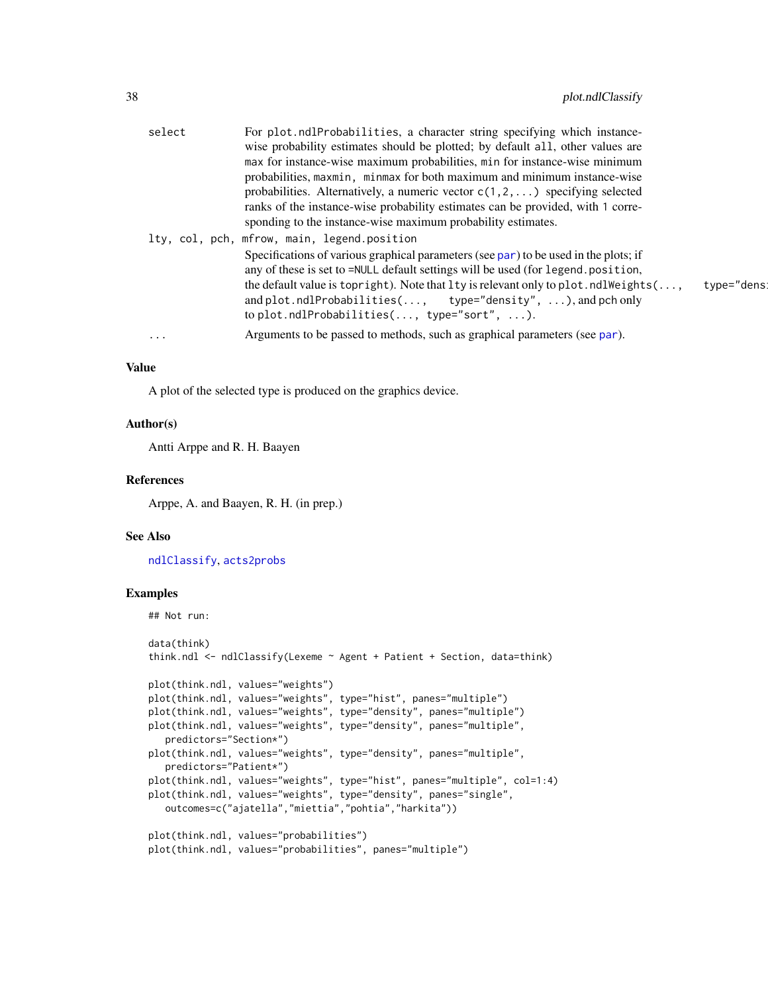<span id="page-37-0"></span>

| select   | For plot.ndlProbabilities, a character string specifying which instance-                                             |
|----------|----------------------------------------------------------------------------------------------------------------------|
|          | wise probability estimates should be plotted; by default all, other values are                                       |
|          | max for instance-wise maximum probabilities, min for instance-wise minimum                                           |
|          | probabilities, maxmin, minmax for both maximum and minimum instance-wise                                             |
|          | probabilities. Alternatively, a numeric vector $c(1, 2, )$ specifying selected                                       |
|          | ranks of the instance-wise probability estimates can be provided, with 1 corre-                                      |
|          | sponding to the instance-wise maximum probability estimates.                                                         |
|          | lty, col, pch, mfrow, main, legend.position                                                                          |
|          | Specifications of various graphical parameters (see par) to be used in the plots; if                                 |
|          | any of these is set to =NULL default settings will be used (for legend.position,                                     |
|          | the default value is top right). Note that $l$ ty is relevant only to plot. $ndlW$ eights $( \ldots,$<br>type="dens! |
|          | and plot.ndlProbabilities(, type="density", ), and pch only                                                          |
|          | to plot.ndlProbabilities $(,$ type="sort", $$ ).                                                                     |
| $\cdots$ | Arguments to be passed to methods, such as graphical parameters (see par).                                           |
|          |                                                                                                                      |

#### Value

A plot of the selected type is produced on the graphics device.

#### Author(s)

Antti Arppe and R. H. Baayen

#### References

Arppe, A. and Baayen, R. H. (in prep.)

#### See Also

[ndlClassify](#page-24-1), [acts2probs](#page-6-1)

```
## Not run:
data(think)
think.ndl <- ndlClassify(Lexeme ~ Agent + Patient + Section, data=think)
plot(think.ndl, values="weights")
plot(think.ndl, values="weights", type="hist", panes="multiple")
plot(think.ndl, values="weights", type="density", panes="multiple")
plot(think.ndl, values="weights", type="density", panes="multiple",
  predictors="Section*")
plot(think.ndl, values="weights", type="density", panes="multiple",
  predictors="Patient*")
plot(think.ndl, values="weights", type="hist", panes="multiple", col=1:4)
plot(think.ndl, values="weights", type="density", panes="single",
   outcomes=c("ajatella","miettia","pohtia","harkita"))
plot(think.ndl, values="probabilities")
plot(think.ndl, values="probabilities", panes="multiple")
```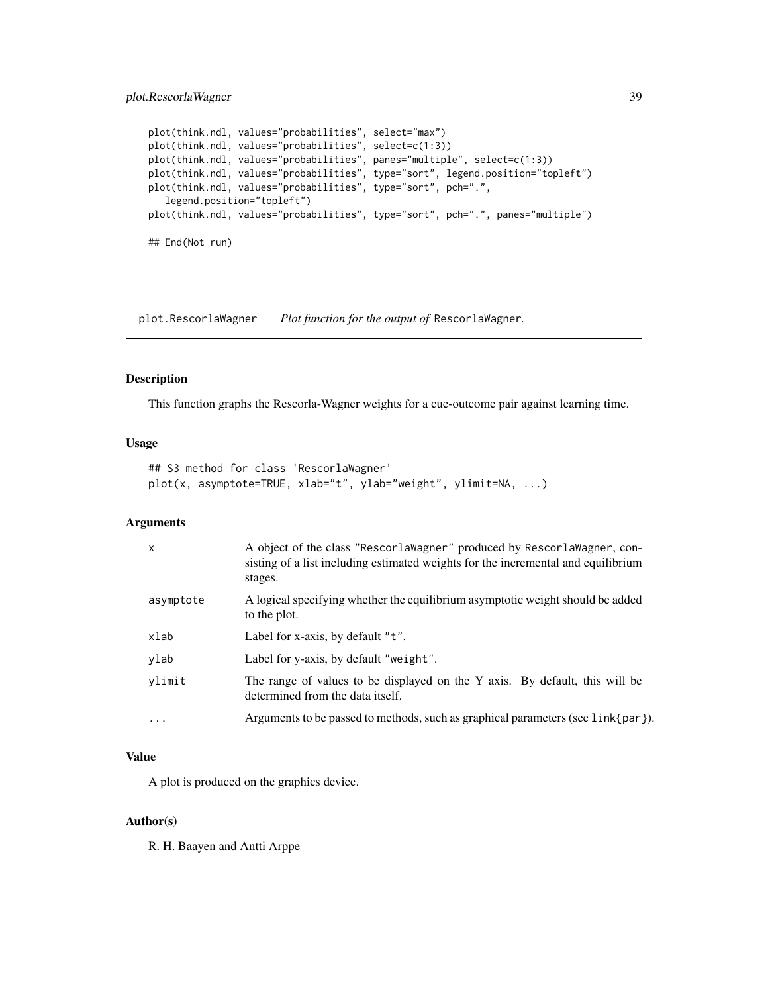#### <span id="page-38-0"></span>plot.RescorlaWagner 39

```
plot(think.ndl, values="probabilities", select="max")
plot(think.ndl, values="probabilities", select=c(1:3))
plot(think.ndl, values="probabilities", panes="multiple", select=c(1:3))
plot(think.ndl, values="probabilities", type="sort", legend.position="topleft")
plot(think.ndl, values="probabilities", type="sort", pch=".",
   legend.position="topleft")
plot(think.ndl, values="probabilities", type="sort", pch=".", panes="multiple")
## End(Not run)
```
<span id="page-38-1"></span>plot.RescorlaWagner *Plot function for the output of* RescorlaWagner*.*

#### Description

This function graphs the Rescorla-Wagner weights for a cue-outcome pair against learning time.

#### Usage

```
## S3 method for class 'RescorlaWagner'
plot(x, asymptote=TRUE, xlab="t", ylab="weight", ylimit=NA, ...)
```
#### Arguments

| $\mathsf{x}$ | A object of the class "RescorlaWagner" produced by RescorlaWagner, con-<br>sisting of a list including estimated weights for the incremental and equilibrium<br>stages. |
|--------------|-------------------------------------------------------------------------------------------------------------------------------------------------------------------------|
| asymptote    | A logical specifying whether the equilibrium asymptotic weight should be added<br>to the plot.                                                                          |
| xlab         | Label for x-axis, by default "t".                                                                                                                                       |
| ylab         | Label for y-axis, by default "weight".                                                                                                                                  |
| vlimit       | The range of values to be displayed on the Y axis. By default, this will be<br>determined from the data itself.                                                         |
| $\cdots$     | Arguments to be passed to methods, such as graphical parameters (see link{par}).                                                                                        |

#### Value

A plot is produced on the graphics device.

#### Author(s)

R. H. Baayen and Antti Arppe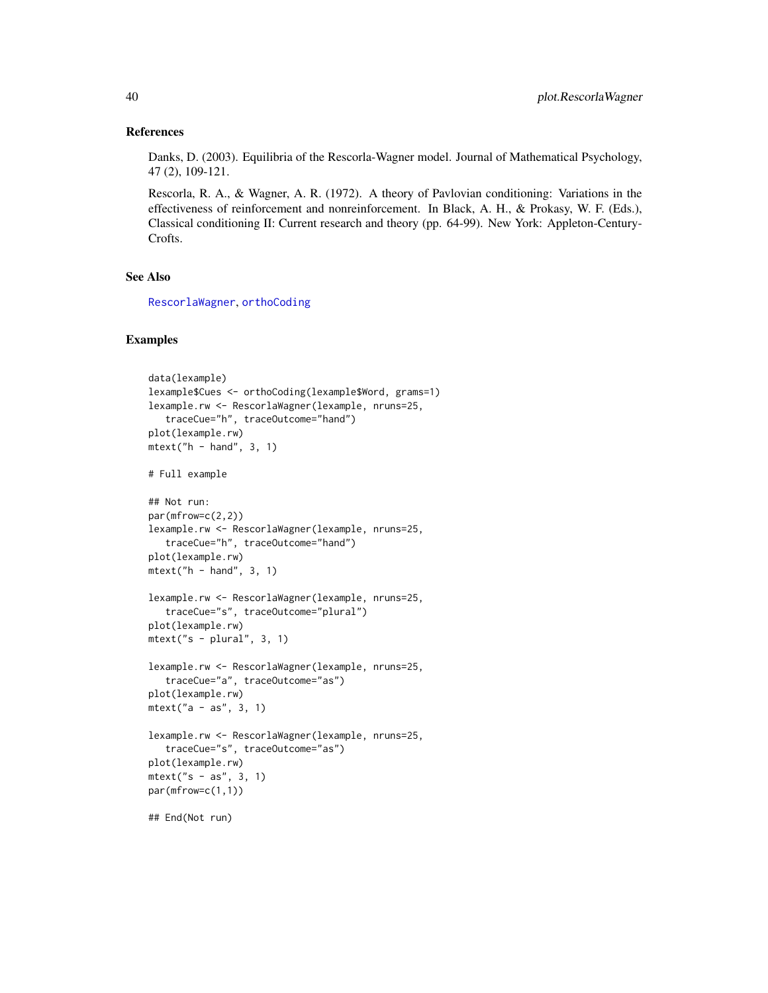#### References

Danks, D. (2003). Equilibria of the Rescorla-Wagner model. Journal of Mathematical Psychology, 47 (2), 109-121.

Rescorla, R. A., & Wagner, A. R. (1972). A theory of Pavlovian conditioning: Variations in the effectiveness of reinforcement and nonreinforcement. In Black, A. H., & Prokasy, W. F. (Eds.), Classical conditioning II: Current research and theory (pp. 64-99). New York: Appleton-Century-Crofts.

#### See Also

[RescorlaWagner](#page-43-1), [orthoCoding](#page-34-1)

```
data(lexample)
lexample$Cues <- orthoCoding(lexample$Word, grams=1)
lexample.rw <- RescorlaWagner(lexample, nruns=25,
   traceCue="h", traceOutcome="hand")
plot(lexample.rw)
mtext{text('h - hand'', 3, 1)}# Full example
## Not run:
par(mfrow=c(2,2))
lexample.rw <- RescorlaWagner(lexample, nruns=25,
   traceCue="h", traceOutcome="hand")
plot(lexample.rw)
mtext("h - hand", 3, 1)
lexample.rw <- RescorlaWagner(lexample, nruns=25,
   traceCue="s", traceOutcome="plural")
plot(lexample.rw)
mtext("s - plural", 3, 1)
lexample.rw <- RescorlaWagner(lexample, nruns=25,
   traceCue="a", traceOutcome="as")
plot(lexample.rw)
mtext("a - as", 3, 1)
lexample.rw <- RescorlaWagner(lexample, nruns=25,
   traceCue="s", traceOutcome="as")
plot(lexample.rw)
mtext("s - as", 3, 1)
par(mfrow=c(1,1))
## End(Not run)
```
<span id="page-39-0"></span>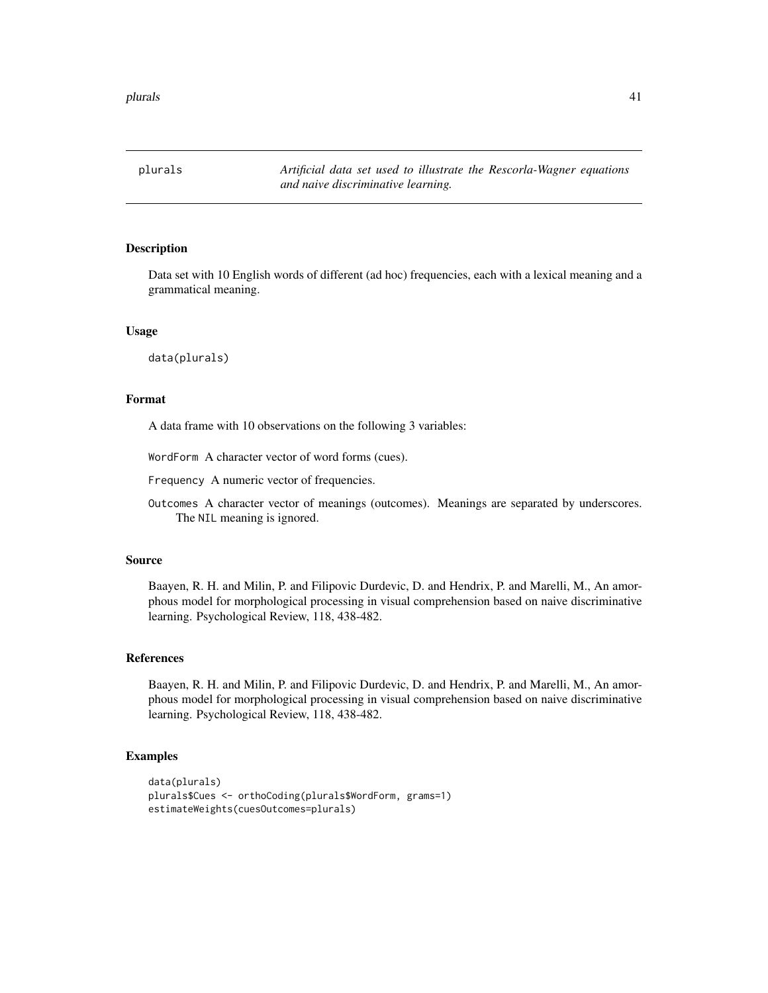<span id="page-40-1"></span><span id="page-40-0"></span>plurals *Artificial data set used to illustrate the Rescorla-Wagner equations and naive discriminative learning.*

#### Description

Data set with 10 English words of different (ad hoc) frequencies, each with a lexical meaning and a grammatical meaning.

#### Usage

data(plurals)

#### Format

A data frame with 10 observations on the following 3 variables:

WordForm A character vector of word forms (cues).

Frequency A numeric vector of frequencies.

Outcomes A character vector of meanings (outcomes). Meanings are separated by underscores. The NIL meaning is ignored.

#### Source

Baayen, R. H. and Milin, P. and Filipovic Durdevic, D. and Hendrix, P. and Marelli, M., An amorphous model for morphological processing in visual comprehension based on naive discriminative learning. Psychological Review, 118, 438-482.

#### References

Baayen, R. H. and Milin, P. and Filipovic Durdevic, D. and Hendrix, P. and Marelli, M., An amorphous model for morphological processing in visual comprehension based on naive discriminative learning. Psychological Review, 118, 438-482.

```
data(plurals)
plurals$Cues <- orthoCoding(plurals$WordForm, grams=1)
estimateWeights(cuesOutcomes=plurals)
```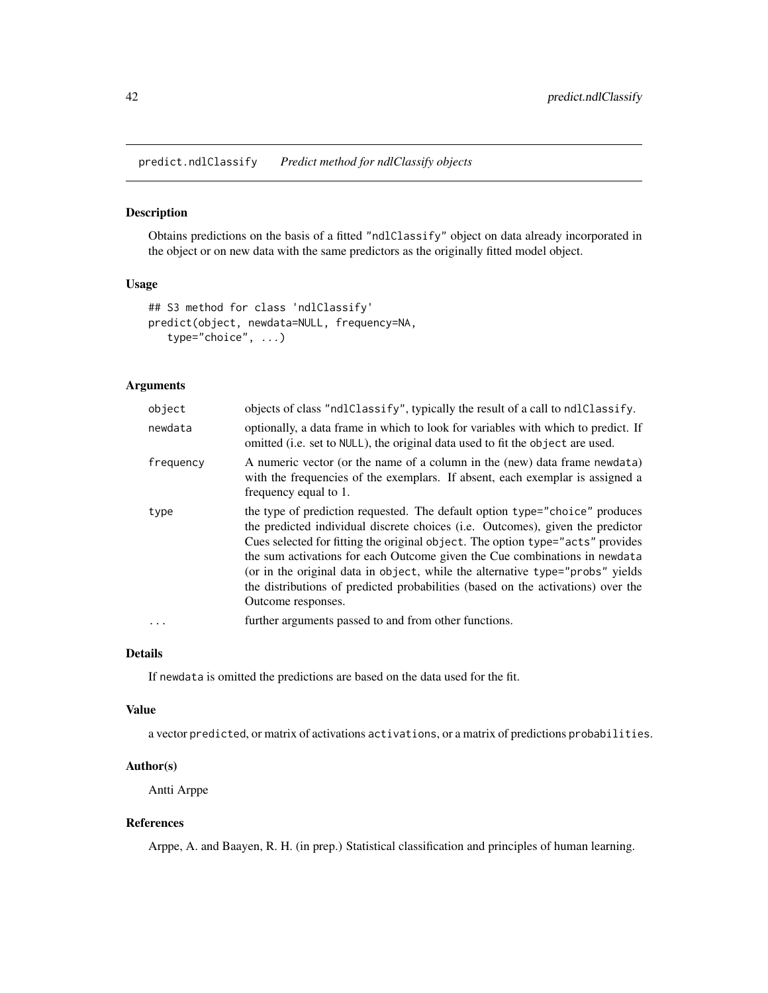<span id="page-41-1"></span><span id="page-41-0"></span>predict.ndlClassify *Predict method for ndlClassify objects*

#### Description

Obtains predictions on the basis of a fitted "ndlClassify" object on data already incorporated in the object or on new data with the same predictors as the originally fitted model object.

#### Usage

```
## S3 method for class 'ndlClassify'
predict(object, newdata=NULL, frequency=NA,
   type="choice", ...)
```
#### Arguments

| object    | objects of class "ndlClassify", typically the result of a call to ndlClassify.                                                                                                                                                                                                                                                                                                                                                                                                                                           |  |
|-----------|--------------------------------------------------------------------------------------------------------------------------------------------------------------------------------------------------------------------------------------------------------------------------------------------------------------------------------------------------------------------------------------------------------------------------------------------------------------------------------------------------------------------------|--|
| newdata   | optionally, a data frame in which to look for variables with which to predict. If<br>omitted (i.e. set to NULL), the original data used to fit the object are used.                                                                                                                                                                                                                                                                                                                                                      |  |
| frequency | A numeric vector (or the name of a column in the (new) data frame newdata)<br>with the frequencies of the exemplars. If absent, each exemplar is assigned a<br>frequency equal to 1.                                                                                                                                                                                                                                                                                                                                     |  |
| type      | the type of prediction requested. The default option type="choice" produces<br>the predicted individual discrete choices (i.e. Outcomes), given the predictor<br>Cues selected for fitting the original object. The option type="acts" provides<br>the sum activations for each Outcome given the Cue combinations in newdata<br>(or in the original data in object, while the alternative type="probs" yields<br>the distributions of predicted probabilities (based on the activations) over the<br>Outcome responses. |  |
| $\cdots$  | further arguments passed to and from other functions.                                                                                                                                                                                                                                                                                                                                                                                                                                                                    |  |

#### Details

If newdata is omitted the predictions are based on the data used for the fit.

#### Value

a vector predicted, or matrix of activations activations, or a matrix of predictions probabilities.

#### Author(s)

Antti Arppe

#### References

Arppe, A. and Baayen, R. H. (in prep.) Statistical classification and principles of human learning.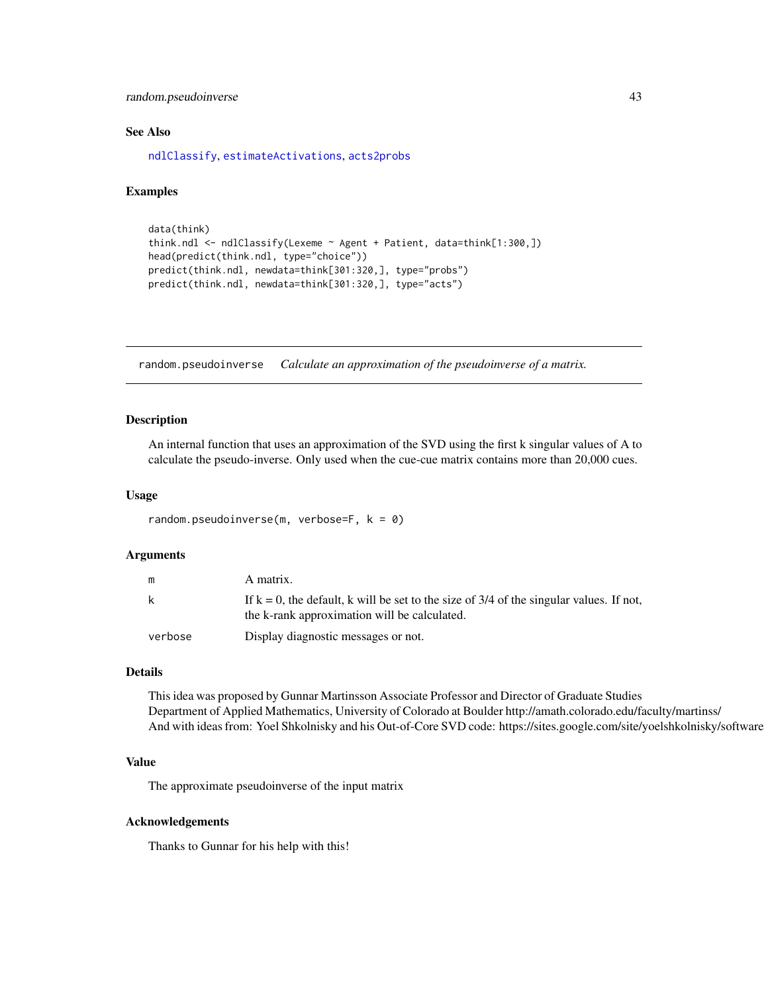<span id="page-42-0"></span>random.pseudoinverse 43

#### See Also

[ndlClassify](#page-24-1), [estimateActivations](#page-13-1), [acts2probs](#page-6-1)

#### Examples

```
data(think)
think.ndl <- ndlClassify(Lexeme ~ Agent + Patient, data=think[1:300,])
head(predict(think.ndl, type="choice"))
predict(think.ndl, newdata=think[301:320,], type="probs")
predict(think.ndl, newdata=think[301:320,], type="acts")
```
random.pseudoinverse *Calculate an approximation of the pseudoinverse of a matrix.*

#### Description

An internal function that uses an approximation of the SVD using the first k singular values of A to calculate the pseudo-inverse. Only used when the cue-cue matrix contains more than 20,000 cues.

#### Usage

random.pseudoinverse(m, verbose=F,  $k = 0$ )

#### Arguments

| m       | A matrix.                                                                                                                                  |
|---------|--------------------------------------------------------------------------------------------------------------------------------------------|
| k.      | If $k = 0$ , the default, k will be set to the size of 3/4 of the singular values. If not,<br>the k-rank approximation will be calculated. |
| verbose | Display diagnostic messages or not.                                                                                                        |

#### Details

This idea was proposed by Gunnar Martinsson Associate Professor and Director of Graduate Studies Department of Applied Mathematics, University of Colorado at Boulder http://amath.colorado.edu/faculty/martinss/ And with ideas from: Yoel Shkolnisky and his Out-of-Core SVD code: https://sites.google.com/site/yoelshkolnisky/software

#### Value

The approximate pseudoinverse of the input matrix

#### Acknowledgements

Thanks to Gunnar for his help with this!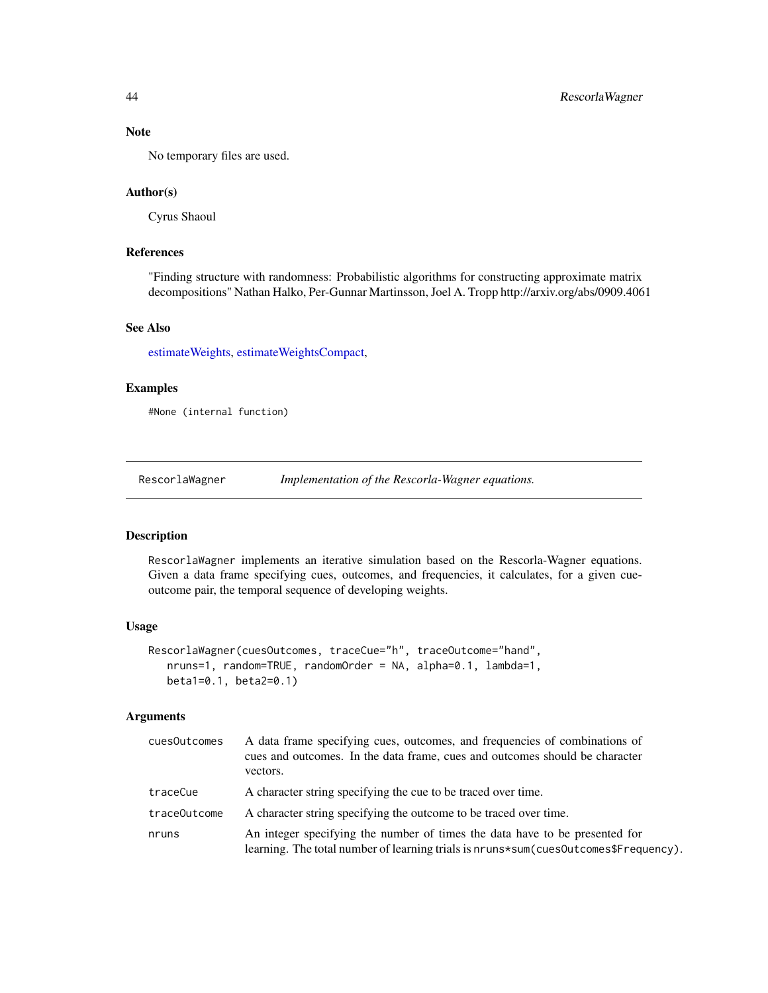#### Note

No temporary files are used.

#### Author(s)

Cyrus Shaoul

#### References

"Finding structure with randomness: Probabilistic algorithms for constructing approximate matrix decompositions" Nathan Halko, Per-Gunnar Martinsson, Joel A. Tropp http://arxiv.org/abs/0909.4061

#### See Also

[estimateWeights,](#page-15-1) [estimateWeightsCompact,](#page-17-1)

#### Examples

#None (internal function)

<span id="page-43-1"></span>RescorlaWagner *Implementation of the Rescorla-Wagner equations.*

#### Description

RescorlaWagner implements an iterative simulation based on the Rescorla-Wagner equations. Given a data frame specifying cues, outcomes, and frequencies, it calculates, for a given cueoutcome pair, the temporal sequence of developing weights.

#### Usage

```
RescorlaWagner(cuesOutcomes, traceCue="h", traceOutcome="hand",
  nruns=1, random=TRUE, randomOrder = NA, alpha=0.1, lambda=1,
  beta1=0.1, beta2=0.1)
```
#### Arguments

| cuesOutcomes | A data frame specifying cues, outcomes, and frequencies of combinations of<br>cues and outcomes. In the data frame, cues and outcomes should be character<br>vectors. |
|--------------|-----------------------------------------------------------------------------------------------------------------------------------------------------------------------|
| traceCue     | A character string specifying the cue to be traced over time.                                                                                                         |
| traceOutcome | A character string specifying the outcome to be traced over time.                                                                                                     |
| nruns        | An integer specifying the number of times the data have to be presented for<br>learning. The total number of learning trials is nruns*sum(cues0utcomes\$Frequency).   |

<span id="page-43-0"></span>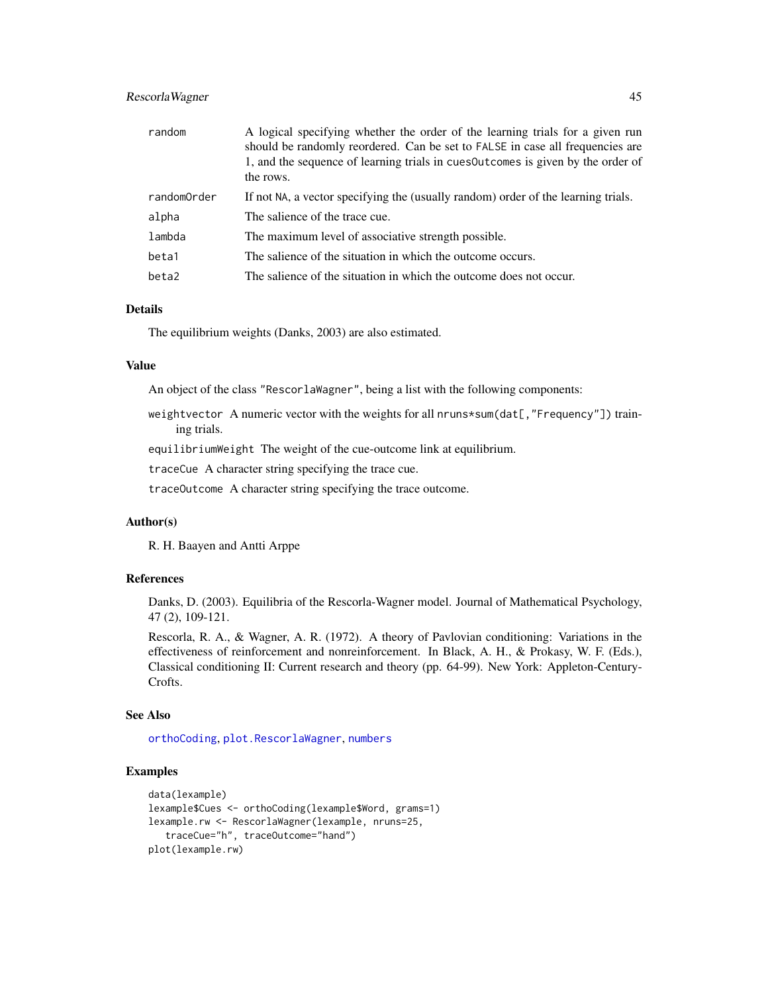#### <span id="page-44-0"></span>Rescorla Wagner 45

| random      | A logical specifying whether the order of the learning trials for a given run<br>should be randomly reordered. Can be set to FALSE in case all frequencies are<br>1, and the sequence of learning trials in cues outcomes is given by the order of<br>the rows. |
|-------------|-----------------------------------------------------------------------------------------------------------------------------------------------------------------------------------------------------------------------------------------------------------------|
| randomOrder | If not NA, a vector specifying the (usually random) order of the learning trials.                                                                                                                                                                               |
| alpha       | The salience of the trace cue.                                                                                                                                                                                                                                  |
| lambda      | The maximum level of associative strength possible.                                                                                                                                                                                                             |
| beta1       | The salience of the situation in which the outcome occurs.                                                                                                                                                                                                      |
| beta2       | The salience of the situation in which the outcome does not occur.                                                                                                                                                                                              |

#### Details

The equilibrium weights (Danks, 2003) are also estimated.

#### Value

An object of the class "RescorlaWagner", being a list with the following components:

weightvector A numeric vector with the weights for all nruns\*sum(dat[, "Frequency"]) training trials.

equilibriumWeight The weight of the cue-outcome link at equilibrium.

traceCue A character string specifying the trace cue.

traceOutcome A character string specifying the trace outcome.

#### Author(s)

R. H. Baayen and Antti Arppe

#### References

Danks, D. (2003). Equilibria of the Rescorla-Wagner model. Journal of Mathematical Psychology, 47 (2), 109-121.

Rescorla, R. A., & Wagner, A. R. (1972). A theory of Pavlovian conditioning: Variations in the effectiveness of reinforcement and nonreinforcement. In Black, A. H., & Prokasy, W. F. (Eds.), Classical conditioning II: Current research and theory (pp. 64-99). New York: Appleton-Century-Crofts.

#### See Also

[orthoCoding](#page-34-1), [plot.RescorlaWagner](#page-38-1), [numbers](#page-33-1)

```
data(lexample)
lexample$Cues <- orthoCoding(lexample$Word, grams=1)
lexample.rw <- RescorlaWagner(lexample, nruns=25,
   traceCue="h", traceOutcome="hand")
plot(lexample.rw)
```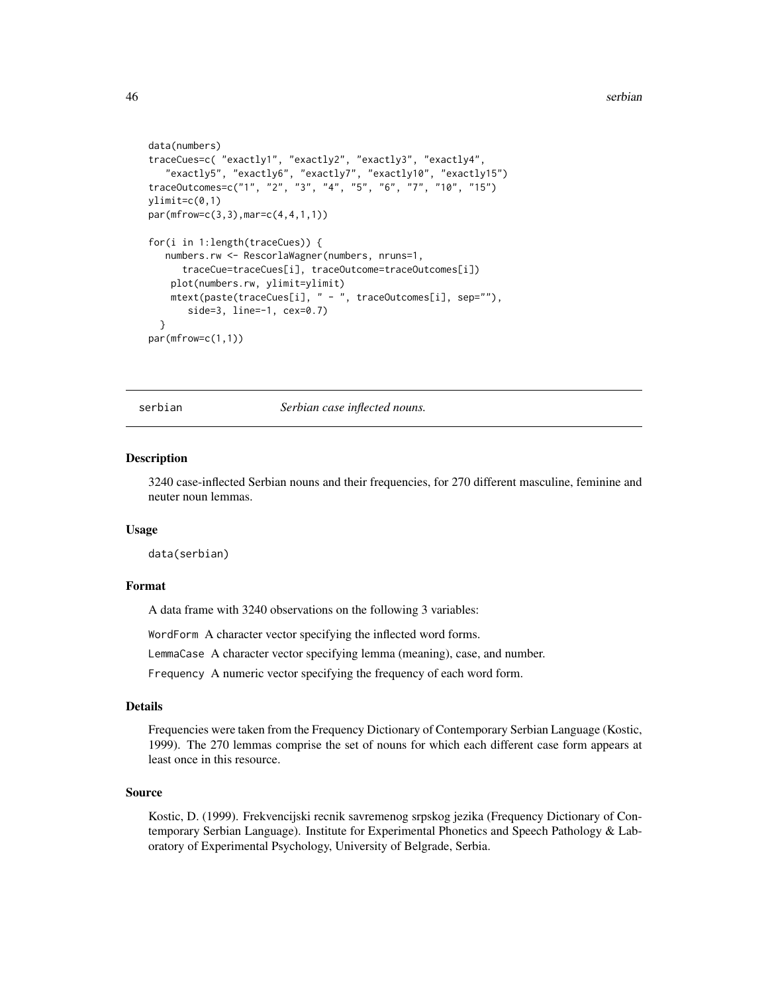```
data(numbers)
traceCues=c( "exactly1", "exactly2", "exactly3", "exactly4",
   "exactly5", "exactly6", "exactly7", "exactly10", "exactly15")
traceOutcomes=c("1", "2", "3", "4", "5", "6", "7", "10", "15")
ylimit=c(0,1)
par(mfrow=c(3,3),mar=c(4,4,1,1))
for(i in 1:length(traceCues)) {
  numbers.rw <- RescorlaWagner(numbers, nruns=1,
      traceCue=traceCues[i], traceOutcome=traceOutcomes[i])
   plot(numbers.rw, ylimit=ylimit)
   mtext(paste(traceCues[i], " - ", traceOutcomes[i], sep=""),
      side=3, line=-1, cex=0.7)
 }
par(mfrow=c(1,1))
```
<span id="page-45-1"></span>serbian *Serbian case inflected nouns.*

#### **Description**

3240 case-inflected Serbian nouns and their frequencies, for 270 different masculine, feminine and neuter noun lemmas.

#### Usage

data(serbian)

#### Format

A data frame with 3240 observations on the following 3 variables:

WordForm A character vector specifying the inflected word forms.

LemmaCase A character vector specifying lemma (meaning), case, and number.

Frequency A numeric vector specifying the frequency of each word form.

#### Details

Frequencies were taken from the Frequency Dictionary of Contemporary Serbian Language (Kostic, 1999). The 270 lemmas comprise the set of nouns for which each different case form appears at least once in this resource.

#### Source

Kostic, D. (1999). Frekvencijski recnik savremenog srpskog jezika (Frequency Dictionary of Contemporary Serbian Language). Institute for Experimental Phonetics and Speech Pathology & Laboratory of Experimental Psychology, University of Belgrade, Serbia.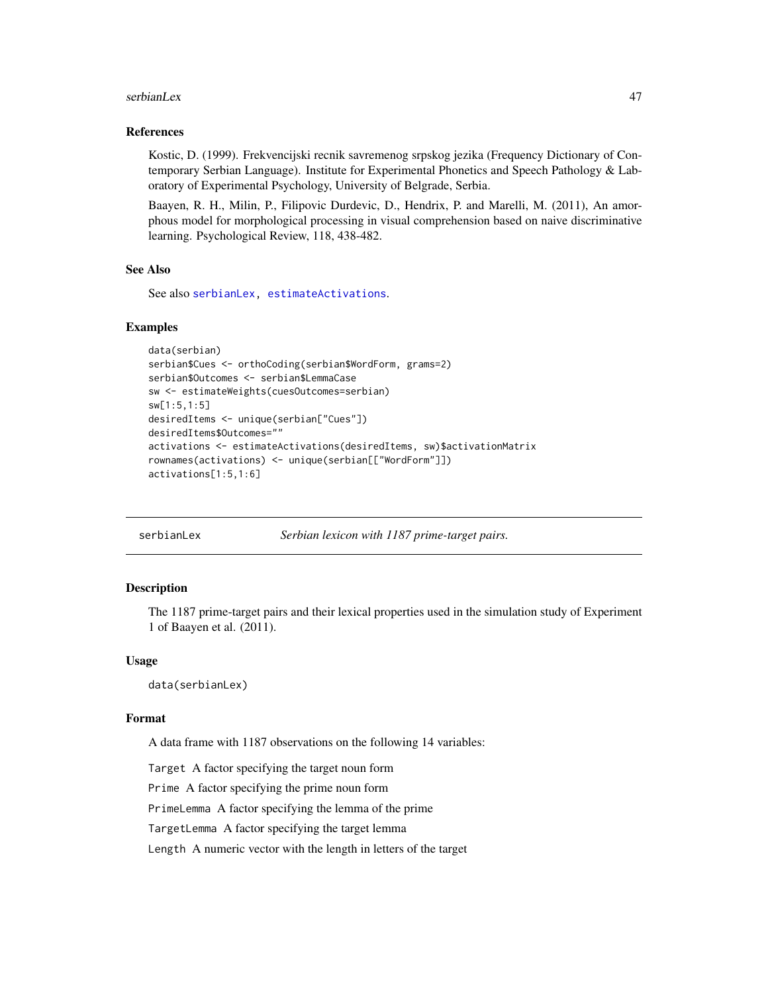#### <span id="page-46-0"></span>serbianLex 47

#### References

Kostic, D. (1999). Frekvencijski recnik savremenog srpskog jezika (Frequency Dictionary of Contemporary Serbian Language). Institute for Experimental Phonetics and Speech Pathology & Laboratory of Experimental Psychology, University of Belgrade, Serbia.

Baayen, R. H., Milin, P., Filipovic Durdevic, D., Hendrix, P. and Marelli, M. (2011), An amorphous model for morphological processing in visual comprehension based on naive discriminative learning. Psychological Review, 118, 438-482.

#### See Also

See also [serbianLex,](#page-46-1) [estimateActivations](#page-13-1).

#### Examples

```
data(serbian)
serbian$Cues <- orthoCoding(serbian$WordForm, grams=2)
serbian$Outcomes <- serbian$LemmaCase
sw <- estimateWeights(cuesOutcomes=serbian)
sw[1:5,1:5]
desiredItems <- unique(serbian["Cues"])
desiredItems$Outcomes=""
activations <- estimateActivations(desiredItems, sw)$activationMatrix
rownames(activations) <- unique(serbian[["WordForm"]])
activations[1:5,1:6]
```
serbianLex *Serbian lexicon with 1187 prime-target pairs.*

#### **Description**

The 1187 prime-target pairs and their lexical properties used in the simulation study of Experiment 1 of Baayen et al. (2011).

#### Usage

data(serbianLex)

#### Format

A data frame with 1187 observations on the following 14 variables:

Target A factor specifying the target noun form

Prime A factor specifying the prime noun form

PrimeLemma A factor specifying the lemma of the prime

TargetLemma A factor specifying the target lemma

Length A numeric vector with the length in letters of the target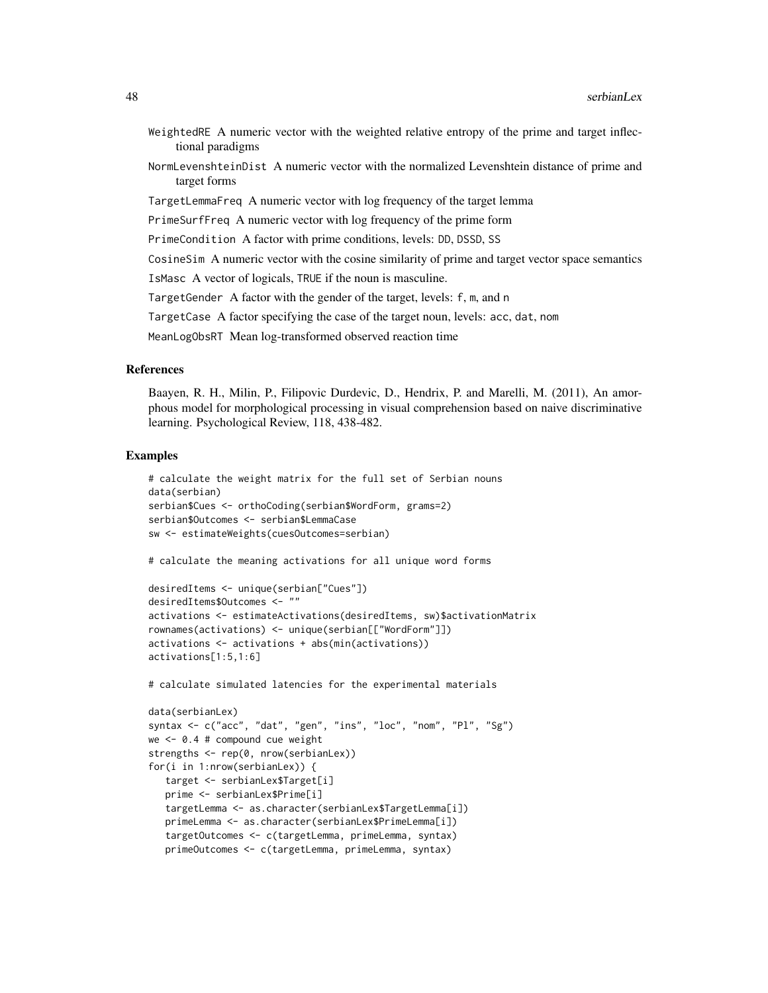- WeightedRE A numeric vector with the weighted relative entropy of the prime and target inflectional paradigms
- NormLevenshteinDist A numeric vector with the normalized Levenshtein distance of prime and target forms
- TargetLemmaFreq A numeric vector with log frequency of the target lemma

PrimeSurfFreq A numeric vector with log frequency of the prime form

PrimeCondition A factor with prime conditions, levels: DD, DSSD, SS

CosineSim A numeric vector with the cosine similarity of prime and target vector space semantics

IsMasc A vector of logicals, TRUE if the noun is masculine.

TargetGender A factor with the gender of the target, levels: f, m, and n

TargetCase A factor specifying the case of the target noun, levels: acc, dat, nom

MeanLogObsRT Mean log-transformed observed reaction time

#### References

Baayen, R. H., Milin, P., Filipovic Durdevic, D., Hendrix, P. and Marelli, M. (2011), An amorphous model for morphological processing in visual comprehension based on naive discriminative learning. Psychological Review, 118, 438-482.

#### Examples

```
# calculate the weight matrix for the full set of Serbian nouns
data(serbian)
serbian$Cues <- orthoCoding(serbian$WordForm, grams=2)
serbian$Outcomes <- serbian$LemmaCase
sw <- estimateWeights(cuesOutcomes=serbian)
# calculate the meaning activations for all unique word forms
desiredItems <- unique(serbian["Cues"])
desiredItems$Outcomes <- ""
```

```
activations <- estimateActivations(desiredItems, sw)$activationMatrix
rownames(activations) <- unique(serbian[["WordForm"]])
activations <- activations + abs(min(activations))
activations[1:5,1:6]
```
# calculate simulated latencies for the experimental materials

```
data(serbianLex)
syntax <- c("acc", "dat", "gen", "ins", "loc", "nom", "Pl", "Sg")
we <- 0.4 # compound cue weight
strengths <- rep(0, nrow(serbianLex))
for(i in 1:nrow(serbianLex)) {
  target <- serbianLex$Target[i]
  prime <- serbianLex$Prime[i]
   targetLemma <- as.character(serbianLex$TargetLemma[i])
  primeLemma <- as.character(serbianLex$PrimeLemma[i])
   targetOutcomes <- c(targetLemma, primeLemma, syntax)
  primeOutcomes <- c(targetLemma, primeLemma, syntax)
```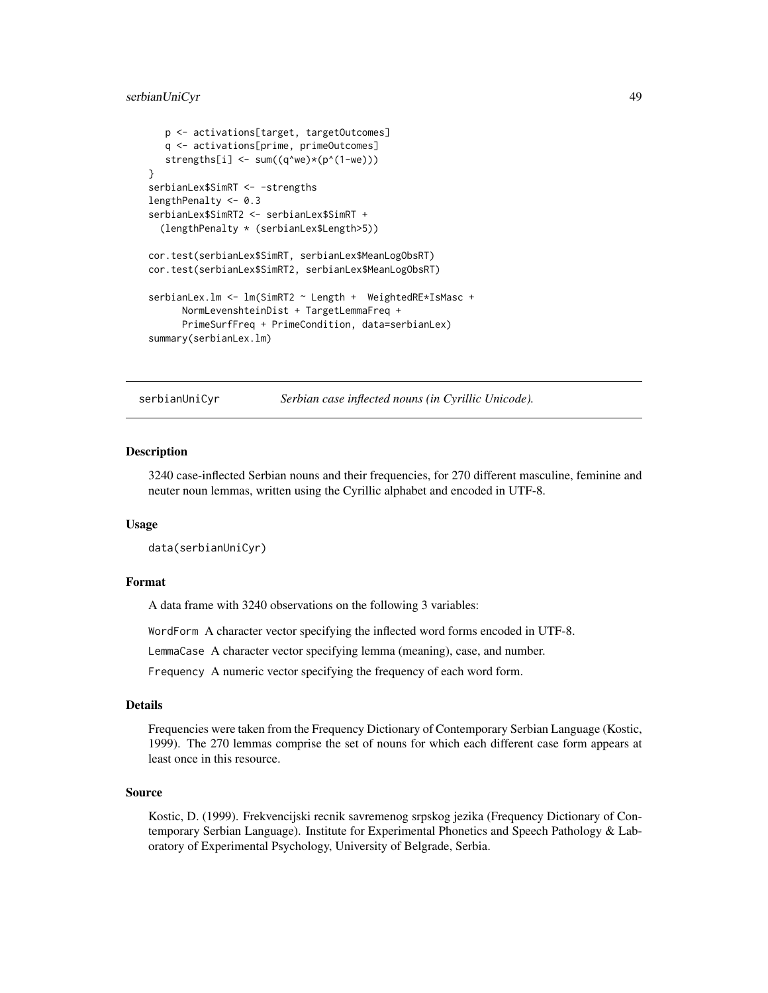#### <span id="page-48-0"></span>serbianUniCyr 49

```
p <- activations[target, targetOutcomes]
  q <- activations[prime, primeOutcomes]
   strengths[i] <- sum((q^we)*(p^(1-we)))
}
serbianLex$SimRT <- -strengths
lengthPenalty <- 0.3
serbianLex$SimRT2 <- serbianLex$SimRT +
  (lengthPenalty * (serbianLex$Length>5))
cor.test(serbianLex$SimRT, serbianLex$MeanLogObsRT)
cor.test(serbianLex$SimRT2, serbianLex$MeanLogObsRT)
serbianLex.lm <- lm(SimRT2 ~ Length + WeightedRE*IsMasc +
      NormLevenshteinDist + TargetLemmaFreq +
      PrimeSurfFreq + PrimeCondition, data=serbianLex)
summary(serbianLex.lm)
```
<span id="page-48-1"></span>

serbianUniCyr *Serbian case inflected nouns (in Cyrillic Unicode).*

#### Description

3240 case-inflected Serbian nouns and their frequencies, for 270 different masculine, feminine and neuter noun lemmas, written using the Cyrillic alphabet and encoded in UTF-8.

#### Usage

data(serbianUniCyr)

#### Format

A data frame with 3240 observations on the following 3 variables:

WordForm A character vector specifying the inflected word forms encoded in UTF-8.

LemmaCase A character vector specifying lemma (meaning), case, and number.

Frequency A numeric vector specifying the frequency of each word form.

#### Details

Frequencies were taken from the Frequency Dictionary of Contemporary Serbian Language (Kostic, 1999). The 270 lemmas comprise the set of nouns for which each different case form appears at least once in this resource.

#### Source

Kostic, D. (1999). Frekvencijski recnik savremenog srpskog jezika (Frequency Dictionary of Contemporary Serbian Language). Institute for Experimental Phonetics and Speech Pathology & Laboratory of Experimental Psychology, University of Belgrade, Serbia.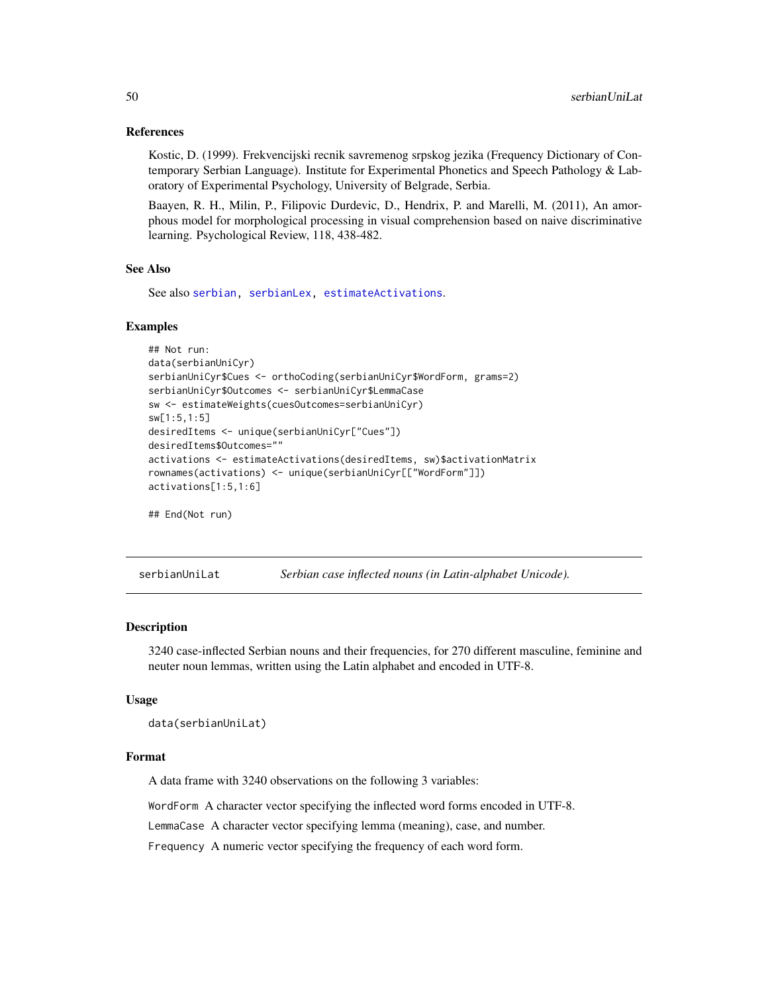#### References

Kostic, D. (1999). Frekvencijski recnik savremenog srpskog jezika (Frequency Dictionary of Contemporary Serbian Language). Institute for Experimental Phonetics and Speech Pathology & Laboratory of Experimental Psychology, University of Belgrade, Serbia.

Baayen, R. H., Milin, P., Filipovic Durdevic, D., Hendrix, P. and Marelli, M. (2011), An amorphous model for morphological processing in visual comprehension based on naive discriminative learning. Psychological Review, 118, 438-482.

#### See Also

See also [serbian,](#page-45-1) [serbianLex,](#page-46-1) [estimateActivations](#page-13-1).

#### Examples

```
## Not run:
data(serbianUniCyr)
serbianUniCyr$Cues <- orthoCoding(serbianUniCyr$WordForm, grams=2)
serbianUniCyr$Outcomes <- serbianUniCyr$LemmaCase
sw <- estimateWeights(cuesOutcomes=serbianUniCyr)
sw[1:5,1:5]
desiredItems <- unique(serbianUniCyr["Cues"])
desiredItems$Outcomes=""
activations <- estimateActivations(desiredItems, sw)$activationMatrix
rownames(activations) <- unique(serbianUniCyr[["WordForm"]])
activations[1:5,1:6]
## End(Not run)
```
<span id="page-49-1"></span>serbianUniLat *Serbian case inflected nouns (in Latin-alphabet Unicode).*

#### Description

3240 case-inflected Serbian nouns and their frequencies, for 270 different masculine, feminine and neuter noun lemmas, written using the Latin alphabet and encoded in UTF-8.

#### Usage

```
data(serbianUniLat)
```
#### Format

A data frame with 3240 observations on the following 3 variables:

WordForm A character vector specifying the inflected word forms encoded in UTF-8.

LemmaCase A character vector specifying lemma (meaning), case, and number.

Frequency A numeric vector specifying the frequency of each word form.

<span id="page-49-0"></span>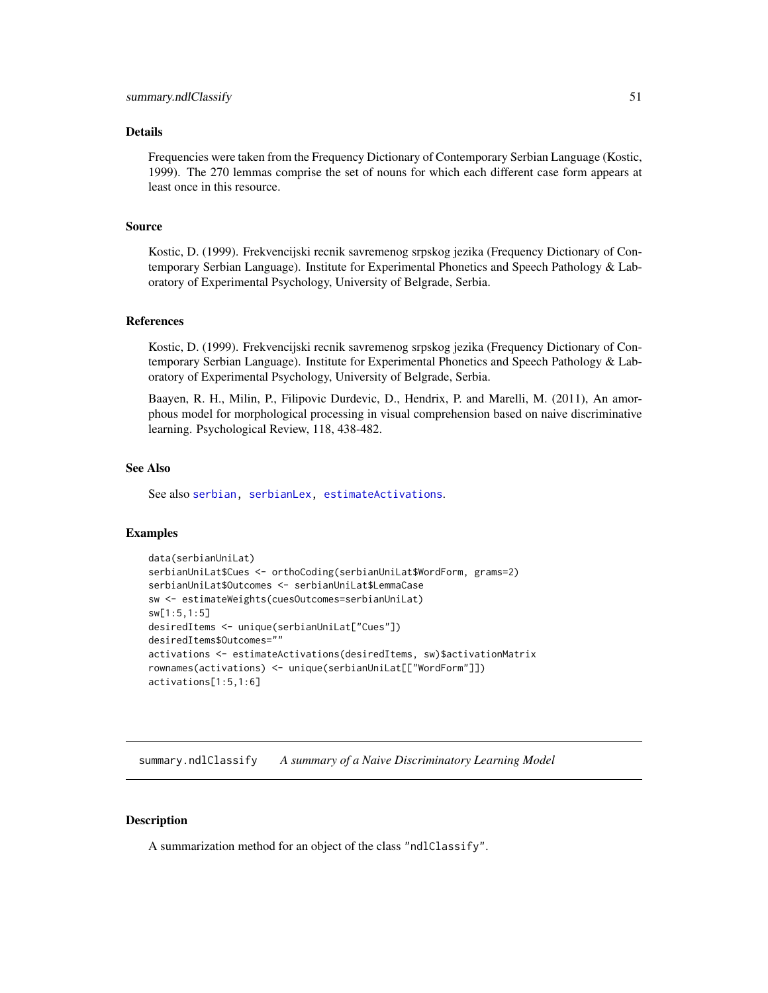#### <span id="page-50-0"></span>Details

Frequencies were taken from the Frequency Dictionary of Contemporary Serbian Language (Kostic, 1999). The 270 lemmas comprise the set of nouns for which each different case form appears at least once in this resource.

#### Source

Kostic, D. (1999). Frekvencijski recnik savremenog srpskog jezika (Frequency Dictionary of Contemporary Serbian Language). Institute for Experimental Phonetics and Speech Pathology & Laboratory of Experimental Psychology, University of Belgrade, Serbia.

#### References

Kostic, D. (1999). Frekvencijski recnik savremenog srpskog jezika (Frequency Dictionary of Contemporary Serbian Language). Institute for Experimental Phonetics and Speech Pathology & Laboratory of Experimental Psychology, University of Belgrade, Serbia.

Baayen, R. H., Milin, P., Filipovic Durdevic, D., Hendrix, P. and Marelli, M. (2011), An amorphous model for morphological processing in visual comprehension based on naive discriminative learning. Psychological Review, 118, 438-482.

#### See Also

See also [serbian,](#page-45-1) [serbianLex,](#page-46-1) [estimateActivations](#page-13-1).

#### Examples

```
data(serbianUniLat)
serbianUniLat$Cues <- orthoCoding(serbianUniLat$WordForm, grams=2)
serbianUniLat$Outcomes <- serbianUniLat$LemmaCase
sw <- estimateWeights(cuesOutcomes=serbianUniLat)
sw[1:5,1:5]
desiredItems <- unique(serbianUniLat["Cues"])
desiredItems$Outcomes=""
activations <- estimateActivations(desiredItems, sw)$activationMatrix
rownames(activations) <- unique(serbianUniLat[["WordForm"]])
activations[1:5,1:6]
```
<span id="page-50-1"></span>summary.ndlClassify *A summary of a Naive Discriminatory Learning Model*

#### **Description**

A summarization method for an object of the class "ndlClassify".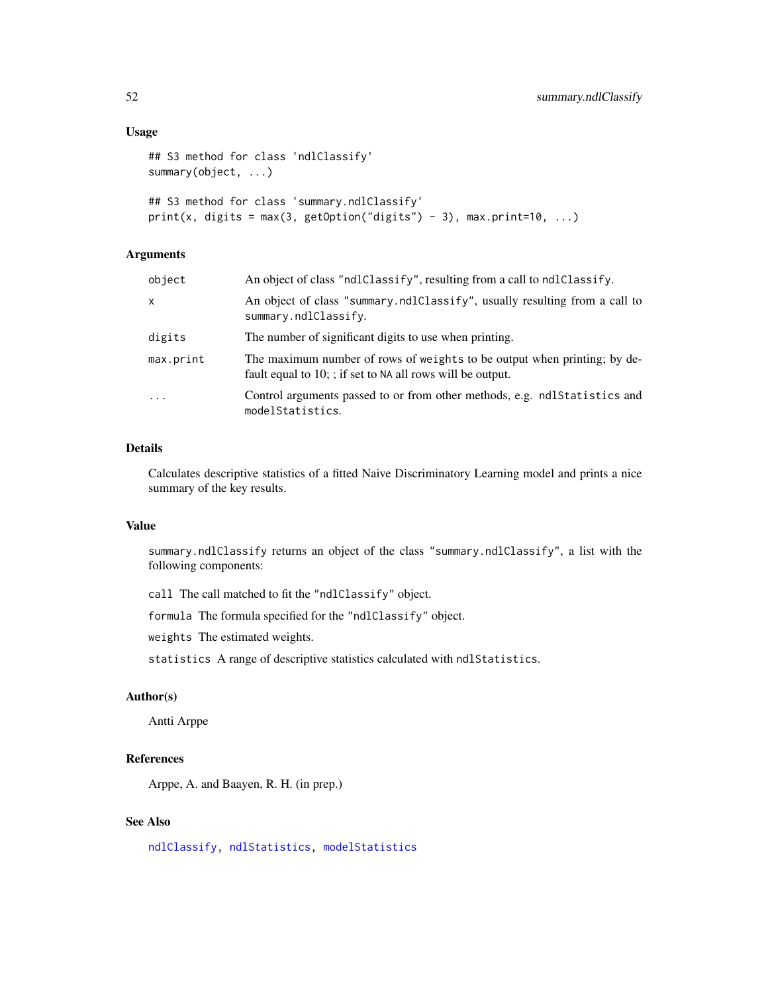#### Usage

```
## S3 method for class 'ndlClassify'
summary(object, ...)
## S3 method for class 'summary.ndlClassify'
print(x, digits = max(3, getOption("digits") - 3), max.print=10, ...)
```
## Arguments

| object    | An object of class "ndlClassify", resulting from a call to ndlClassify.                                                                   |
|-----------|-------------------------------------------------------------------------------------------------------------------------------------------|
| x         | An object of class "summary.ndlClassify", usually resulting from a call to<br>summary.ndlClassify.                                        |
| digits    | The number of significant digits to use when printing.                                                                                    |
| max.print | The maximum number of rows of weights to be output when printing; by de-<br>fault equal to $10$ ; ; if set to NA all rows will be output. |
| $\cdots$  | Control arguments passed to or from other methods, e.g. ndl Statistics and<br>modelStatistics.                                            |

#### Details

Calculates descriptive statistics of a fitted Naive Discriminatory Learning model and prints a nice summary of the key results.

#### Value

summary.ndlClassify returns an object of the class "summary.ndlClassify", a list with the following components:

call The call matched to fit the "ndlClassify" object.

formula The formula specified for the "ndlClassify" object.

weights The estimated weights.

statistics A range of descriptive statistics calculated with ndlStatistics.

#### Author(s)

Antti Arppe

#### References

Arppe, A. and Baayen, R. H. (in prep.)

#### See Also

[ndlClassify,](#page-24-1) [ndlStatistics,](#page-31-1) [modelStatistics](#page-22-1)

<span id="page-51-0"></span>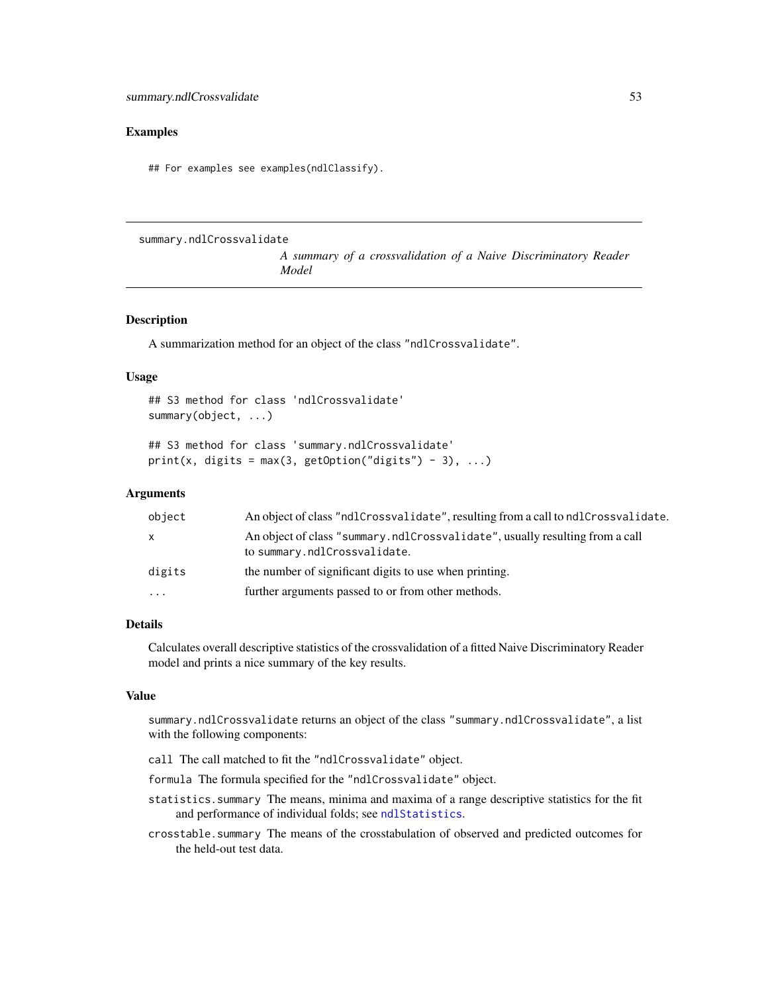#### <span id="page-52-0"></span>Examples

## For examples see examples(ndlClassify).

<span id="page-52-1"></span>summary.ndlCrossvalidate

*A summary of a crossvalidation of a Naive Discriminatory Reader Model*

#### Description

A summarization method for an object of the class "ndlCrossvalidate".

#### Usage

```
## S3 method for class 'ndlCrossvalidate'
summary(object, ...)
## S3 method for class 'summary.ndlCrossvalidate'
```

```
print(x, digits = max(3, getOption("digits") - 3), ...)
```
#### Arguments

| object   | An object of class "ndlCrossvalidate", resulting from a call to ndlCrossvalidate.                            |
|----------|--------------------------------------------------------------------------------------------------------------|
| X        | An object of class "summary.ndlCrossvalidate", usually resulting from a call<br>to summary.ndlCrossvalidate. |
| digits   | the number of significant digits to use when printing.                                                       |
| $\cdots$ | further arguments passed to or from other methods.                                                           |

#### Details

Calculates overall descriptive statistics of the crossvalidation of a fitted Naive Discriminatory Reader model and prints a nice summary of the key results.

### Value

summary.ndlCrossvalidate returns an object of the class "summary.ndlCrossvalidate", a list with the following components:

- call The call matched to fit the "ndlCrossvalidate" object.
- formula The formula specified for the "ndlCrossvalidate" object.
- statistics.summary The means, minima and maxima of a range descriptive statistics for the fit and performance of individual folds; see [ndlStatistics](#page-31-1).
- crosstable.summary The means of the crosstabulation of observed and predicted outcomes for the held-out test data.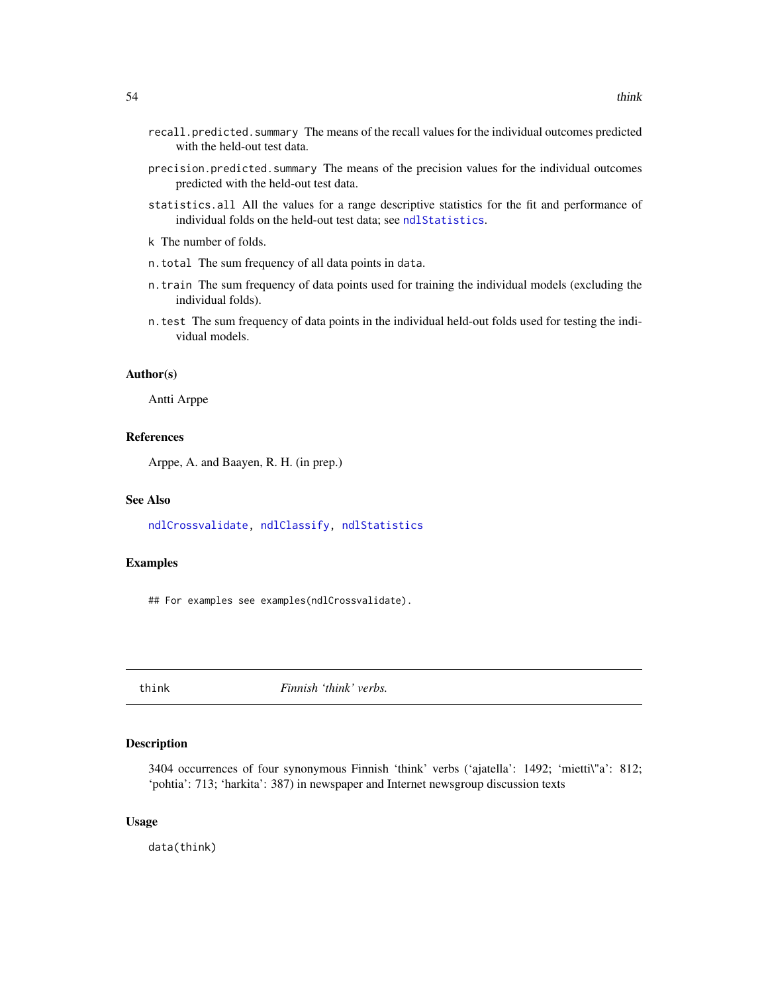- <span id="page-53-0"></span>recall.predicted.summary The means of the recall values for the individual outcomes predicted with the held-out test data.
- precision.predicted.summary The means of the precision values for the individual outcomes predicted with the held-out test data.
- statistics.all All the values for a range descriptive statistics for the fit and performance of individual folds on the held-out test data; see [ndlStatistics](#page-31-1).
- k The number of folds.
- n.total The sum frequency of all data points in data.
- n.train The sum frequency of data points used for training the individual models (excluding the individual folds).
- n.test The sum frequency of data points in the individual held-out folds used for testing the individual models.

#### Author(s)

Antti Arppe

#### References

Arppe, A. and Baayen, R. H. (in prep.)

#### See Also

[ndlCrossvalidate,](#page-27-1) [ndlClassify,](#page-24-1) [ndlStatistics](#page-31-1)

#### Examples

## For examples see examples(ndlCrossvalidate).

<span id="page-53-1"></span>think *Finnish 'think' verbs.*

#### Description

3404 occurrences of four synonymous Finnish 'think' verbs ('ajatella': 1492; 'mietti\"a': 812; 'pohtia': 713; 'harkita': 387) in newspaper and Internet newsgroup discussion texts

#### Usage

data(think)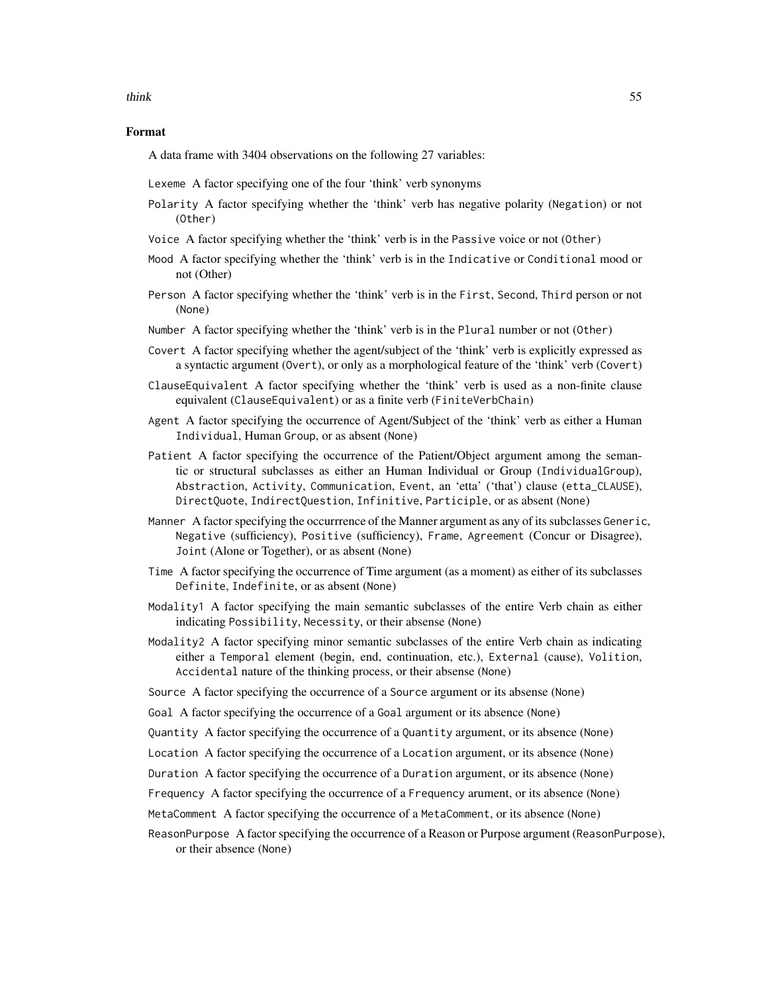think 55

#### Format

A data frame with 3404 observations on the following 27 variables:

Lexeme A factor specifying one of the four 'think' verb synonyms

- Polarity A factor specifying whether the 'think' verb has negative polarity (Negation) or not (Other)
- Voice A factor specifying whether the 'think' verb is in the Passive voice or not (Other)
- Mood A factor specifying whether the 'think' verb is in the Indicative or Conditional mood or not (Other)
- Person A factor specifying whether the 'think' verb is in the First, Second, Third person or not (None)
- Number A factor specifying whether the 'think' verb is in the Plural number or not (Other)
- Covert A factor specifying whether the agent/subject of the 'think' verb is explicitly expressed as a syntactic argument (Overt), or only as a morphological feature of the 'think' verb (Covert)
- ClauseEquivalent A factor specifying whether the 'think' verb is used as a non-finite clause equivalent (ClauseEquivalent) or as a finite verb (FiniteVerbChain)
- Agent A factor specifying the occurrence of Agent/Subject of the 'think' verb as either a Human Individual, Human Group, or as absent (None)
- Patient A factor specifying the occurrence of the Patient/Object argument among the semantic or structural subclasses as either an Human Individual or Group (IndividualGroup), Abstraction, Activity, Communication, Event, an 'etta' ('that') clause (etta\_CLAUSE), DirectQuote, IndirectQuestion, Infinitive, Participle, or as absent (None)
- Manner A factor specifying the occurrrence of the Manner argument as any of its subclasses Generic, Negative (sufficiency), Positive (sufficiency), Frame, Agreement (Concur or Disagree), Joint (Alone or Together), or as absent (None)
- Time A factor specifying the occurrence of Time argument (as a moment) as either of its subclasses Definite, Indefinite, or as absent (None)
- Modality1 A factor specifying the main semantic subclasses of the entire Verb chain as either indicating Possibility, Necessity, or their absense (None)
- Modality2 A factor specifying minor semantic subclasses of the entire Verb chain as indicating either a Temporal element (begin, end, continuation, etc.), External (cause), Volition, Accidental nature of the thinking process, or their absense (None)
- Source A factor specifying the occurrence of a Source argument or its absense (None)
- Goal A factor specifying the occurrence of a Goal argument or its absence (None)

Quantity A factor specifying the occurrence of a Quantity argument, or its absence (None)

- Location A factor specifying the occurrence of a Location argument, or its absence (None)
- Duration A factor specifying the occurrence of a Duration argument, or its absence (None)
- Frequency A factor specifying the occurrence of a Frequency arument, or its absence (None)
- MetaComment A factor specifying the occurrence of a MetaComment, or its absence (None)
- ReasonPurpose A factor specifying the occurrence of a Reason or Purpose argument (ReasonPurpose), or their absence (None)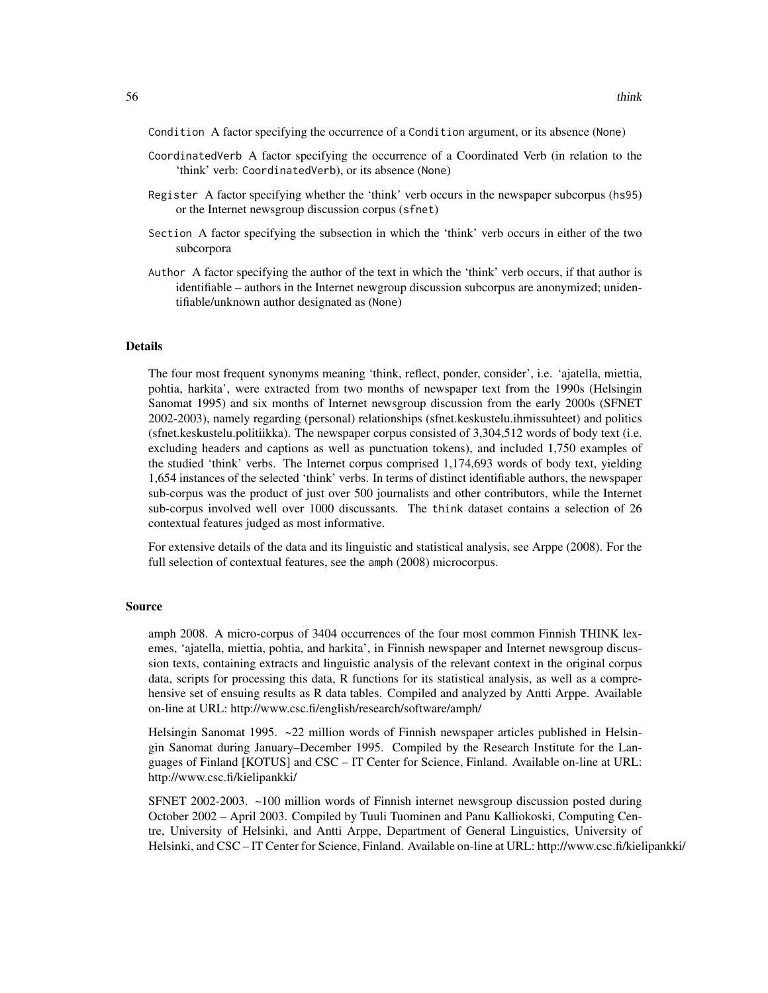Condition A factor specifying the occurrence of a Condition argument, or its absence (None)

- CoordinatedVerb A factor specifying the occurrence of a Coordinated Verb (in relation to the 'think' verb: CoordinatedVerb), or its absence (None)
- Register A factor specifying whether the 'think' verb occurs in the newspaper subcorpus (hs95) or the Internet newsgroup discussion corpus (sfnet)
- Section A factor specifying the subsection in which the 'think' verb occurs in either of the two subcorpora
- Author A factor specifying the author of the text in which the 'think' verb occurs, if that author is identifiable – authors in the Internet newgroup discussion subcorpus are anonymized; unidentifiable/unknown author designated as (None)

#### Details

The four most frequent synonyms meaning 'think, reflect, ponder, consider', i.e. 'ajatella, miettia, pohtia, harkita', were extracted from two months of newspaper text from the 1990s (Helsingin Sanomat 1995) and six months of Internet newsgroup discussion from the early 2000s (SFNET 2002-2003), namely regarding (personal) relationships (sfnet.keskustelu.ihmissuhteet) and politics (sfnet.keskustelu.politiikka). The newspaper corpus consisted of 3,304,512 words of body text (i.e. excluding headers and captions as well as punctuation tokens), and included 1,750 examples of the studied 'think' verbs. The Internet corpus comprised 1,174,693 words of body text, yielding 1,654 instances of the selected 'think' verbs. In terms of distinct identifiable authors, the newspaper sub-corpus was the product of just over 500 journalists and other contributors, while the Internet sub-corpus involved well over 1000 discussants. The think dataset contains a selection of 26 contextual features judged as most informative.

For extensive details of the data and its linguistic and statistical analysis, see Arppe (2008). For the full selection of contextual features, see the amph (2008) microcorpus.

#### Source

amph 2008. A micro-corpus of 3404 occurrences of the four most common Finnish THINK lexemes, 'ajatella, miettia, pohtia, and harkita', in Finnish newspaper and Internet newsgroup discussion texts, containing extracts and linguistic analysis of the relevant context in the original corpus data, scripts for processing this data, R functions for its statistical analysis, as well as a comprehensive set of ensuing results as R data tables. Compiled and analyzed by Antti Arppe. Available on-line at URL: http://www.csc.fi/english/research/software/amph/

Helsingin Sanomat 1995. ~22 million words of Finnish newspaper articles published in Helsingin Sanomat during January–December 1995. Compiled by the Research Institute for the Languages of Finland [KOTUS] and CSC – IT Center for Science, Finland. Available on-line at URL: http://www.csc.fi/kielipankki/

SFNET 2002-2003. ~100 million words of Finnish internet newsgroup discussion posted during October 2002 – April 2003. Compiled by Tuuli Tuominen and Panu Kalliokoski, Computing Centre, University of Helsinki, and Antti Arppe, Department of General Linguistics, University of Helsinki, and CSC – IT Center for Science, Finland. Available on-line at URL: http://www.csc.fi/kielipankki/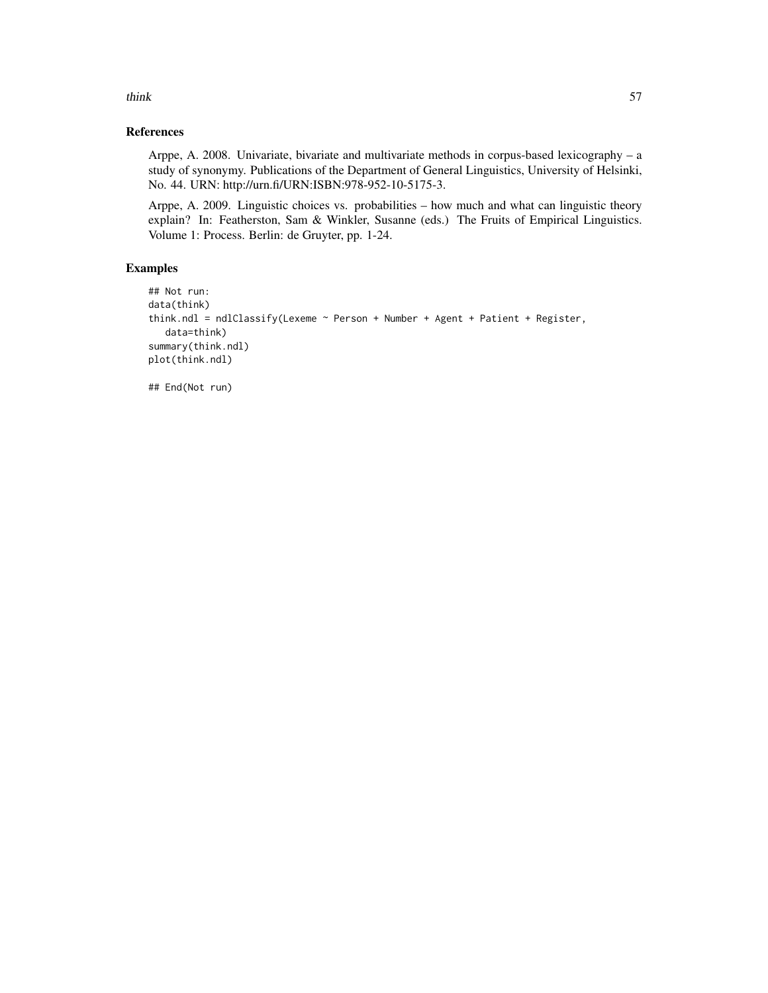think 57

#### References

Arppe, A. 2008. Univariate, bivariate and multivariate methods in corpus-based lexicography – a study of synonymy. Publications of the Department of General Linguistics, University of Helsinki, No. 44. URN: http://urn.fi/URN:ISBN:978-952-10-5175-3.

Arppe, A. 2009. Linguistic choices vs. probabilities – how much and what can linguistic theory explain? In: Featherston, Sam & Winkler, Susanne (eds.) The Fruits of Empirical Linguistics. Volume 1: Process. Berlin: de Gruyter, pp. 1-24.

#### Examples

```
## Not run:
data(think)
think.ndl = ndlClassify(Lexeme ~ Person + Number + Agent + Patient + Register,
  data=think)
summary(think.ndl)
plot(think.ndl)
```
## End(Not run)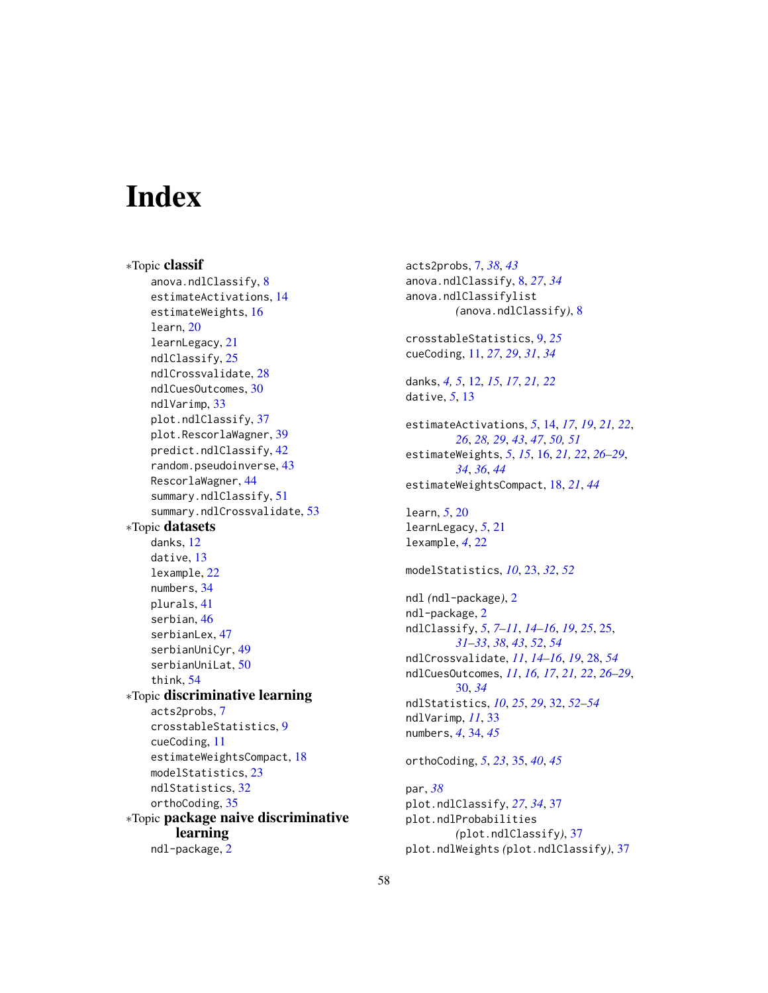# <span id="page-57-0"></span>**Index**

∗Topic classif anova.ndlClassify, [8](#page-7-0) estimateActivations, [14](#page-13-0) estimateWeights, [16](#page-15-0) learn, [20](#page-19-0) learnLegacy, [21](#page-20-0) ndlClassify, [25](#page-24-0) ndlCrossvalidate, [28](#page-27-0) ndlCuesOutcomes, [30](#page-29-0) ndlVarimp, [33](#page-32-0) plot.ndlClassify, [37](#page-36-0) plot.RescorlaWagner, [39](#page-38-0) predict.ndlClassify, [42](#page-41-0) random.pseudoinverse, [43](#page-42-0) RescorlaWagner, [44](#page-43-0) summary.ndlClassify, [51](#page-50-0) summary.ndlCrossvalidate, [53](#page-52-0) ∗Topic datasets danks, [12](#page-11-0) dative, [13](#page-12-0) lexample, [22](#page-21-0) numbers, [34](#page-33-0) plurals, [41](#page-40-0) serbian, [46](#page-45-0) serbianLex, [47](#page-46-0) serbianUniCyr, [49](#page-48-0) serbianUniLat, [50](#page-49-0) think, [54](#page-53-0) ∗Topic discriminative learning acts2probs, [7](#page-6-0) crosstableStatistics, [9](#page-8-0) cueCoding, [11](#page-10-0) estimateWeightsCompact, [18](#page-17-0) modelStatistics, [23](#page-22-0) ndlStatistics, [32](#page-31-0) orthoCoding, [35](#page-34-0) ∗Topic package naive discriminative learning ndl-package, [2](#page-1-0)

acts2probs, [7,](#page-6-0) *[38](#page-37-0)*, *[43](#page-42-0)* anova.ndlClassify, [8,](#page-7-0) *[27](#page-26-0)*, *[34](#page-33-0)* anova.ndlClassifylist *(*anova.ndlClassify*)*, [8](#page-7-0) crosstableStatistics, [9,](#page-8-0) *[25](#page-24-0)* cueCoding, [11,](#page-10-0) *[27](#page-26-0)*, *[29](#page-28-0)*, *[31](#page-30-0)*, *[34](#page-33-0)* danks, *[4,](#page-3-0) [5](#page-4-0)*, [12,](#page-11-0) *[15](#page-14-0)*, *[17](#page-16-0)*, *[21,](#page-20-0) [22](#page-21-0)* dative, *[5](#page-4-0)*, [13](#page-12-0) estimateActivations, *[5](#page-4-0)*, [14,](#page-13-0) *[17](#page-16-0)*, *[19](#page-18-0)*, *[21,](#page-20-0) [22](#page-21-0)*, *[26](#page-25-0)*, *[28,](#page-27-0) [29](#page-28-0)*, *[43](#page-42-0)*, *[47](#page-46-0)*, *[50,](#page-49-0) [51](#page-50-0)* estimateWeights, *[5](#page-4-0)*, *[15](#page-14-0)*, [16,](#page-15-0) *[21,](#page-20-0) [22](#page-21-0)*, *[26](#page-25-0)[–29](#page-28-0)*, *[34](#page-33-0)*, *[36](#page-35-0)*, *[44](#page-43-0)* estimateWeightsCompact, [18,](#page-17-0) *[21](#page-20-0)*, *[44](#page-43-0)* learn, *[5](#page-4-0)*, [20](#page-19-0) learnLegacy, *[5](#page-4-0)*, [21](#page-20-0) lexample, *[4](#page-3-0)*, [22](#page-21-0) modelStatistics, *[10](#page-9-0)*, [23,](#page-22-0) *[32](#page-31-0)*, *[52](#page-51-0)* ndl *(*ndl-package*)*, [2](#page-1-0) ndl-package, [2](#page-1-0) ndlClassify, *[5](#page-4-0)*, *[7](#page-6-0)[–11](#page-10-0)*, *[14](#page-13-0)[–16](#page-15-0)*, *[19](#page-18-0)*, *[25](#page-24-0)*, [25,](#page-24-0) *[31](#page-30-0)[–33](#page-32-0)*, *[38](#page-37-0)*, *[43](#page-42-0)*, *[52](#page-51-0)*, *[54](#page-53-0)* ndlCrossvalidate, *[11](#page-10-0)*, *[14](#page-13-0)[–16](#page-15-0)*, *[19](#page-18-0)*, [28,](#page-27-0) *[54](#page-53-0)* ndlCuesOutcomes, *[11](#page-10-0)*, *[16,](#page-15-0) [17](#page-16-0)*, *[21,](#page-20-0) [22](#page-21-0)*, *[26](#page-25-0)[–29](#page-28-0)*, [30,](#page-29-0) *[34](#page-33-0)* ndlStatistics, *[10](#page-9-0)*, *[25](#page-24-0)*, *[29](#page-28-0)*, [32,](#page-31-0) *[52](#page-51-0)[–54](#page-53-0)* ndlVarimp, *[11](#page-10-0)*, [33](#page-32-0) numbers, *[4](#page-3-0)*, [34,](#page-33-0) *[45](#page-44-0)* orthoCoding, *[5](#page-4-0)*, *[23](#page-22-0)*, [35,](#page-34-0) *[40](#page-39-0)*, *[45](#page-44-0)* par, *[38](#page-37-0)* plot.ndlClassify, *[27](#page-26-0)*, *[34](#page-33-0)*, [37](#page-36-0) plot.ndlProbabilities *(*plot.ndlClassify*)*, [37](#page-36-0) plot.ndlWeights *(*plot.ndlClassify*)*, [37](#page-36-0)